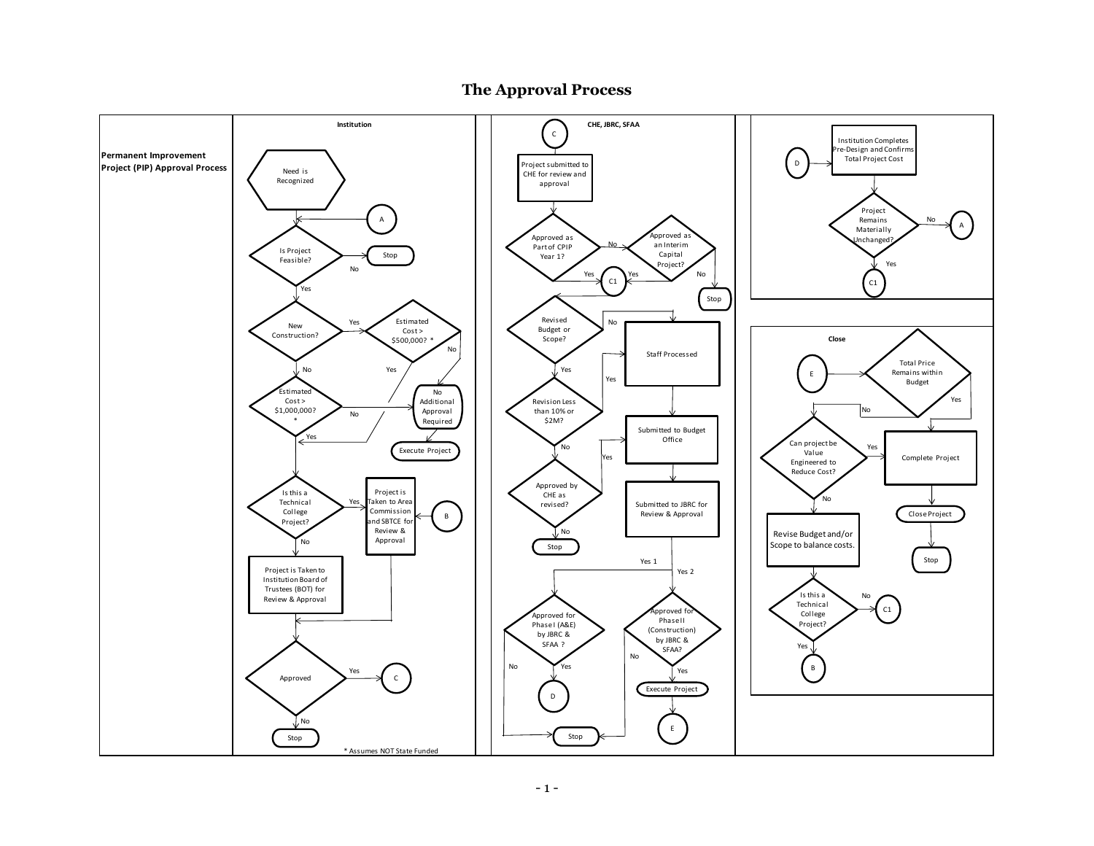

# **The Approval Process**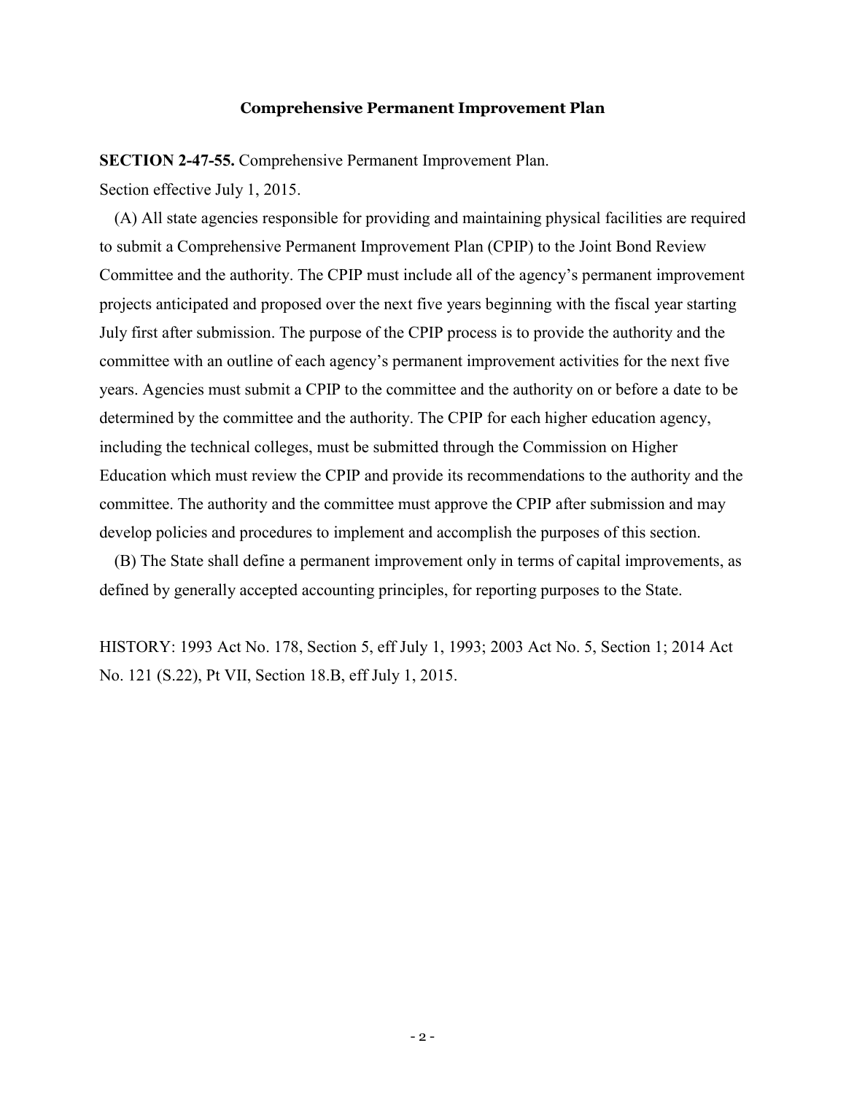#### **Comprehensive Permanent Improvement Plan**

**SECTION 2-47-55.** Comprehensive Permanent Improvement Plan.

Section effective July 1, 2015.

(A) All state agencies responsible for providing and maintaining physical facilities are required to submit a Comprehensive Permanent Improvement Plan (CPIP) to the Joint Bond Review Committee and the authority. The CPIP must include all of the agency's permanent improvement projects anticipated and proposed over the next five years beginning with the fiscal year starting July first after submission. The purpose of the CPIP process is to provide the authority and the committee with an outline of each agency's permanent improvement activities for the next five years. Agencies must submit a CPIP to the committee and the authority on or before a date to be determined by the committee and the authority. The CPIP for each higher education agency, including the technical colleges, must be submitted through the Commission on Higher Education which must review the CPIP and provide its recommendations to the authority and the committee. The authority and the committee must approve the CPIP after submission and may develop policies and procedures to implement and accomplish the purposes of this section.

(B) The State shall define a permanent improvement only in terms of capital improvements, as defined by generally accepted accounting principles, for reporting purposes to the State.

HISTORY: 1993 Act No. 178, Section 5, eff July 1, 1993; 2003 Act No. 5, Section 1; 2014 Act No. 121 (S.22), Pt VII, Section 18.B, eff July 1, 2015.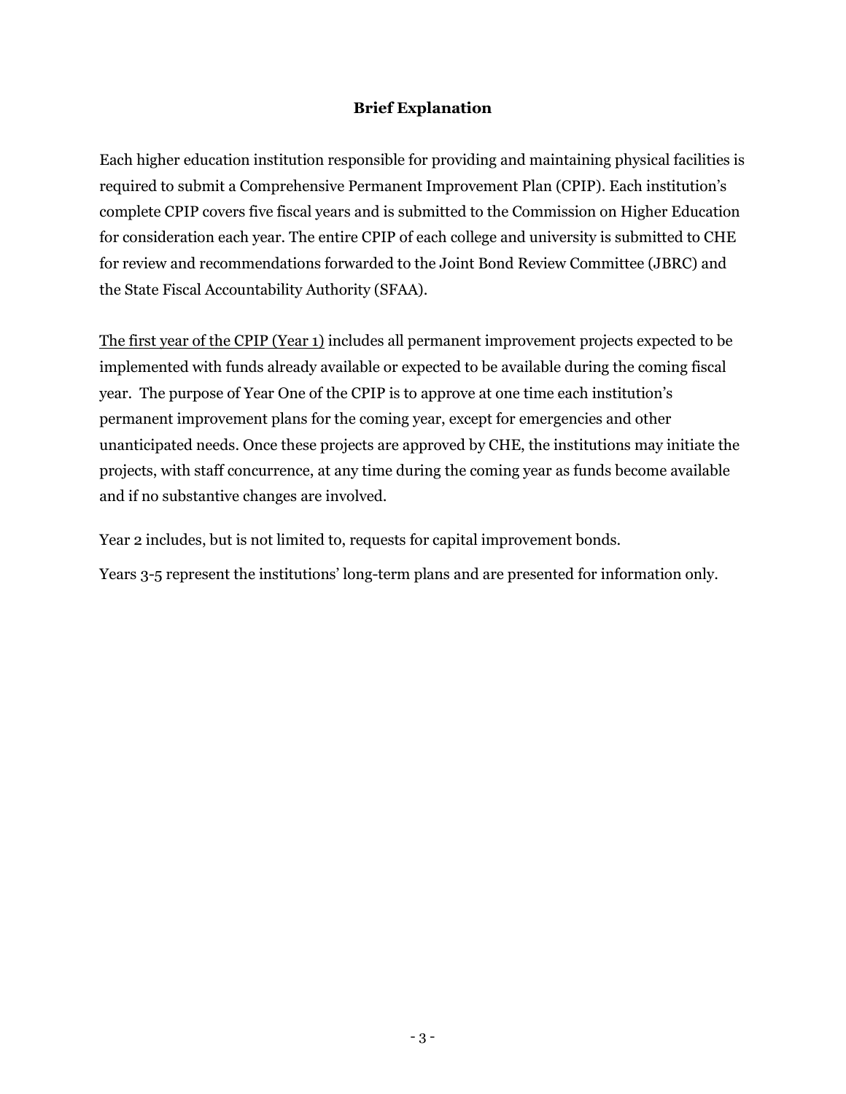# **Brief Explanation**

Each higher education institution responsible for providing and maintaining physical facilities is required to submit a Comprehensive Permanent Improvement Plan (CPIP). Each institution's complete CPIP covers five fiscal years and is submitted to the Commission on Higher Education for consideration each year. The entire CPIP of each college and university is submitted to CHE for review and recommendations forwarded to the Joint Bond Review Committee (JBRC) and the State Fiscal Accountability Authority (SFAA).

The first year of the CPIP (Year 1) includes all permanent improvement projects expected to be implemented with funds already available or expected to be available during the coming fiscal year. The purpose of Year One of the CPIP is to approve at one time each institution's permanent improvement plans for the coming year, except for emergencies and other unanticipated needs. Once these projects are approved by CHE, the institutions may initiate the projects, with staff concurrence, at any time during the coming year as funds become available and if no substantive changes are involved.

Year 2 includes, but is not limited to, requests for capital improvement bonds.

Years 3-5 represent the institutions' long-term plans and are presented for information only.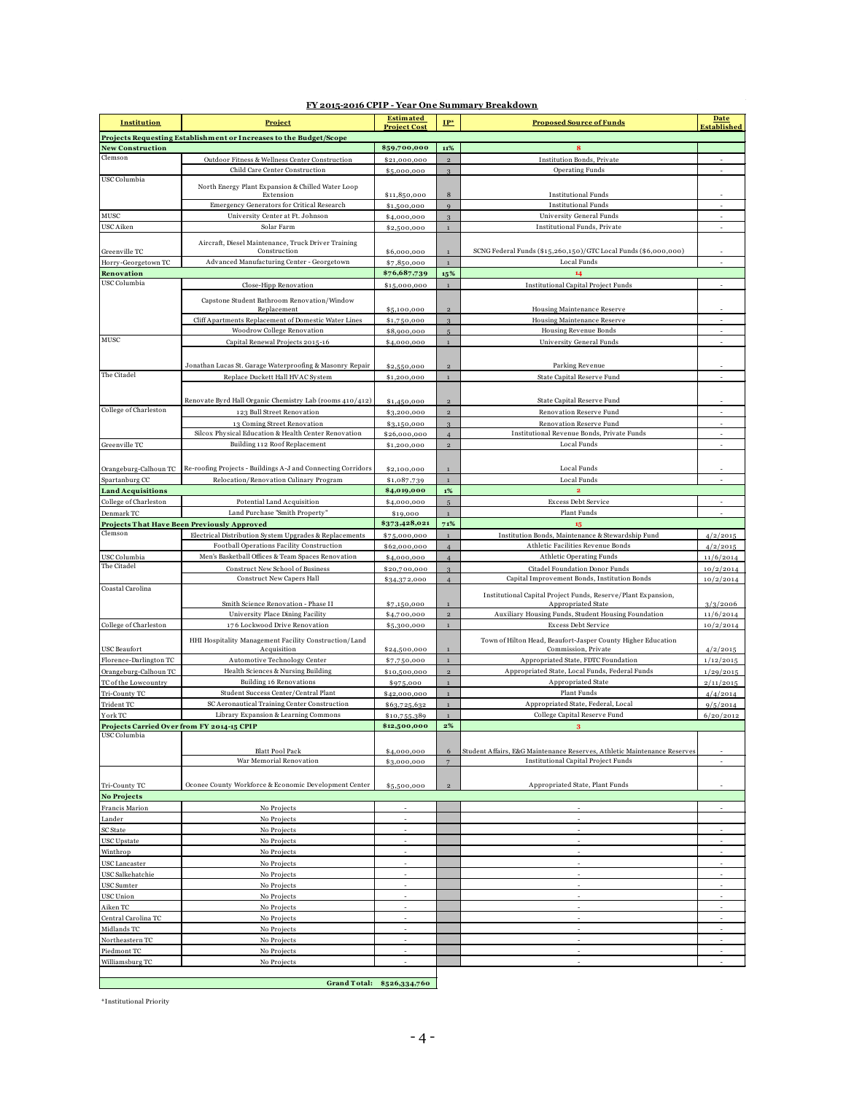| Institution                                                        | <b>Project</b>                                                      | <b>Estimated</b><br><b>Project Cost</b> | $IP*$                   | <b>Proposed Source of Funds</b>                                          | <b>Date</b><br><b>Established</b> |
|--------------------------------------------------------------------|---------------------------------------------------------------------|-----------------------------------------|-------------------------|--------------------------------------------------------------------------|-----------------------------------|
| Projects Requesting Establishment or Increases to the Budget/Scope |                                                                     |                                         |                         |                                                                          |                                   |
| <b>New Construction</b>                                            |                                                                     | \$59,700,000                            | 11%                     | 8                                                                        |                                   |
| Clemson                                                            | Outdoor Fitness & Wellness Center Construction                      | \$21,000,000                            | $\overline{2}$          | Institution Bonds, Private                                               |                                   |
| USC Columbia                                                       | Child Care Center Construction                                      | \$5,000,000                             | $\overline{3}$          | <b>Operating Funds</b>                                                   |                                   |
|                                                                    | North Energy Plant Expansion & Chilled Water Loop                   |                                         |                         |                                                                          |                                   |
|                                                                    | Extension<br>Emergency Generators for Critical Research             | \$11,850,000                            | 8                       | <b>Institutional Funds</b><br><b>Institutional Funds</b>                 | ÷.                                |
| MUSC                                                               | University Center at Ft. Johnson                                    | \$1,500,000<br>\$4,000,000              | $\overline{9}$<br>3     | University General Funds                                                 |                                   |
| USC Aiken                                                          | Solar Farm                                                          | \$2,500,000                             | $\mathbf{1}$            | <b>Institutional Funds</b> , Private                                     |                                   |
|                                                                    |                                                                     |                                         |                         |                                                                          |                                   |
| Greenville TC                                                      | Aircraft, Diesel Maintenance, Truck Driver Training<br>Construction | \$6,000,000                             | $\mathbf{1}$            | SCNG Federal Funds (\$15,260,150)/GTC Local Funds (\$6,000,000)          |                                   |
| Horry-Georgetown TC                                                | Advanced Manufacturing Center - Georgetown                          | \$7,850,000                             | $\overline{1}$          | Local Funds                                                              |                                   |
| Renovation                                                         |                                                                     | \$76,687,739                            | 15%                     | 14                                                                       |                                   |
| USC Columbia                                                       | Close-Hipp Renovation                                               | \$15,000,000                            | $\overline{1}$          | <b>Institutional Capital Project Funds</b>                               |                                   |
|                                                                    | Capstone Student Bathroom Renovation/Window                         |                                         |                         |                                                                          |                                   |
|                                                                    | Replacement                                                         | \$5,100,000                             | $\overline{2}$          | Housing Maintenance Reserve                                              |                                   |
|                                                                    | Cliff Apartments Replacement of Domestic Water Lines                | \$1,750,000                             | $\overline{3}$          | Housing Maintenance Reserve                                              |                                   |
|                                                                    | Woodrow College Renovation                                          | \$8,900,000                             | $\overline{5}$          | Housing Revenue Bonds                                                    |                                   |
| MUSC                                                               | Capital Renewal Projects 2015-16                                    | \$4,000,000                             | $\mathbf{1}$            | University General Funds                                                 |                                   |
|                                                                    |                                                                     |                                         |                         |                                                                          |                                   |
|                                                                    | Jonathan Lucas St. Garage Waterproofing & Masonry Repair            | \$2,550,000                             | $\mathbf 2$             | Parking Revenue                                                          |                                   |
| The Citadel                                                        | Replace Duckett Hall HVAC System                                    | \$1,200,000                             | $\mathbf{1}$            | State Capital Reserve Fund                                               |                                   |
|                                                                    |                                                                     |                                         |                         |                                                                          |                                   |
|                                                                    | Renovate Byrd Hall Organic Chemistry Lab (rooms 410/412)            | \$1,450,000                             | $\overline{2}$          | State Capital Reserve Fund                                               |                                   |
| College of Charleston                                              | 123 Bull Street Renovation                                          | \$3,200,000                             | $\mathbf 2$             | Renovation Reserve Fund                                                  |                                   |
|                                                                    | 13 Coming Street Renovation                                         | \$3,150,000                             | 3                       | Renovation Reserve Fund                                                  |                                   |
|                                                                    | Silcox Physical Education & Health Center Renovation                | \$26,000,000                            | $\overline{4}$          | Institutional Revenue Bonds, Private Funds                               |                                   |
| Greenville TC                                                      | Building 112 Roof Replacement                                       | \$1,200,000                             | $\mathbf 2$             | Local Funds                                                              |                                   |
|                                                                    |                                                                     |                                         |                         |                                                                          |                                   |
| Orangeburg-Calhoun TC                                              | Re-roofing Projects - Buildings A-J and Connecting Corridors        | \$2,100,000                             | $\overline{1}$          | Local Funds                                                              |                                   |
| Spartanburg CC<br><b>Land Acquisitions</b>                         | Relocation/Renovation Culinary Program                              | \$1,087,739<br>\$4,019,000              | $\overline{1}$<br>$1\%$ | Local Funds<br>$\overline{2}$                                            |                                   |
| College of Charleston                                              | Potential Land Acquisition                                          | \$4,000,000                             | $\overline{5}$          | Excess Debt Service                                                      |                                   |
| Denmark TC                                                         | Land Purchase "Smith Property"                                      | \$19,000                                | $\mathbf 1$             | Plant Funds                                                              |                                   |
|                                                                    | Projects That Have Been Previously Approved                         | \$373,428,021                           | 71%                     | 15                                                                       |                                   |
| Clemson                                                            | Electrical Distribution System Upgrades & Replacements              | \$75,000,000                            | $\mathbf{1}$            | Institution Bonds, Maintenance & Stewardship Fund                        | 4/2/2015                          |
|                                                                    | Football Operations Facility Construction                           | \$62,000,000                            | $\overline{4}$          | Athletic Facilities Revenue Bonds                                        | 4/2/2015                          |
| USC Columbia                                                       | Men's Basketball Offices & Team Spaces Renovation                   | \$4,000,000                             | $\overline{4}$          | <b>Athletic Operating Funds</b>                                          | 11/6/2014                         |
| The Citadel                                                        | Construct New School of Business                                    | \$20,700,000                            | ą                       | Citadel Foundation Donor Funds                                           | 10/2/2014                         |
|                                                                    | <b>Construct New Capers Hall</b>                                    | \$34,372,000                            | $\overline{4}$          | Capital Improvement Bonds, Institution Bonds                             | 10/2/2014                         |
| Coastal Carolina                                                   |                                                                     |                                         |                         | Institutional Capital Project Funds, Reserve/Plant Expansion,            |                                   |
|                                                                    | Smith Science Renovation - Phase II                                 | \$7,150,000                             |                         | Appropriated State                                                       | 3/3/2006                          |
|                                                                    | University Place Dining Facility                                    | \$4,700,000                             | $\overline{2}$          | Auxiliary Housing Funds, Student Housing Foundation                      | 11/6/2014                         |
| College of Charleston                                              | 176 Lockwood Drive Renovation                                       | \$5,300,000                             | $\mathbf{1}$            | <b>Excess Debt Service</b>                                               | 10/2/2014                         |
|                                                                    | HHI Hospitality Management Facility Construction/Land               |                                         |                         | Town of Hilton Head, Beaufort-Jasper County Higher Education             |                                   |
| <b>USC</b> Beaufort                                                | Acquisition                                                         | \$24,500,000                            | $\mathbf{1}$            | Commission, Private                                                      | 4/2/2015                          |
| Florence-Darlington TC                                             | Automotive Technology Center                                        | \$7,750,000                             | $\mathbf{1}$            | Appropriated State, FDTC Foundation                                      | 1/12/2015                         |
| Orangeburg-Calhoun TC<br>TC of the Lowcountry                      | Health Sciences & Nursing Building<br>Building 16 Renovations       | \$10,500,000<br>\$975,000               | $\,2$<br>$\mathbf{1}$   | Appropriated State, Local Funds, Federal Funds<br>Appropriated State     | 1/29/2015                         |
| Tri-County TC                                                      | Student Success Center/Central Plant                                | \$42,000,000                            | $\mathbf{1}$            | <b>Plant Funds</b>                                                       | 2/11/2015<br>4/4/2014             |
| Trident TC                                                         | SC Aeronautical Training Center Construction                        | \$63,725,632                            | $\mathbf{1}$            | Appropriated State, Federal, Local                                       | 9/5/2014                          |
| York TC                                                            | Library Expansion & Learning Commons                                | \$10,755,389                            | $\mathbf 1$             | College Capital Reserve Fund                                             | 6/20/2012                         |
| Projects Carried Over from FY 2014-15 CPIP                         |                                                                     | \$12,500,000                            | $2\%$                   | $\bf{3}$                                                                 |                                   |
| USC Columbia                                                       |                                                                     |                                         |                         |                                                                          |                                   |
|                                                                    | <b>Blatt Pool Pack</b>                                              | \$4,000,000                             | 6                       | Student Affairs, E&G Maintenance Reserves, Athletic Maintenance Reserves |                                   |
|                                                                    | War Memorial Renovation                                             | \$3,000,000                             | $\overline{7}$          | <b>Institutional Capital Project Funds</b>                               |                                   |
|                                                                    |                                                                     |                                         |                         |                                                                          |                                   |
| Tri-County TC                                                      | Oconee County Workforce & Economic Development Center               | \$5,500,000                             | $\mathbf 2$             | Appropriated State, Plant Funds                                          |                                   |
| <b>No Projects</b>                                                 |                                                                     |                                         |                         |                                                                          |                                   |
| Francis Marion                                                     | No Projects                                                         |                                         |                         |                                                                          |                                   |
| Lander                                                             | No Projects                                                         | ä,                                      |                         | $\sim$                                                                   |                                   |
| SC State                                                           | No Projects                                                         |                                         |                         |                                                                          |                                   |
| <b>USC</b> Upstate                                                 | No Projects                                                         |                                         |                         |                                                                          |                                   |
| Winthrop                                                           | No Projects                                                         | ÷.                                      |                         | $\sim$                                                                   | $\sim$                            |
| USC Lancaster                                                      | No Projects                                                         | ÷,                                      |                         | $\sim$                                                                   |                                   |
| USC Salkehatchie                                                   | No Projects                                                         |                                         |                         |                                                                          |                                   |
| USC Sumter                                                         | No Projects                                                         | ÷,                                      |                         | $\overline{\phantom{a}}$                                                 | $\sim$                            |
| USC Union                                                          | No Projects                                                         |                                         |                         |                                                                          |                                   |
| Aiken TC                                                           | No Projects                                                         | ÷,                                      |                         | $\sim$                                                                   |                                   |
| Central Carolina TC<br>Midlands TC                                 | No Projects<br>No Projects                                          | ÷,<br>÷,                                |                         | $\sim$                                                                   |                                   |
| Northeastern TC                                                    | No Projects                                                         | ÷,                                      |                         | ٠                                                                        |                                   |
| Piedmont TC                                                        | No Projects                                                         | ÷,                                      |                         | $\overline{\phantom{a}}$                                                 |                                   |
| Williamsburg TC                                                    | No Projects                                                         |                                         |                         |                                                                          |                                   |
|                                                                    |                                                                     |                                         |                         |                                                                          |                                   |

#### **FY 2015-2016 CPIP - Year One Summary Breakdown**

**Grand T otal: \$526,334,7 60**

\*Institutional Priority

ľ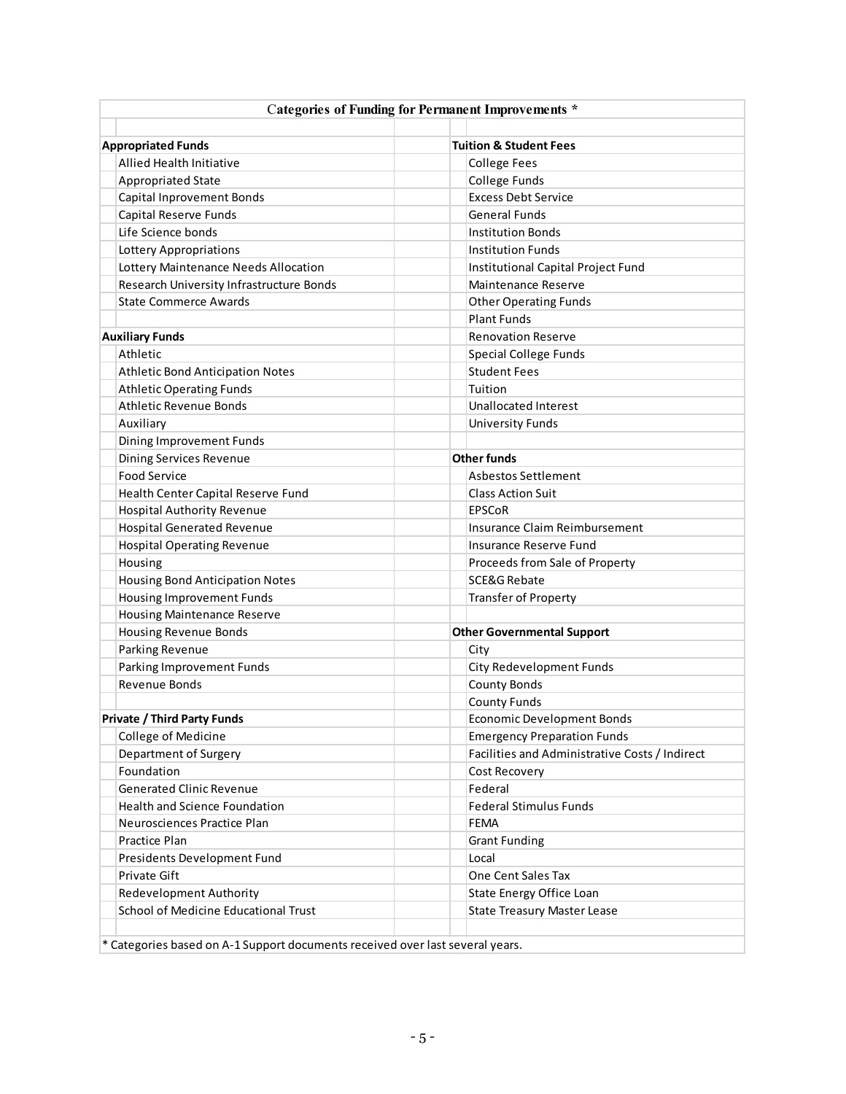| <b>Categories of Funding for Permanent Improvements *</b>                     |                                                |  |  |  |
|-------------------------------------------------------------------------------|------------------------------------------------|--|--|--|
| <b>Appropriated Funds</b>                                                     | <b>Tuition &amp; Student Fees</b>              |  |  |  |
| Allied Health Initiative                                                      |                                                |  |  |  |
|                                                                               | <b>College Fees</b>                            |  |  |  |
| <b>Appropriated State</b>                                                     | College Funds                                  |  |  |  |
| <b>Capital Inprovement Bonds</b>                                              | <b>Excess Debt Service</b>                     |  |  |  |
| Capital Reserve Funds                                                         | <b>General Funds</b>                           |  |  |  |
| Life Science bonds                                                            | <b>Institution Bonds</b>                       |  |  |  |
| <b>Lottery Appropriations</b>                                                 | <b>Institution Funds</b>                       |  |  |  |
| Lottery Maintenance Needs Allocation                                          | Institutional Capital Project Fund             |  |  |  |
| Research University Infrastructure Bonds                                      | <b>Maintenance Reserve</b>                     |  |  |  |
| <b>State Commerce Awards</b>                                                  | <b>Other Operating Funds</b>                   |  |  |  |
|                                                                               | <b>Plant Funds</b>                             |  |  |  |
| <b>Auxiliary Funds</b>                                                        | <b>Renovation Reserve</b>                      |  |  |  |
| Athletic                                                                      | Special College Funds                          |  |  |  |
| <b>Athletic Bond Anticipation Notes</b>                                       | <b>Student Fees</b>                            |  |  |  |
| <b>Athletic Operating Funds</b>                                               | Tuition                                        |  |  |  |
| Athletic Revenue Bonds                                                        | <b>Unallocated Interest</b>                    |  |  |  |
| Auxiliary                                                                     | <b>University Funds</b>                        |  |  |  |
| Dining Improvement Funds                                                      |                                                |  |  |  |
| Dining Services Revenue                                                       | <b>Other funds</b>                             |  |  |  |
| <b>Food Service</b>                                                           | <b>Asbestos Settlement</b>                     |  |  |  |
| Health Center Capital Reserve Fund                                            | <b>Class Action Suit</b>                       |  |  |  |
| <b>Hospital Authority Revenue</b>                                             | <b>EPSCoR</b>                                  |  |  |  |
| <b>Hospital Generated Revenue</b>                                             | Insurance Claim Reimbursement                  |  |  |  |
| <b>Hospital Operating Revenue</b>                                             | Insurance Reserve Fund                         |  |  |  |
| Housing                                                                       | Proceeds from Sale of Property                 |  |  |  |
| <b>Housing Bond Anticipation Notes</b>                                        | <b>SCE&amp;G Rebate</b>                        |  |  |  |
| <b>Housing Improvement Funds</b>                                              | Transfer of Property                           |  |  |  |
| <b>Housing Maintenance Reserve</b>                                            |                                                |  |  |  |
| <b>Housing Revenue Bonds</b>                                                  | <b>Other Governmental Support</b>              |  |  |  |
| Parking Revenue                                                               | City                                           |  |  |  |
| Parking Improvement Funds                                                     | City Redevelopment Funds                       |  |  |  |
| Revenue Bonds                                                                 | <b>County Bonds</b>                            |  |  |  |
|                                                                               | <b>County Funds</b>                            |  |  |  |
| <b>Private / Third Party Funds</b>                                            | <b>Economic Development Bonds</b>              |  |  |  |
| College of Medicine                                                           | <b>Emergency Preparation Funds</b>             |  |  |  |
| Department of Surgery                                                         | Facilities and Administrative Costs / Indirect |  |  |  |
| Foundation                                                                    | Cost Recovery                                  |  |  |  |
| <b>Generated Clinic Revenue</b>                                               | Federal                                        |  |  |  |
| Health and Science Foundation                                                 | <b>Federal Stimulus Funds</b>                  |  |  |  |
| Neurosciences Practice Plan                                                   | <b>FEMA</b>                                    |  |  |  |
| <b>Practice Plan</b>                                                          |                                                |  |  |  |
|                                                                               | <b>Grant Funding</b>                           |  |  |  |
| Presidents Development Fund                                                   | Local                                          |  |  |  |
| <b>Private Gift</b>                                                           | One Cent Sales Tax                             |  |  |  |
| Redevelopment Authority                                                       | State Energy Office Loan                       |  |  |  |
| School of Medicine Educational Trust                                          | <b>State Treasury Master Lease</b>             |  |  |  |
|                                                                               |                                                |  |  |  |
| * Categories based on A-1 Support documents received over last several years. |                                                |  |  |  |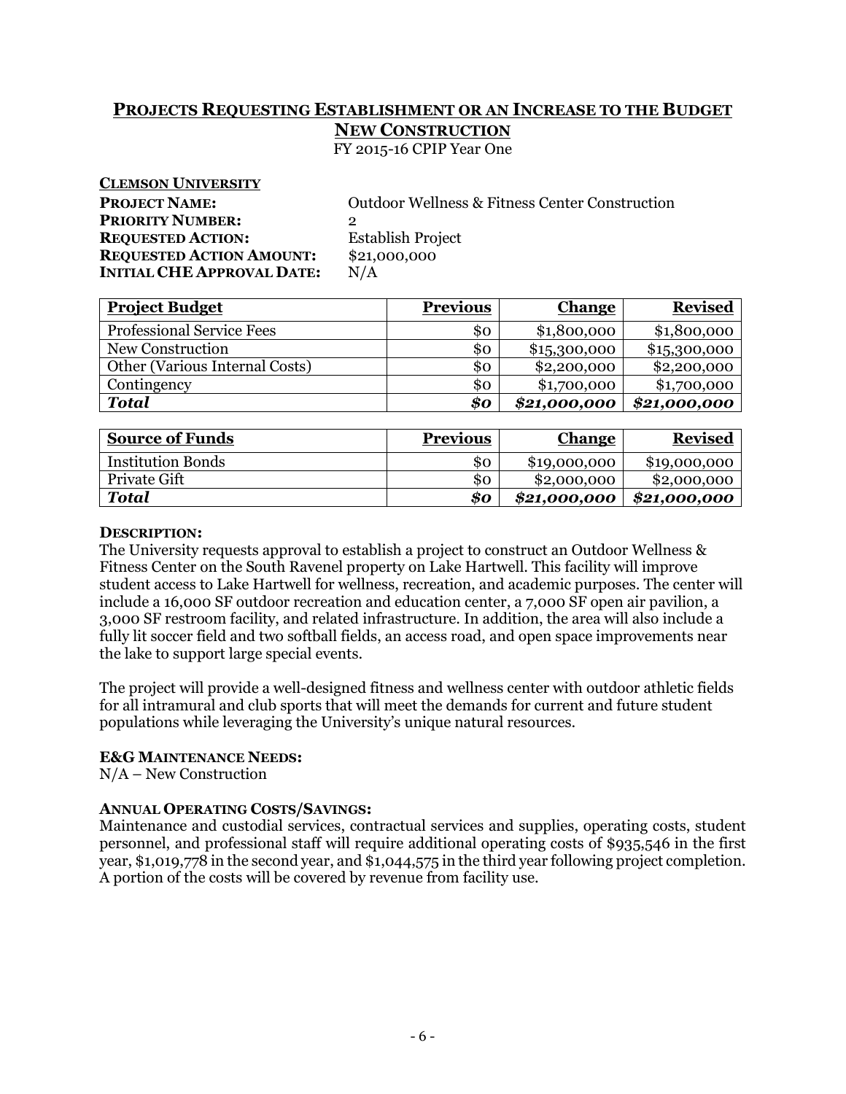# **PROJECTS REQUESTING ESTABLISHMENT OR AN INCREASE TO THE BUDGET NEW CONSTRUCTION**

FY 2015-16 CPIP Year One

| <b>CLEMSON UNIVERSITY</b>         |                                                           |
|-----------------------------------|-----------------------------------------------------------|
| <b>PROJECT NAME:</b>              | <b>Outdoor Wellness &amp; Fitness Center Construction</b> |
| <b>PRIORITY NUMBER:</b>           | 2                                                         |
| <b>REQUESTED ACTION:</b>          | <b>Establish Project</b>                                  |
| <b>REQUESTED ACTION AMOUNT:</b>   | \$21,000,000                                              |
| <b>INITIAL CHE APPROVAL DATE:</b> | N/A                                                       |
|                                   |                                                           |

| <b>Project Budget</b>                 | <b>Previous</b> | <b>Change</b> | <b>Revised</b> |
|---------------------------------------|-----------------|---------------|----------------|
| <b>Professional Service Fees</b>      | \$ο             | \$1,800,000   | \$1,800,000    |
| New Construction                      | \$ο             | \$15,300,000  | \$15,300,000   |
| <b>Other (Various Internal Costs)</b> | \$0             | \$2,200,000   | \$2,200,000    |
| Contingency                           | \$ο             | \$1,700,000   | \$1,700,000    |
| <b>Total</b>                          | \$o             | \$21,000,000  | \$21,000,000   |

| <b>Source of Funds</b>   | <b>Previous</b>            | <b>Change</b> | <b>Revised</b> |
|--------------------------|----------------------------|---------------|----------------|
| <b>Institution Bonds</b> | 80                         | \$19,000,000  | \$19,000,000   |
| <b>Private Gift</b>      | \$0                        | \$2,000,000   | \$2,000,000    |
| Total                    | $\boldsymbol{\mathit{so}}$ | \$21,000,000  | \$21,000,000   |

# **DESCRIPTION:**

The University requests approval to establish a project to construct an Outdoor Wellness & Fitness Center on the South Ravenel property on Lake Hartwell. This facility will improve student access to Lake Hartwell for wellness, recreation, and academic purposes. The center will include a 16,000 SF outdoor recreation and education center, a 7,000 SF open air pavilion, a 3,000 SF restroom facility, and related infrastructure. In addition, the area will also include a fully lit soccer field and two softball fields, an access road, and open space improvements near the lake to support large special events.

The project will provide a well-designed fitness and wellness center with outdoor athletic fields for all intramural and club sports that will meet the demands for current and future student populations while leveraging the University's unique natural resources.

# **E&G MAINTENANCE NEEDS:**

N/A – New Construction

# **ANNUAL OPERATING COSTS/SAVINGS:**

Maintenance and custodial services, contractual services and supplies, operating costs, student personnel, and professional staff will require additional operating costs of \$935,546 in the first year, \$1,019,778 in the second year, and \$1,044,575 in the third year following project completion. A portion of the costs will be covered by revenue from facility use.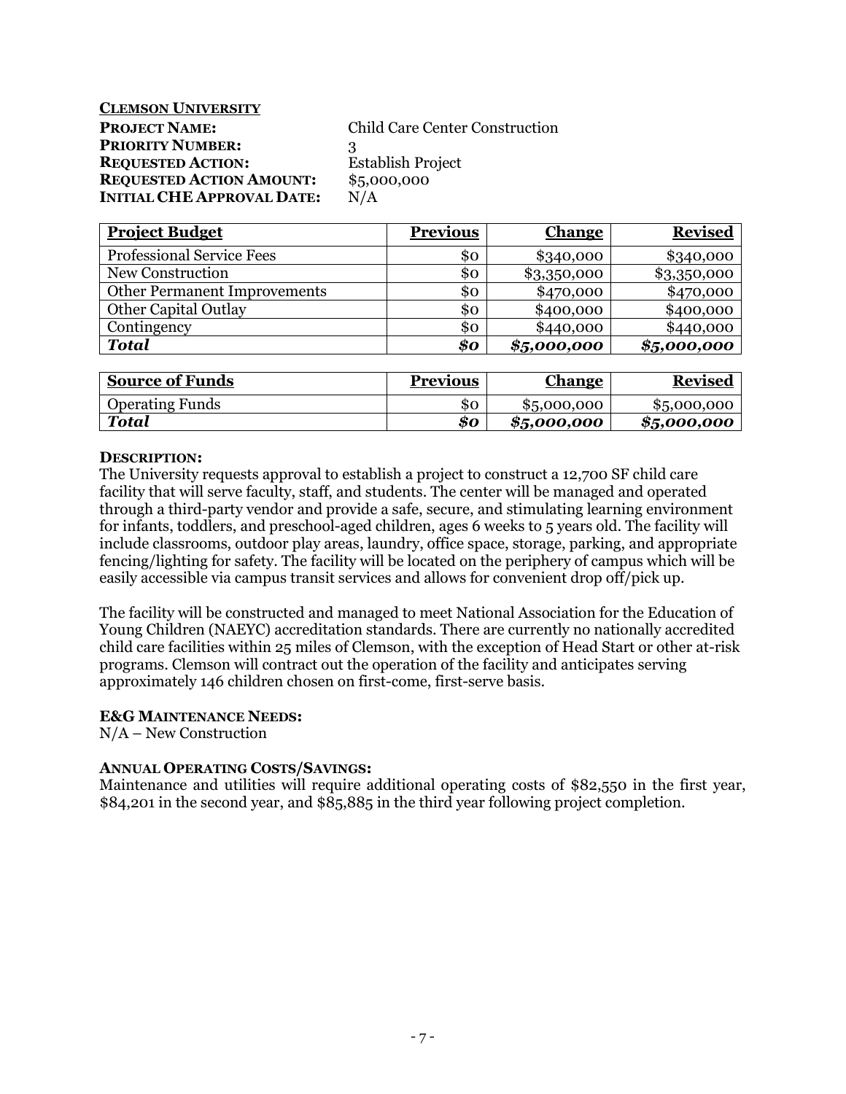# **CLEMSON UNIVERSITY PROJECT NAME:** Child Care Center Construction **PRIORITY NUMBER:** 3 **REQUESTED ACTION:** Establish Project **REQUESTED ACTION AMOUNT:** \$5,000,000 **INITIAL CHE APPROVAL DATE:** N/A

| <b>Project Budget</b>               | <b>Previous</b> | <b>Change</b> | <b>Revised</b> |
|-------------------------------------|-----------------|---------------|----------------|
| <b>Professional Service Fees</b>    | \$ο             | \$340,000     | \$340,000      |
| New Construction                    | 80              | \$3,350,000   | \$3,350,000    |
| <b>Other Permanent Improvements</b> | \$0             | \$470,000     | \$470,000      |
| <b>Other Capital Outlay</b>         | \$0             | \$400,000     | \$400,000      |
| Contingency                         | \$0             | \$440,000     | \$440,000      |
| <b>Total</b>                        | \$0             | \$5,000,000   | \$5,000,000    |

| <b>Source of Funds</b> | <b>Previous</b> | <u>Change</u> | <b>Revised</b> |
|------------------------|-----------------|---------------|----------------|
| <b>Operating Funds</b> | \$0             | \$5,000,000   | \$5,000,000    |
| <b>Total</b>           | 80              | \$5,000,000   | \$5,000,000    |

# **DESCRIPTION:**

The University requests approval to establish a project to construct a 12,700 SF child care facility that will serve faculty, staff, and students. The center will be managed and operated through a third-party vendor and provide a safe, secure, and stimulating learning environment for infants, toddlers, and preschool-aged children, ages 6 weeks to 5 years old. The facility will include classrooms, outdoor play areas, laundry, office space, storage, parking, and appropriate fencing/lighting for safety. The facility will be located on the periphery of campus which will be easily accessible via campus transit services and allows for convenient drop off/pick up.

The facility will be constructed and managed to meet National Association for the Education of Young Children (NAEYC) accreditation standards. There are currently no nationally accredited child care facilities within 25 miles of Clemson, with the exception of Head Start or other at-risk programs. Clemson will contract out the operation of the facility and anticipates serving approximately 146 children chosen on first-come, first-serve basis.

# **E&G MAINTENANCE NEEDS:**

N/A – New Construction

# **ANNUAL OPERATING COSTS/SAVINGS:**

Maintenance and utilities will require additional operating costs of \$82,550 in the first year, \$84,201 in the second year, and \$85,885 in the third year following project completion.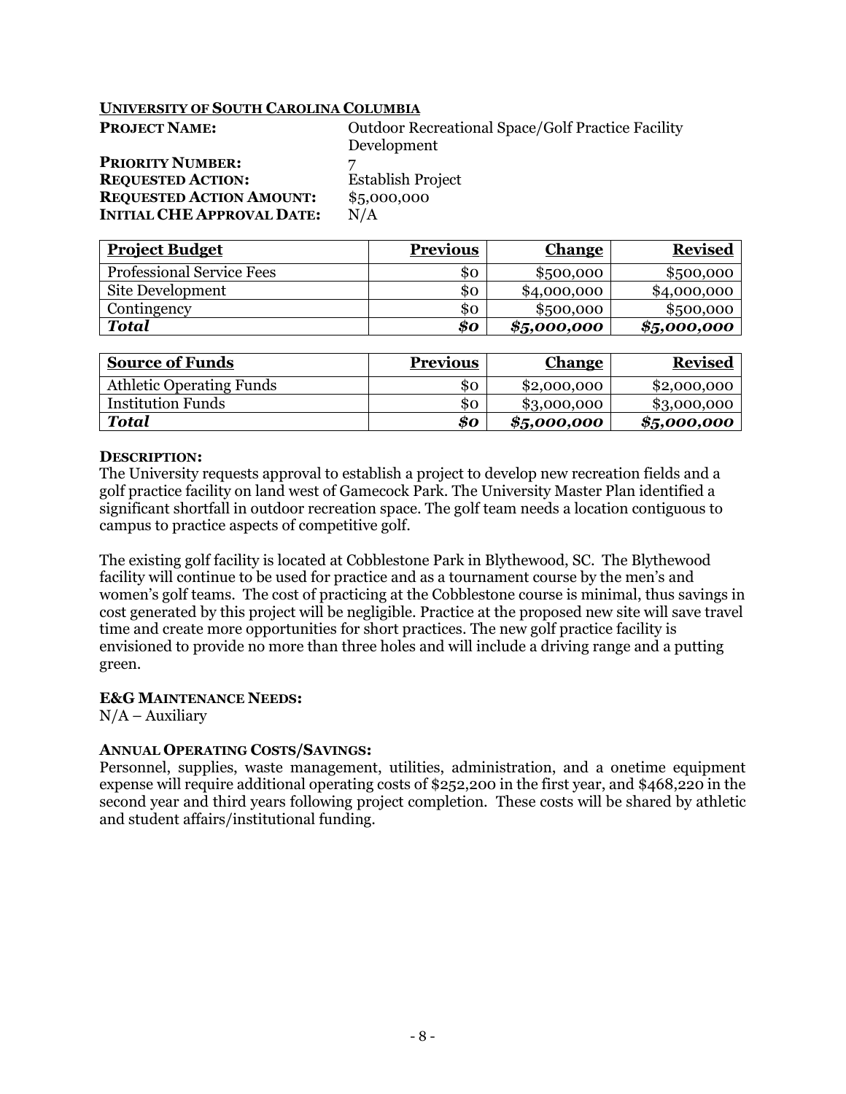| <b>PROJECT NAME:</b>              | <b>Outdoor Recreational Space/Golf Practice Facility</b> |
|-----------------------------------|----------------------------------------------------------|
|                                   | Development                                              |
| <b>PRIORITY NUMBER:</b>           |                                                          |
| <b>REQUESTED ACTION:</b>          | <b>Establish Project</b>                                 |
| <b>REQUESTED ACTION AMOUNT:</b>   | \$5,000,000                                              |
| <b>INITIAL CHE APPROVAL DATE:</b> | N/A                                                      |

| <b>Project Budget</b>            | <b>Previous</b> | <b>Change</b> | <b>Revised</b> |
|----------------------------------|-----------------|---------------|----------------|
| <b>Professional Service Fees</b> | 80              | \$500,000     | \$500,000      |
| Site Development                 | \$0             | \$4,000,000   | \$4,000,000    |
| Contingency                      | \$0             | \$500,000     | \$500,000      |
| <b>Total</b>                     | 80              | \$5,000,000   | \$5,000,000    |

| <b>Source of Funds</b>          | <b>Previous</b> | <b>Change</b> | <b>Revised</b> |
|---------------------------------|-----------------|---------------|----------------|
| <b>Athletic Operating Funds</b> | 80              | \$2,000,000   | \$2,000,000    |
| <b>Institution Funds</b>        | 80              | \$3,000,000   | \$3,000,000    |
| Total                           | 80              | \$5,000,000   | \$5,000,000    |

### **DESCRIPTION:**

The University requests approval to establish a project to develop new recreation fields and a golf practice facility on land west of Gamecock Park. The University Master Plan identified a significant shortfall in outdoor recreation space. The golf team needs a location contiguous to campus to practice aspects of competitive golf.

The existing golf facility is located at Cobblestone Park in Blythewood, SC. The Blythewood facility will continue to be used for practice and as a tournament course by the men's and women's golf teams. The cost of practicing at the Cobblestone course is minimal, thus savings in cost generated by this project will be negligible. Practice at the proposed new site will save travel time and create more opportunities for short practices. The new golf practice facility is envisioned to provide no more than three holes and will include a driving range and a putting green.

# **E&G MAINTENANCE NEEDS:**

 $N/A -$ Auxiliary

# **ANNUAL OPERATING COSTS/SAVINGS:**

Personnel, supplies, waste management, utilities, administration, and a onetime equipment expense will require additional operating costs of \$252,200 in the first year, and \$468,220 in the second year and third years following project completion. These costs will be shared by athletic and student affairs/institutional funding.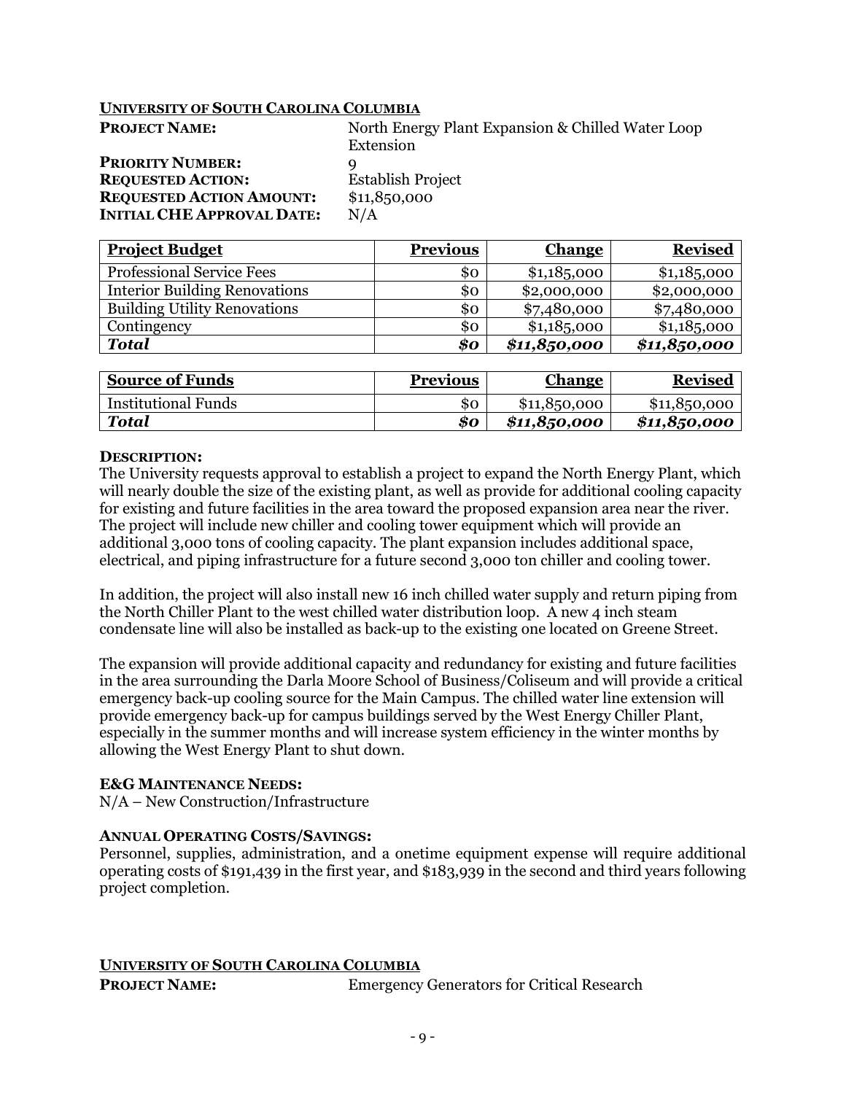| <b>PROJECT NAME:</b>              | North Energy Plant Expansion & Chilled Water Loop |
|-----------------------------------|---------------------------------------------------|
|                                   | Extension                                         |
| <b>PRIORITY NUMBER:</b>           |                                                   |
| <b>REQUESTED ACTION:</b>          | <b>Establish Project</b>                          |
| <b>REQUESTED ACTION AMOUNT:</b>   | \$11,850,000                                      |
| <b>INITIAL CHE APPROVAL DATE:</b> | N/A                                               |

| <b>Project Budget</b>                | <b>Previous</b> | <b>Change</b> | <b>Revised</b> |
|--------------------------------------|-----------------|---------------|----------------|
| <b>Professional Service Fees</b>     | 80              | \$1,18,5000   | \$1,18,5000    |
| <b>Interior Building Renovations</b> | \$0             | \$2,000,000   | \$2,000,000    |
| <b>Building Utility Renovations</b>  | \$ο             | \$7,480,000   | \$7,480,000    |
| Contingency                          | \$0             | \$1,18,5000   | \$1,18,5000    |
| <b>Total</b>                         | \$o             | \$11,850,000  | \$11,850,000   |

| <b>Source of Funds</b>     | <b>Previous</b> | <b>Change</b> | <b>Revised</b> |
|----------------------------|-----------------|---------------|----------------|
| <b>Institutional Funds</b> | SO              | \$11,850,000  | \$11,850,000   |
| Total                      | \$0             | \$11,850,000  | \$11,850,000   |

### **DESCRIPTION:**

The University requests approval to establish a project to expand the North Energy Plant, which will nearly double the size of the existing plant, as well as provide for additional cooling capacity for existing and future facilities in the area toward the proposed expansion area near the river. The project will include new chiller and cooling tower equipment which will provide an additional 3,000 tons of cooling capacity. The plant expansion includes additional space, electrical, and piping infrastructure for a future second 3,000 ton chiller and cooling tower.

In addition, the project will also install new 16 inch chilled water supply and return piping from the North Chiller Plant to the west chilled water distribution loop. A new 4 inch steam condensate line will also be installed as back-up to the existing one located on Greene Street.

The expansion will provide additional capacity and redundancy for existing and future facilities in the area surrounding the Darla Moore School of Business/Coliseum and will provide a critical emergency back-up cooling source for the Main Campus. The chilled water line extension will provide emergency back-up for campus buildings served by the West Energy Chiller Plant, especially in the summer months and will increase system efficiency in the winter months by allowing the West Energy Plant to shut down.

# **E&G MAINTENANCE NEEDS:**

N/A – New Construction/Infrastructure

# **ANNUAL OPERATING COSTS/SAVINGS:**

Personnel, supplies, administration, and a onetime equipment expense will require additional operating costs of \$191,439 in the first year, and \$183,939 in the second and third years following project completion.

# **UNIVERSITY OF SOUTH CAROLINA COLUMBIA**

**PROJECT NAME:** Emergency Generators for Critical Research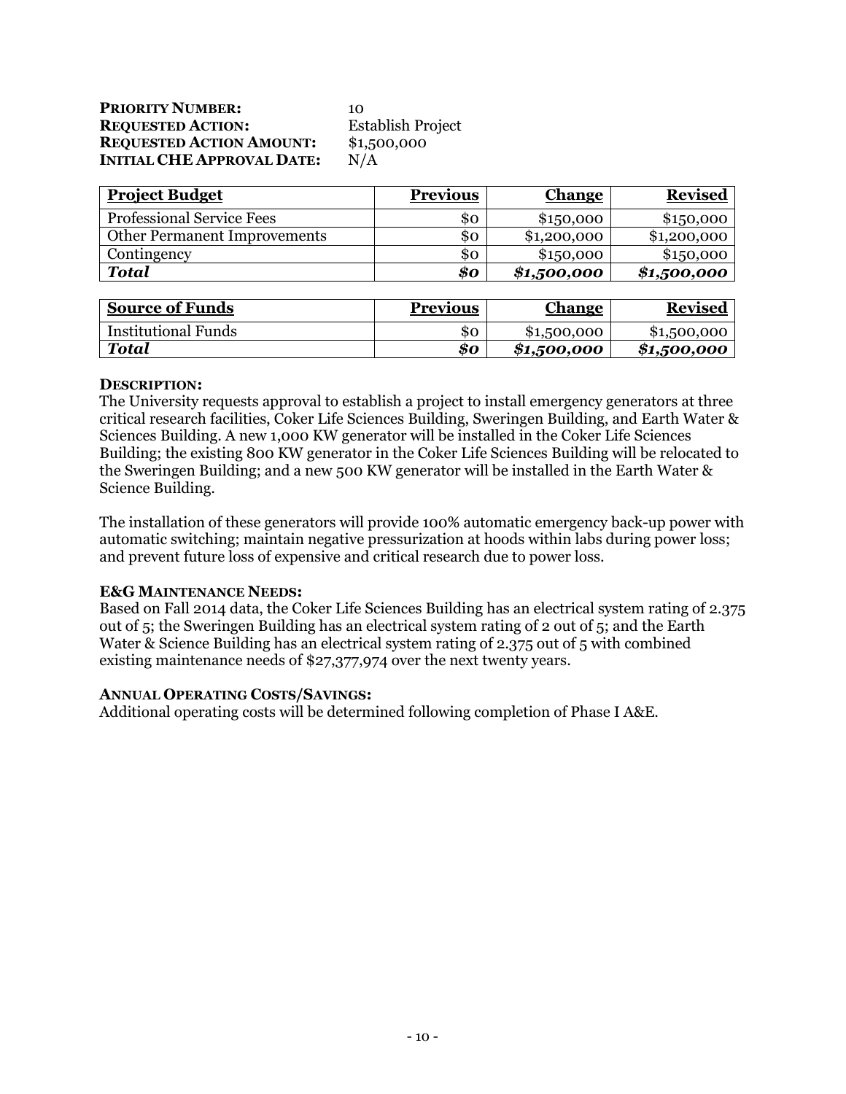| <b>PRIORITY NUMBER:</b>           | 10                       |
|-----------------------------------|--------------------------|
| <b>REQUESTED ACTION:</b>          | <b>Establish Project</b> |
| <b>REQUESTED ACTION AMOUNT:</b>   | \$1,500,000              |
| <b>INITIAL CHE APPROVAL DATE:</b> | N/A                      |

| <b>Project Budget</b>               | <b>Previous</b> | <b>Change</b> | <b>Revised</b> |
|-------------------------------------|-----------------|---------------|----------------|
| <b>Professional Service Fees</b>    | 80              | \$150,000     | \$150,000      |
| <b>Other Permanent Improvements</b> | SO.             | \$1,200,000   | \$1,200,000    |
| Contingency                         | SO.             | \$150,000     | \$150,000      |
| <b>Total</b>                        | 80              | \$1,500,000   | \$1,500,000    |

| <b>Source of Funds</b>     | <b>Previous</b> | <u>Change</u> | <b>Revised</b> |
|----------------------------|-----------------|---------------|----------------|
| <b>Institutional Funds</b> | SO.             | \$1,500,000   | \$1,500,000    |
| Total                      | 80              | \$1,500,000   | \$1,500,000    |

# **DESCRIPTION:**

The University requests approval to establish a project to install emergency generators at three critical research facilities, Coker Life Sciences Building, Sweringen Building, and Earth Water & Sciences Building. A new 1,000 KW generator will be installed in the Coker Life Sciences Building; the existing 800 KW generator in the Coker Life Sciences Building will be relocated to the Sweringen Building; and a new 500 KW generator will be installed in the Earth Water & Science Building.

The installation of these generators will provide 100% automatic emergency back-up power with automatic switching; maintain negative pressurization at hoods within labs during power loss; and prevent future loss of expensive and critical research due to power loss.

# **E&G MAINTENANCE NEEDS:**

Based on Fall 2014 data, the Coker Life Sciences Building has an electrical system rating of 2.375 out of 5; the Sweringen Building has an electrical system rating of 2 out of 5; and the Earth Water & Science Building has an electrical system rating of 2.375 out of 5 with combined existing maintenance needs of \$27,377,974 over the next twenty years.

# **ANNUAL OPERATING COSTS/SAVINGS:**

Additional operating costs will be determined following completion of Phase I A&E.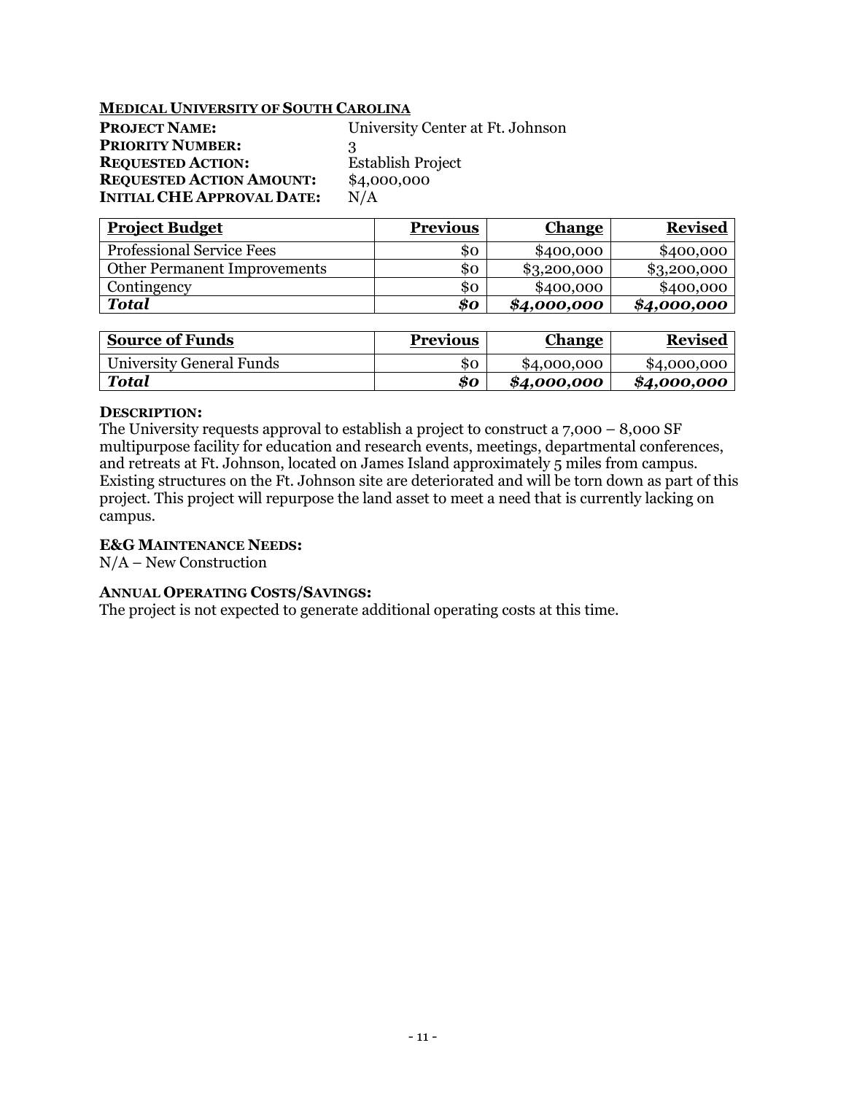## **MEDICAL UNIVERSITY OF SOUTH CAROLINA**

| <b>PROJECT NAME:</b>              | University Center at Ft. Johnson |
|-----------------------------------|----------------------------------|
| <b>PRIORITY NUMBER:</b>           | ર                                |
| <b>REQUESTED ACTION:</b>          | <b>Establish Project</b>         |
| <b>REQUESTED ACTION AMOUNT:</b>   | \$4,000,000                      |
| <b>INITIAL CHE APPROVAL DATE:</b> | N/A                              |

| <b>Project Budget</b>               | <b>Previous</b> | <b>Change</b> | <b>Revised</b> |
|-------------------------------------|-----------------|---------------|----------------|
| <b>Professional Service Fees</b>    | SO.             | \$400,000     | \$400,000      |
| <b>Other Permanent Improvements</b> | SO.             | \$3,200,000   | \$3,200,000    |
| Contingency                         | SO.             | \$400,000     | \$400,000      |
| Total                               | \$0             | \$4,000,000   | \$4,000,000    |

| <b>Source of Funds</b>   | <b>Previous</b> | Change      | <b>Revised</b> |
|--------------------------|-----------------|-------------|----------------|
| University General Funds | SΟ              | \$4,000,000 | \$4,000,000    |
| <b>Total</b>             | 80              | \$4,000,000 | \$4,000,000    |

### **DESCRIPTION:**

The University requests approval to establish a project to construct a 7,000 – 8,000 SF multipurpose facility for education and research events, meetings, departmental conferences, and retreats at Ft. Johnson, located on James Island approximately 5 miles from campus. Existing structures on the Ft. Johnson site are deteriorated and will be torn down as part of this project. This project will repurpose the land asset to meet a need that is currently lacking on campus.

# **E&G MAINTENANCE NEEDS:**

N/A – New Construction

# **ANNUAL OPERATING COSTS/SAVINGS:**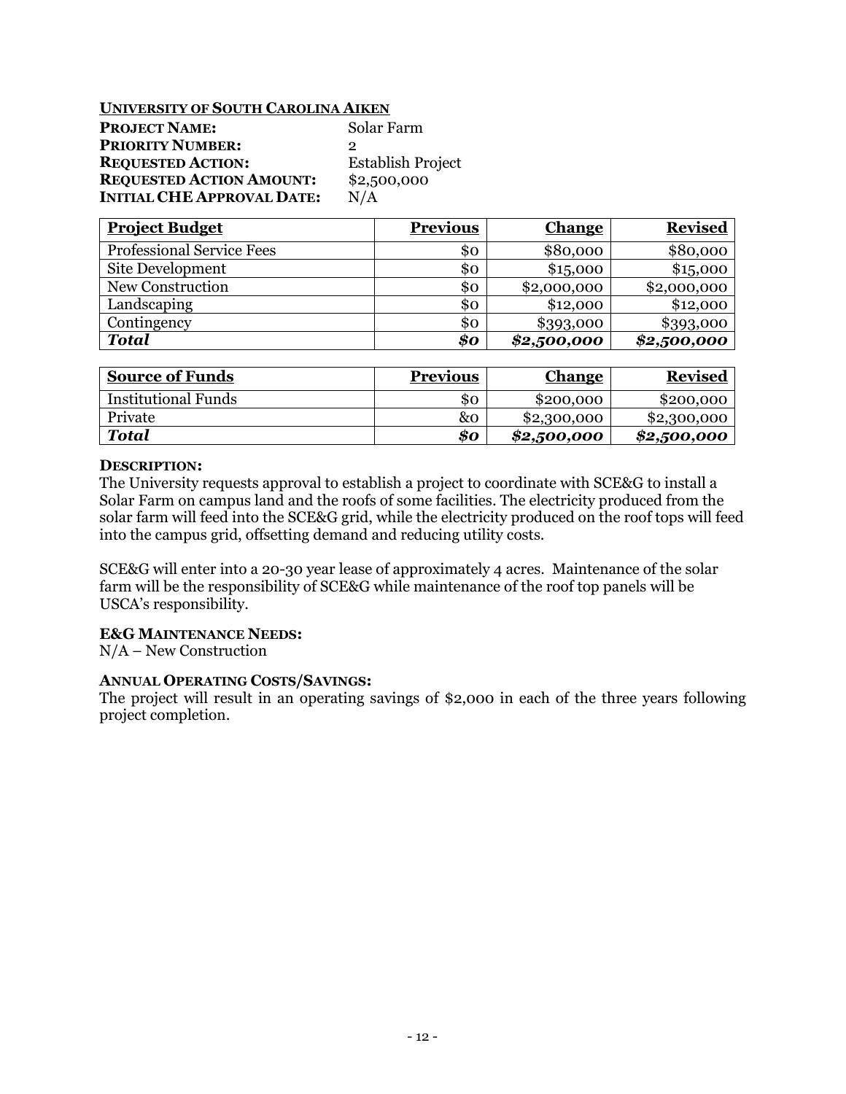# **UNIVERSITY OF SOUTH CAROLINA AIKEN**

| <b>PROJECT NAME:</b>              | Solar Farm               |
|-----------------------------------|--------------------------|
| <b>PRIORITY NUMBER:</b>           | 2                        |
| <b>REQUESTED ACTION:</b>          | <b>Establish Project</b> |
| <b>REQUESTED ACTION AMOUNT:</b>   | \$2,500,000              |
| <b>INITIAL CHE APPROVAL DATE:</b> | N/A                      |

| <b>Project Budget</b>            | <b>Previous</b> | <b>Change</b> | <b>Revised</b> |
|----------------------------------|-----------------|---------------|----------------|
| <b>Professional Service Fees</b> | 80              | \$80,000      | \$80,000       |
| Site Development                 | \$0             | \$15,000      | \$15,000       |
| New Construction                 | \$ο             | \$2,000,000   | \$2,000,000    |
| Landscaping                      | \$0             | \$12,000      | \$12,000       |
| Contingency                      | \$0             | \$393,000     | \$393,000      |
| <b>Total</b>                     | \$o             | \$2,500,000   | \$2,500,000    |

| <b>Source of Funds</b>     | <b>Previous</b> | <b>Change</b> | <b>Revised</b> |
|----------------------------|-----------------|---------------|----------------|
| <b>Institutional Funds</b> | SO.             | \$200,000     | \$200,000      |
| Private                    | &0              | \$2,300,000   | \$2,300,000    |
| <b>Total</b>               | \$0             | \$2,500,000   | \$2,500,000    |

### **DESCRIPTION:**

The University requests approval to establish a project to coordinate with SCE&G to install a Solar Farm on campus land and the roofs of some facilities. The electricity produced from the solar farm will feed into the SCE&G grid, while the electricity produced on the roof tops will feed into the campus grid, offsetting demand and reducing utility costs.

SCE&G will enter into a 20-30 year lease of approximately 4 acres. Maintenance of the solar farm will be the responsibility of SCE&G while maintenance of the roof top panels will be USCA's responsibility.

# **E&G MAINTENANCE NEEDS:**

N/A – New Construction

# **ANNUAL OPERATING COSTS/SAVINGS:**

The project will result in an operating savings of \$2,000 in each of the three years following project completion.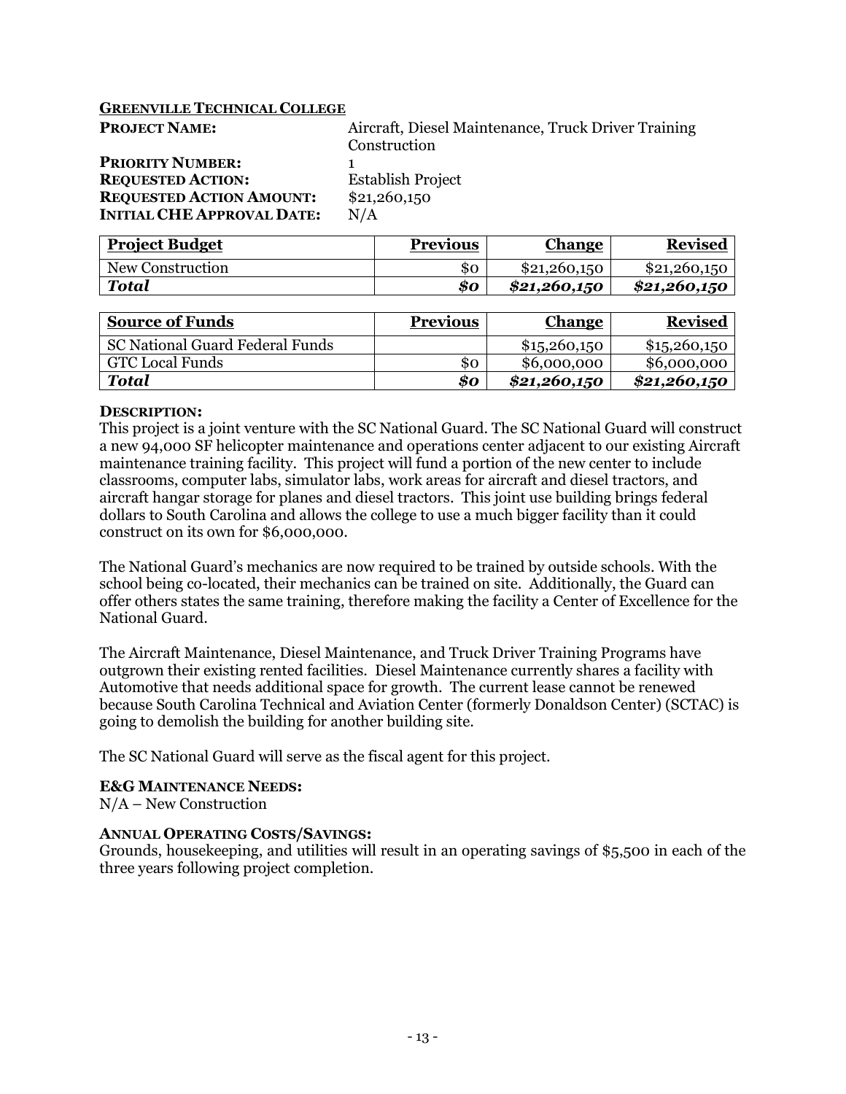# **GREENVILLE TECHNICAL COLLEGE**

| <b>PROJECT NAME:</b>              | Aircraft, Diesel Maintenance, Truck Driver Training |
|-----------------------------------|-----------------------------------------------------|
|                                   | Construction                                        |
| <b>PRIORITY NUMBER:</b>           |                                                     |
| <b>REQUESTED ACTION:</b>          | <b>Establish Project</b>                            |
| <b>REQUESTED ACTION AMOUNT:</b>   | \$21,260,150                                        |
| <b>INITIAL CHE APPROVAL DATE:</b> | N/A                                                 |
|                                   |                                                     |

| <b>Project Budget</b> | <b>Previous</b> | <u>Change</u> | <b>Revised</b> |
|-----------------------|-----------------|---------------|----------------|
| New Construction      | \$0             | \$21,260,150  | \$21,260,150   |
| <b>Total</b>          | 80              | \$21,260,150  | \$21,260,150   |

| <b>Source of Funds</b>                 | <b>Previous</b> | <b>Change</b> | <b>Revised</b> |
|----------------------------------------|-----------------|---------------|----------------|
| <b>SC National Guard Federal Funds</b> |                 | \$1,5260,150  | \$15,260,150   |
| <b>GTC Local Funds</b>                 | 80              | \$6,000,000   | \$6,000,000    |
| <b>Total</b>                           | 80              | \$21,260,150  | \$21,260,150   |

### **DESCRIPTION:**

This project is a joint venture with the SC National Guard. The SC National Guard will construct a new 94,000 SF helicopter maintenance and operations center adjacent to our existing Aircraft maintenance training facility. This project will fund a portion of the new center to include classrooms, computer labs, simulator labs, work areas for aircraft and diesel tractors, and aircraft hangar storage for planes and diesel tractors. This joint use building brings federal dollars to South Carolina and allows the college to use a much bigger facility than it could construct on its own for \$6,000,000.

The National Guard's mechanics are now required to be trained by outside schools. With the school being co-located, their mechanics can be trained on site. Additionally, the Guard can offer others states the same training, therefore making the facility a Center of Excellence for the National Guard.

The Aircraft Maintenance, Diesel Maintenance, and Truck Driver Training Programs have outgrown their existing rented facilities. Diesel Maintenance currently shares a facility with Automotive that needs additional space for growth. The current lease cannot be renewed because South Carolina Technical and Aviation Center (formerly Donaldson Center) (SCTAC) is going to demolish the building for another building site.

The SC National Guard will serve as the fiscal agent for this project.

# **E&G MAINTENANCE NEEDS:**

N/A – New Construction

# **ANNUAL OPERATING COSTS/SAVINGS:**

Grounds, housekeeping, and utilities will result in an operating savings of \$5,500 in each of the three years following project completion.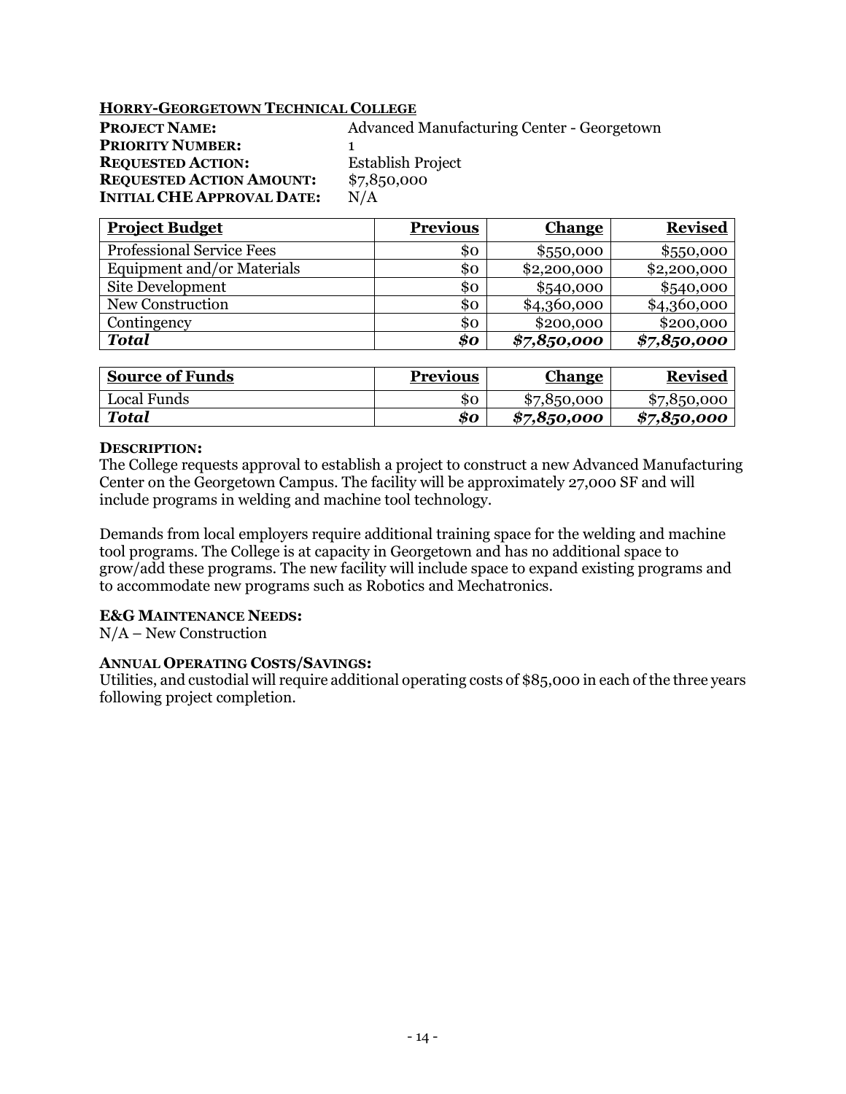# **HORRY-GEORGETOWN TECHNICAL COLLEGE**

| <b>PROJECT NAME:</b>              | <b>Advanced Manufacturing Center - Georgetown</b> |
|-----------------------------------|---------------------------------------------------|
| <b>PRIORITY NUMBER:</b>           |                                                   |
| <b>REQUESTED ACTION:</b>          | <b>Establish Project</b>                          |
| <b>REQUESTED ACTION AMOUNT:</b>   | \$7,850,000                                       |
| <b>INITIAL CHE APPROVAL DATE:</b> | N/A                                               |

| <b>Project Budget</b>            | <b>Previous</b> | <b>Change</b> | <b>Revised</b> |
|----------------------------------|-----------------|---------------|----------------|
| <b>Professional Service Fees</b> | SO.             | \$550,000     | \$550,000      |
| Equipment and/or Materials       | \$0             | \$2,200,000   | \$2,200,000    |
| Site Development                 | \$ο             | \$540,000     | \$540,000      |
| New Construction                 | \$0             | \$4,360,000   | \$4,360,000    |
| Contingency                      | \$Ο             | \$200,000     | \$200,000      |
| <b>Total</b>                     | $\$o$           | \$7,8,50,000  | \$7,850,000    |

| <b>Source of Funds</b> | Previous | <u>Change</u> | <b>Revised</b> |
|------------------------|----------|---------------|----------------|
| Local Funds            | SO.      | \$7,850,000   | \$7,850,000    |
| Total                  | 80       | \$7,8,50,000  | \$7,8,50,000   |

# **DESCRIPTION:**

The College requests approval to establish a project to construct a new Advanced Manufacturing Center on the Georgetown Campus. The facility will be approximately 27,000 SF and will include programs in welding and machine tool technology.

Demands from local employers require additional training space for the welding and machine tool programs. The College is at capacity in Georgetown and has no additional space to grow/add these programs. The new facility will include space to expand existing programs and to accommodate new programs such as Robotics and Mechatronics.

# **E&G MAINTENANCE NEEDS:**

N/A – New Construction

# **ANNUAL OPERATING COSTS/SAVINGS:**

Utilities, and custodial will require additional operating costs of \$85,000 in each of the three years following project completion.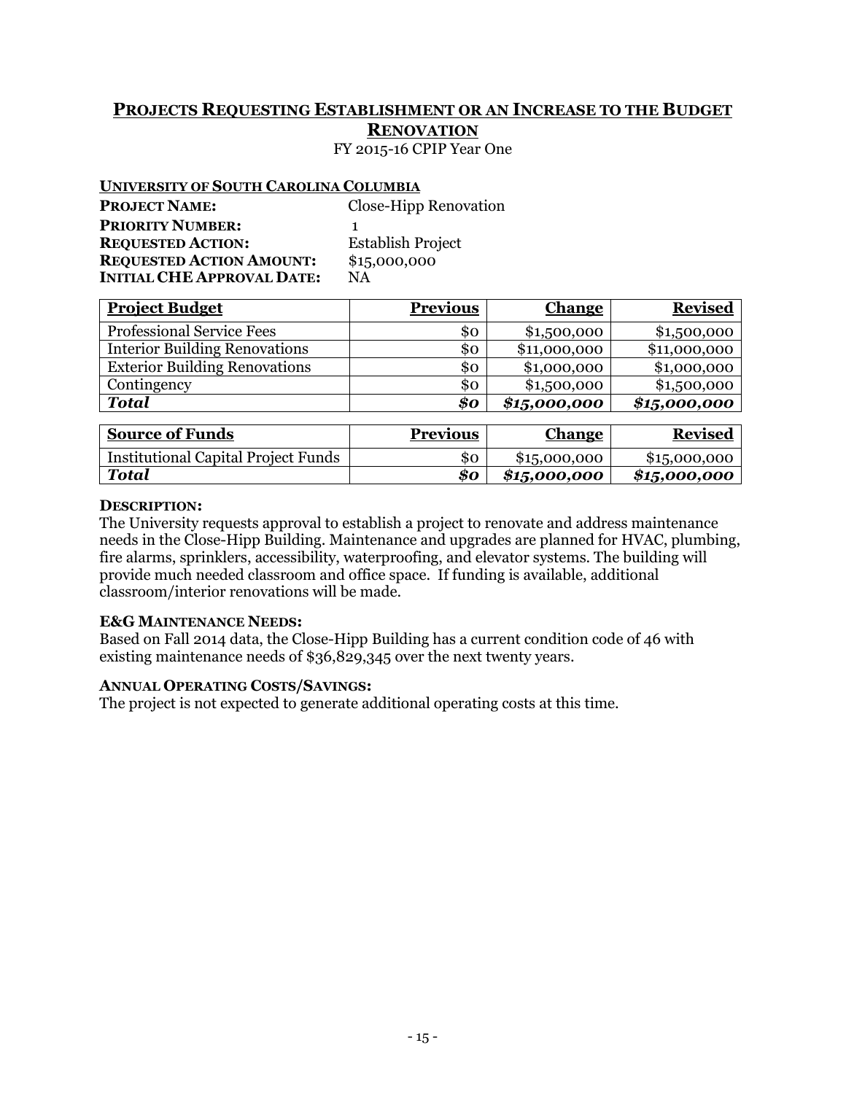# **PROJECTS REQUESTING ESTABLISHMENT OR AN INCREASE TO THE BUDGET RENOVATION** FY 2015-16 CPIP Year One

# **UNIVERSITY OF SOUTH CAROLINA COLUMBIA**

| <u>UNIVERSITI OI DOUTH OAROEHUA COEUMBER</u> |
|----------------------------------------------|
| Close-Hipp Renovation                        |
|                                              |
| Establish Project                            |
| \$15,000,000                                 |
| ΝA                                           |
|                                              |

| <b>Project Budget</b>                | <b>Previous</b> | <b>Change</b> | <b>Revised</b> |
|--------------------------------------|-----------------|---------------|----------------|
| <b>Professional Service Fees</b>     | \$0             | \$1,500,000   | \$1,500,000    |
| <b>Interior Building Renovations</b> | \$0             | \$11,000,000  | \$11,000,000   |
| <b>Exterior Building Renovations</b> | \$0             | \$1,000,000   | \$1,000,000    |
| Contingency                          | \$0             | \$1,500,000   | \$1,500,000    |
| <b>Total</b>                         | \$0             | \$15,000,000  | \$15,000,000   |

| <b>Source of Funds</b>                     | <b>Previous</b> | Change       | <b>Revised</b> |
|--------------------------------------------|-----------------|--------------|----------------|
| <b>Institutional Capital Project Funds</b> | 80              | \$15,000,000 | \$15,000,000   |
| <b>Total</b>                               | 80              | \$15,000,000 | \$15,000,000   |

# **DESCRIPTION:**

The University requests approval to establish a project to renovate and address maintenance needs in the Close-Hipp Building. Maintenance and upgrades are planned for HVAC, plumbing, fire alarms, sprinklers, accessibility, waterproofing, and elevator systems. The building will provide much needed classroom and office space. If funding is available, additional classroom/interior renovations will be made.

# **E&G MAINTENANCE NEEDS:**

Based on Fall 2014 data, the Close-Hipp Building has a current condition code of 46 with existing maintenance needs of \$36,829,345 over the next twenty years.

# **ANNUAL OPERATING COSTS/SAVINGS:**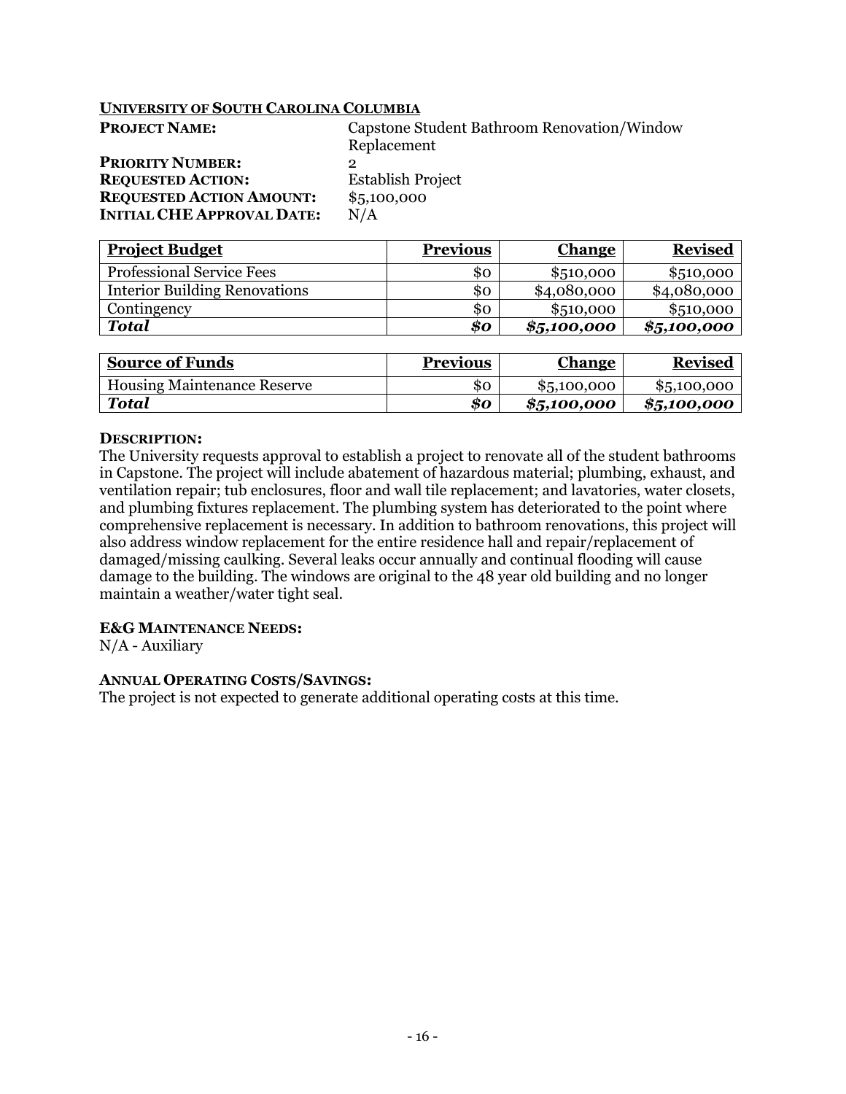| <b>PROJECT NAME:</b>              | Capstone Student Bathroom Renovation/Window |
|-----------------------------------|---------------------------------------------|
|                                   | Replacement                                 |
| <b>PRIORITY NUMBER:</b>           | ∍                                           |
| <b>REQUESTED ACTION:</b>          | <b>Establish Project</b>                    |
| <b>REQUESTED ACTION AMOUNT:</b>   | \$5,100,000                                 |
| <b>INITIAL CHE APPROVAL DATE:</b> | N/A                                         |

| <b>Project Budget</b>                | <b>Previous</b> | <u>Change</u> | <b>Revised</b> |
|--------------------------------------|-----------------|---------------|----------------|
| <b>Professional Service Fees</b>     | SO              | \$510,000     | \$510,000      |
| <b>Interior Building Renovations</b> | \$ο             | \$4,080,000   | \$4,080,000    |
| Contingency                          | \$ο             | \$510,000     | \$510,000      |
| <b>Total</b>                         | \$o             | \$5,100,000   | \$5,100,000    |

| <b>Source of Funds</b>             | <b>Previous</b> | <b>Change</b> | <b>Revised</b> |
|------------------------------------|-----------------|---------------|----------------|
| <b>Housing Maintenance Reserve</b> | SO              | \$5,100,000   | \$5,100,000    |
| Total                              | 80              | \$5,100,000   | \$5,100,000    |

### **DESCRIPTION:**

The University requests approval to establish a project to renovate all of the student bathrooms in Capstone. The project will include abatement of hazardous material; plumbing, exhaust, and ventilation repair; tub enclosures, floor and wall tile replacement; and lavatories, water closets, and plumbing fixtures replacement. The plumbing system has deteriorated to the point where comprehensive replacement is necessary. In addition to bathroom renovations, this project will also address window replacement for the entire residence hall and repair/replacement of damaged/missing caulking. Several leaks occur annually and continual flooding will cause damage to the building. The windows are original to the 48 year old building and no longer maintain a weather/water tight seal.

#### **E&G MAINTENANCE NEEDS:**

N/A - Auxiliary

# **ANNUAL OPERATING COSTS/SAVINGS:**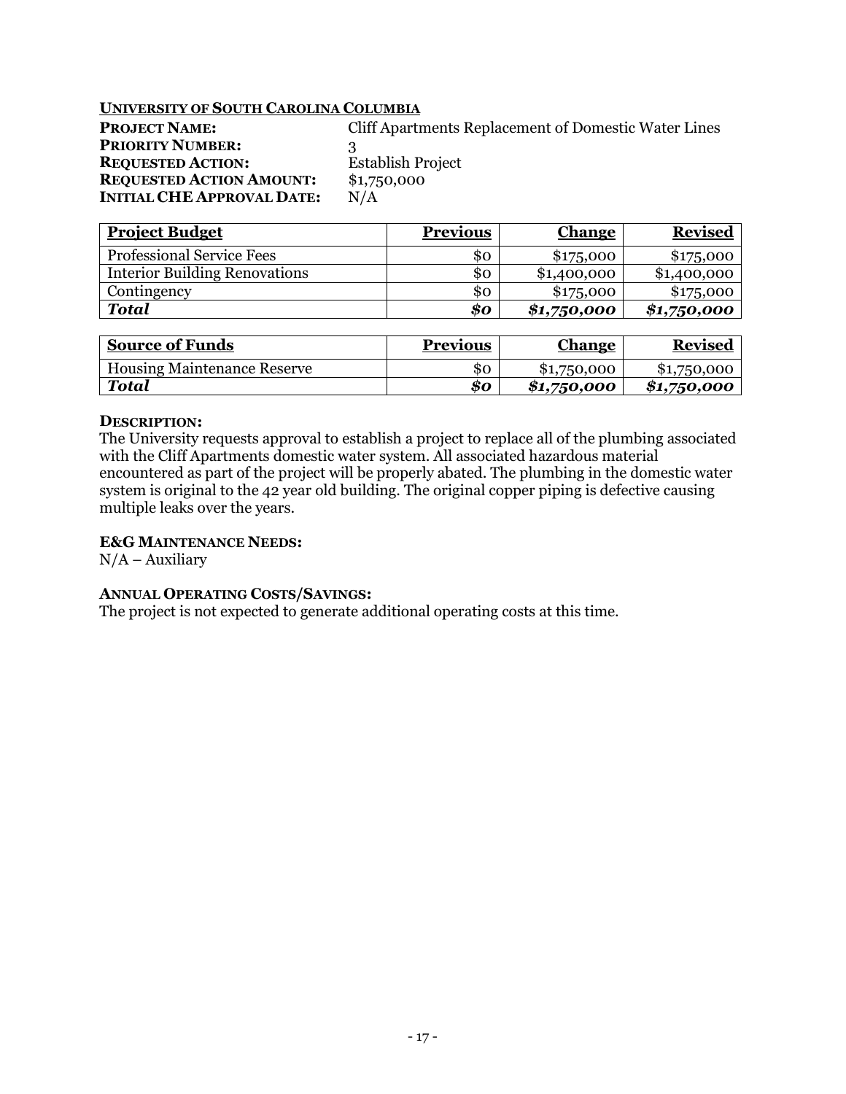| <b>PROJECT NAME:</b>              |    |
|-----------------------------------|----|
| <b>PRIORITY NUMBER:</b>           | 3  |
| <b>REQUESTED ACTION:</b>          | F  |
| <b>REQUESTED ACTION AMOUNT:</b>   | \$ |
| <b>INITIAL CHE APPROVAL DATE:</b> | N  |

**Cliff Apartments Replacement of Domestic Water Lines Establish Project**  $$1,750,000$ 

| <b>Project Budget</b>                | <b>Previous</b> | <b>Change</b> | <b>Revised</b> |
|--------------------------------------|-----------------|---------------|----------------|
| <b>Professional Service Fees</b>     | \$0             | \$175,000     | \$175,000      |
| <b>Interior Building Renovations</b> | \$ο             | \$1,400,000   | \$1,400,000    |
| Contingency                          | \$ο             | \$175,000     | \$175,000      |
| <b>Total</b>                         | \$0             | \$1,750,000   | \$1,750,000    |

 $N/A$ 

| <b>Source of Funds</b>             | <b>Previous</b> | <b>Change</b> | <b>Revised</b> |
|------------------------------------|-----------------|---------------|----------------|
| <b>Housing Maintenance Reserve</b> | SO              | \$1,750,000   | \$1,750,000    |
| Total                              | 80              | \$1,750,000   | \$1,750,000    |

# **DESCRIPTION:**

The University requests approval to establish a project to replace all of the plumbing associated with the Cliff Apartments domestic water system. All associated hazardous material encountered as part of the project will be properly abated. The plumbing in the domestic water system is original to the 42 year old building. The original copper piping is defective causing multiple leaks over the years.

# **E&G MAINTENANCE NEEDS:**

 $N/A -$ Auxiliary

# **ANNUAL OPERATING COSTS/SAVINGS:**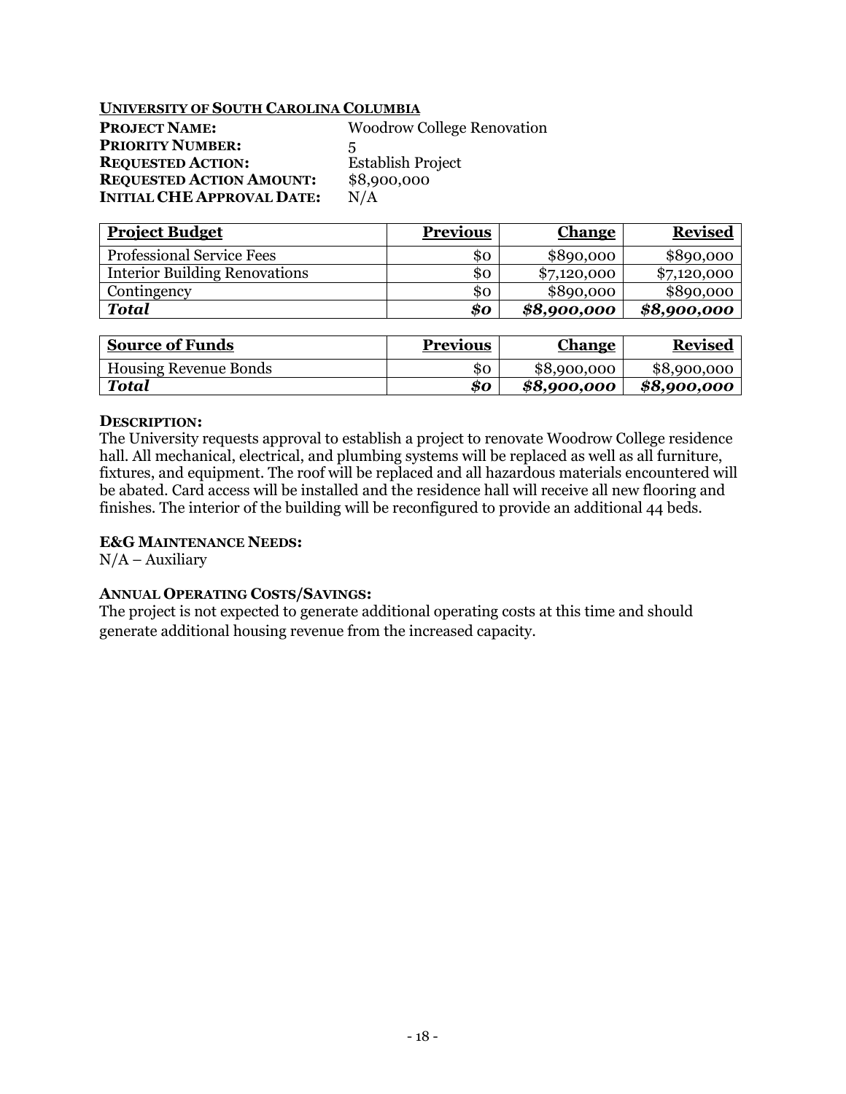| <b>PROJECT NAME:</b>              | <b>Woodrow College Renovation</b> |
|-----------------------------------|-----------------------------------|
| <b>PRIORITY NUMBER:</b>           | 5                                 |
| <b>REQUESTED ACTION:</b>          | <b>Establish Project</b>          |
| <b>REQUESTED ACTION AMOUNT:</b>   | \$8,900,000                       |
| <b>INITIAL CHE APPROVAL DATE:</b> | N/A                               |

| <b>Project Budget</b>                | <b>Previous</b>            | <b>Change</b> | <b>Revised</b> |
|--------------------------------------|----------------------------|---------------|----------------|
| <b>Professional Service Fees</b>     | \$0                        | \$890,000     | \$890,000      |
| <b>Interior Building Renovations</b> | \$ο                        | \$7,120,000   | \$7,120,000    |
| Contingency                          | \$0                        | \$890,000     | \$890,000      |
| <b>Total</b>                         | $\boldsymbol{\mathit{so}}$ | \$8,900,000   | \$8,900,000    |

| <b>Source of Funds</b>       | <b>Previous</b> | <b>Change</b> | <b>Revised</b> |
|------------------------------|-----------------|---------------|----------------|
| <b>Housing Revenue Bonds</b> | 80              | \$8,900,000   | \$8,900,000    |
| Total                        | 80              | \$8,900,000   | \$8,900,000    |

### **DESCRIPTION:**

The University requests approval to establish a project to renovate Woodrow College residence hall. All mechanical, electrical, and plumbing systems will be replaced as well as all furniture, fixtures, and equipment. The roof will be replaced and all hazardous materials encountered will be abated. Card access will be installed and the residence hall will receive all new flooring and finishes. The interior of the building will be reconfigured to provide an additional 44 beds.

# **E&G MAINTENANCE NEEDS:**

 $N/A -$ Auxiliary

# **ANNUAL OPERATING COSTS/SAVINGS:**

The project is not expected to generate additional operating costs at this time and should generate additional housing revenue from the increased capacity.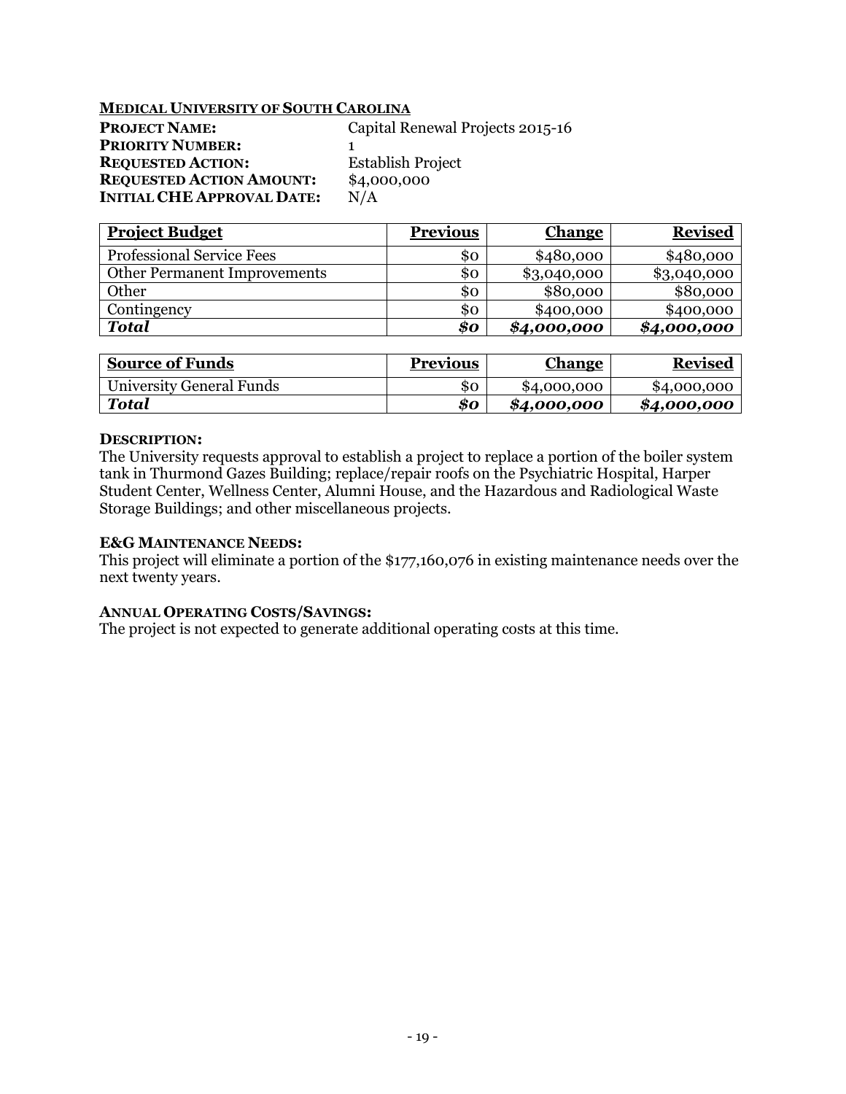# **MEDICAL UNIVERSITY OF SOUTH CAROLINA**

| <b>PROJECT NAME:</b>              | Capital Renewal Projects 2015-16 |
|-----------------------------------|----------------------------------|
| <b>PRIORITY NUMBER:</b>           |                                  |
| <b>REQUESTED ACTION:</b>          | <b>Establish Project</b>         |
| <b>REQUESTED ACTION AMOUNT:</b>   | \$4,000,000                      |
| <b>INITIAL CHE APPROVAL DATE:</b> | N/A                              |

| <b>Project Budget</b>               | <b>Previous</b> | <b>Change</b> | <b>Revised</b> |
|-------------------------------------|-----------------|---------------|----------------|
| <b>Professional Service Fees</b>    | \$0             | \$480,000     | \$480,000      |
| <b>Other Permanent Improvements</b> | \$0             | \$3,040,000   | \$3,040,000    |
| Other                               | \$0             | \$80,000      | \$80,000       |
| Contingency                         | \$ο             | \$400,000     | \$400,000      |
| <b>Total</b>                        | \$0             | \$4,000,000   | \$4,000,000    |

| <b>Source of Funds</b>   | <b>Previous</b> | <u>Change</u> | <b>Revised</b> |
|--------------------------|-----------------|---------------|----------------|
| University General Funds | SO              | \$4,000,000   | \$4,000,000    |
| Total                    | 80              | \$4,000,000   | \$4,000,000    |

### **DESCRIPTION:**

The University requests approval to establish a project to replace a portion of the boiler system tank in Thurmond Gazes Building; replace/repair roofs on the Psychiatric Hospital, Harper Student Center, Wellness Center, Alumni House, and the Hazardous and Radiological Waste Storage Buildings; and other miscellaneous projects.

# **E&G MAINTENANCE NEEDS:**

This project will eliminate a portion of the \$177,160,076 in existing maintenance needs over the next twenty years.

# **ANNUAL OPERATING COSTS/SAVINGS:**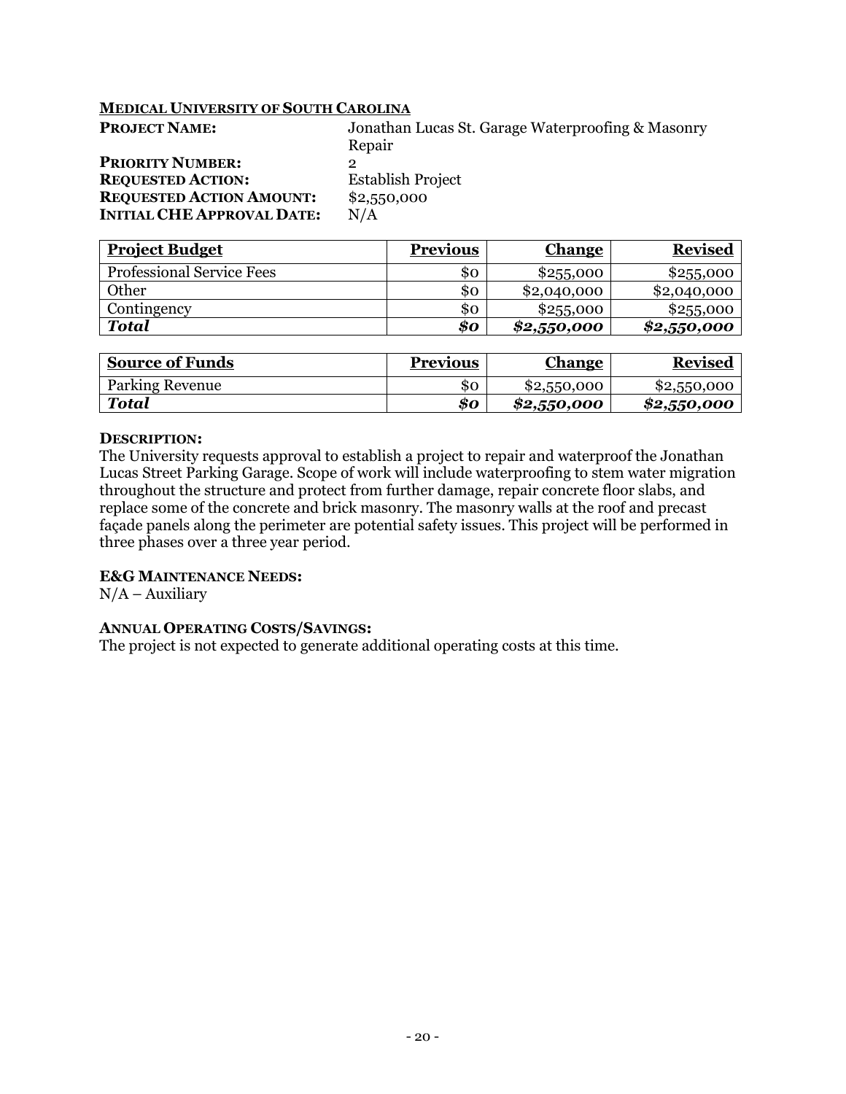## **MEDICAL UNIVERSITY OF SOUTH CAROLINA**

| Jonathan Lucas St. Garage Waterproofing & Masonry |
|---------------------------------------------------|
| Repair                                            |
|                                                   |
| <b>Establish Project</b>                          |
| \$2,550,000                                       |
| N/A                                               |
|                                                   |

| <b>Project Budget</b>            | <b>Previous</b> | <b>Change</b> | <b>Revised</b> |
|----------------------------------|-----------------|---------------|----------------|
| <b>Professional Service Fees</b> | 80              | \$255,000     | \$255,000      |
| Other                            | \$0             | \$2,040,000   | \$2,040,000    |
| Contingency                      | \$0             | \$255,000     | \$255,000      |
| <b>Total</b>                     | 80              | \$2,550,000   | \$2,550,000    |

| <b>Source of Funds</b> | <b>Previous</b> | <u>Change</u> | <b>Revised</b> |
|------------------------|-----------------|---------------|----------------|
| <b>Parking Revenue</b> | 80              | \$2,550,000   | \$2,550,000    |
| Total                  | 80              | \$2,550,000   | \$2,550,000    |

### **DESCRIPTION:**

The University requests approval to establish a project to repair and waterproof the Jonathan Lucas Street Parking Garage. Scope of work will include waterproofing to stem water migration throughout the structure and protect from further damage, repair concrete floor slabs, and replace some of the concrete and brick masonry. The masonry walls at the roof and precast façade panels along the perimeter are potential safety issues. This project will be performed in three phases over a three year period.

## **E&G MAINTENANCE NEEDS:**

 $N/A -$ Auxiliary

#### **ANNUAL OPERATING COSTS/SAVINGS:**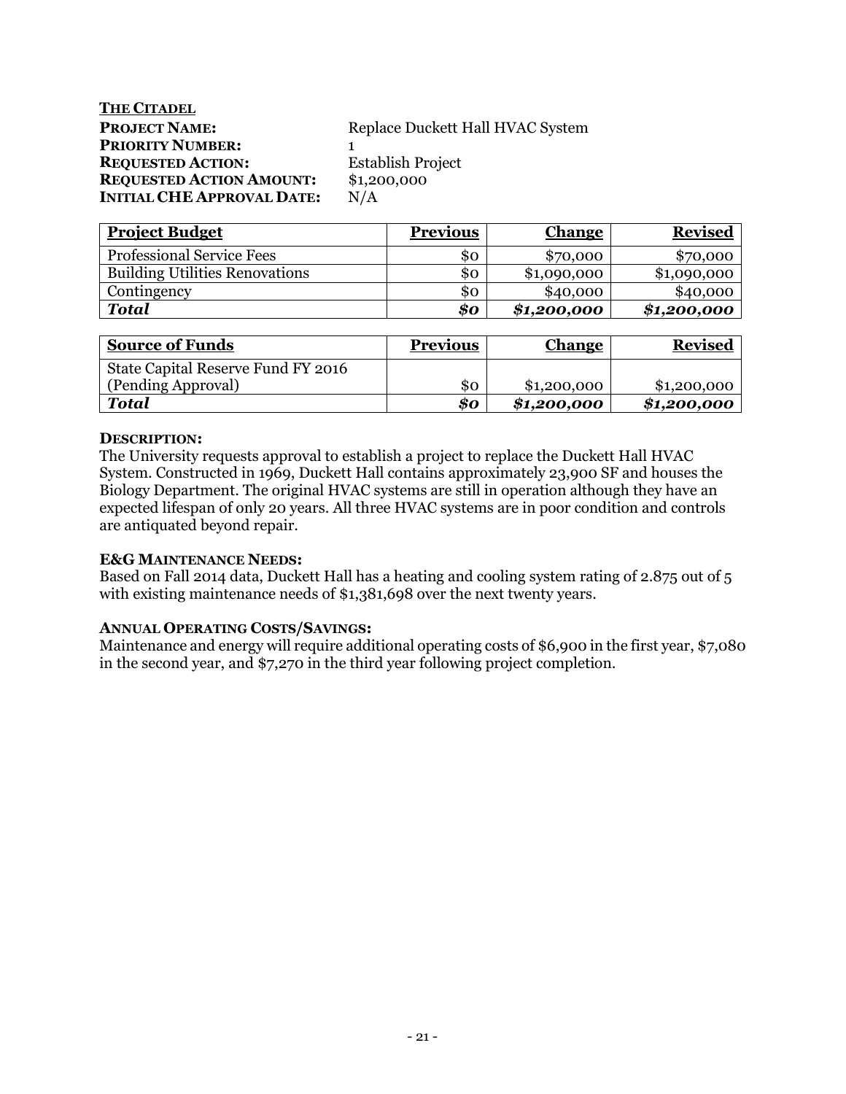# **THE CITADEL PROJECT NAME:** Replace Duckett Hall HVAC System **PRIORITY NUMBER:** 1 **REQUESTED ACTION:** Establish Project **REQUESTED ACTION AMOUNT:** \$1,200,000<br>INITIAL CHE APPROVAL DATE: N/A **INITIAL CHE APPROVAL DATE:**

| <b>Project Budget</b>                 | <b>Previous</b> | <b>Change</b> | <b>Revised</b> |
|---------------------------------------|-----------------|---------------|----------------|
| <b>Professional Service Fees</b>      | \$0             | \$70,000      | \$70,000       |
| <b>Building Utilities Renovations</b> | \$0             | \$1,090,000   | \$1,090,000    |
| Contingency                           | \$0             | \$40,000      | \$40,000       |
| Total                                 | \$0             | \$1,200,000   | \$1,200,000    |

| <b>Source of Funds</b>             | <b>Previous</b> | <b>Change</b> | <b>Revised</b> |
|------------------------------------|-----------------|---------------|----------------|
| State Capital Reserve Fund FY 2016 |                 |               |                |
| (Pending Approval)                 | SO.             | \$1,200,000   | \$1,200,000    |
| <b>Total</b>                       | 80              | \$1,200,000   | \$1,200,000    |

# **DESCRIPTION:**

The University requests approval to establish a project to replace the Duckett Hall HVAC System. Constructed in 1969, Duckett Hall contains approximately 23,900 SF and houses the Biology Department. The original HVAC systems are still in operation although they have an expected lifespan of only 20 years. All three HVAC systems are in poor condition and controls are antiquated beyond repair.

# **E&G MAINTENANCE NEEDS:**

Based on Fall 2014 data, Duckett Hall has a heating and cooling system rating of 2.875 out of 5 with existing maintenance needs of \$1,381,698 over the next twenty years.

# **ANNUAL OPERATING COSTS/SAVINGS:**

Maintenance and energy will require additional operating costs of \$6,900 in the first year, \$7,080 in the second year, and \$7,270 in the third year following project completion.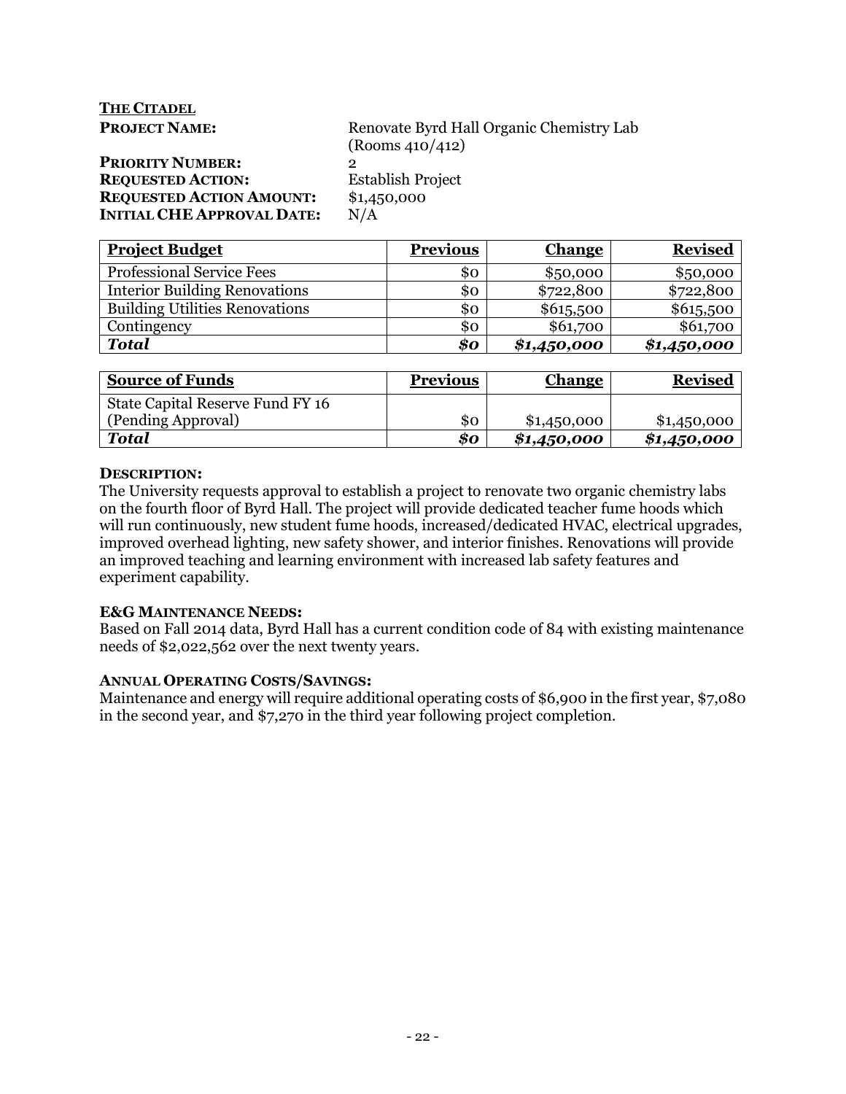| <b>THE CITADEL</b>                |                                          |
|-----------------------------------|------------------------------------------|
| <b>PROJECT NAME:</b>              | Renovate Byrd Hall Organic Chemistry Lab |
|                                   | (Rooms 410/412)                          |
| <b>PRIORITY NUMBER:</b>           | $\mathbf{2}$                             |
| <b>REQUESTED ACTION:</b>          | <b>Establish Project</b>                 |
| <b>REQUESTED ACTION AMOUNT:</b>   | \$1,450,000                              |
| <b>INITIAL CHE APPROVAL DATE:</b> | N/A                                      |
|                                   |                                          |

| <b>Project Budget</b>                 | <b>Previous</b> | <b>Change</b> | <b>Revised</b> |
|---------------------------------------|-----------------|---------------|----------------|
| <b>Professional Service Fees</b>      | \$ο             | \$50,000      | \$50,000       |
| <b>Interior Building Renovations</b>  | \$0             | \$722,800     | \$722,800      |
| <b>Building Utilities Renovations</b> | \$0             | \$615,500     | \$615,500      |
| Contingency                           | \$0             | \$61,700      | \$61,700       |
| <b>Total</b>                          | \$0             | \$1,450,000   | \$1,450,000    |

| <b>Source of Funds</b>           | <b>Previous</b> | <b>Change</b> | <b>Revised</b> |
|----------------------------------|-----------------|---------------|----------------|
| State Capital Reserve Fund FY 16 |                 |               |                |
| (Pending Approval)               | \$0             | \$1,450,000   | \$1,450,000    |
| <b>Total</b>                     | \$0             | \$1,450,000   | \$1,450,000    |

# **DESCRIPTION:**

The University requests approval to establish a project to renovate two organic chemistry labs on the fourth floor of Byrd Hall. The project will provide dedicated teacher fume hoods which will run continuously, new student fume hoods, increased/dedicated HVAC, electrical upgrades, improved overhead lighting, new safety shower, and interior finishes. Renovations will provide an improved teaching and learning environment with increased lab safety features and experiment capability.

# **E&G MAINTENANCE NEEDS:**

Based on Fall 2014 data, Byrd Hall has a current condition code of 84 with existing maintenance needs of \$2,022,562 over the next twenty years.

# **ANNUAL OPERATING COSTS/SAVINGS:**

Maintenance and energy will require additional operating costs of \$6,900 in the first year, \$7,080 in the second year, and \$7,270 in the third year following project completion.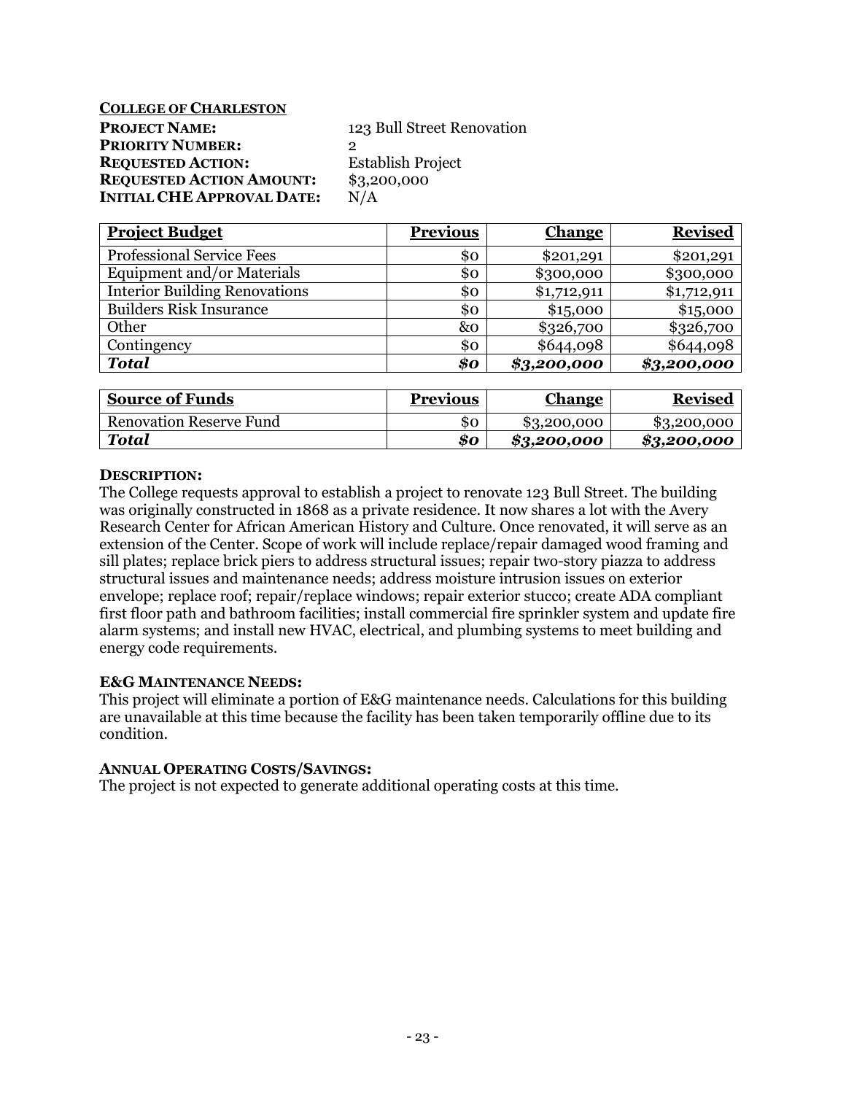**COLLEGE OF CHARLESTON** 

**PROJECT NAME:** 123 Bull Street Renovation **PRIORITY NUMBER: REQUESTED ACTION:** Establish Project **REQUESTED ACTION AMOUNT:** \$3,200,000 **INITIAL CHE APPROVAL DATE:** N/A

| <b>Project Budget</b>                | <b>Previous</b> | <b>Change</b> | <b>Revised</b> |
|--------------------------------------|-----------------|---------------|----------------|
| <b>Professional Service Fees</b>     | \$0             | \$201,291     | \$201,291      |
| Equipment and/or Materials           | \$0             | \$300,000     | \$300,000      |
| <b>Interior Building Renovations</b> | \$0             | \$1,712,911   | \$1,712,911    |
| <b>Builders Risk Insurance</b>       | \$0             | \$15,000      | \$15,000       |
| Other                                | &0              | \$326,700     | \$326,700      |
| Contingency                          | \$0             | \$644,098     | \$644,098      |
| <b>Total</b>                         | \$0             | \$3,200,000   | \$3,200,000    |
|                                      |                 |               |                |

| <b>Source of Funds</b>  | <b>Previous</b> | <b>Change</b> | <b>Revised</b> |
|-------------------------|-----------------|---------------|----------------|
| Renovation Reserve Fund | \$0             | \$3,200,000   | \$3,200,000    |
| Total                   | \$0             | \$3,200,000   | \$3,200,000    |

# **DESCRIPTION:**

The College requests approval to establish a project to renovate 123 Bull Street. The building was originally constructed in 1868 as a private residence. It now shares a lot with the Avery Research Center for African American History and Culture. Once renovated, it will serve as an extension of the Center. Scope of work will include replace/repair damaged wood framing and sill plates; replace brick piers to address structural issues; repair two-story piazza to address structural issues and maintenance needs; address moisture intrusion issues on exterior envelope; replace roof; repair/replace windows; repair exterior stucco; create ADA compliant first floor path and bathroom facilities; install commercial fire sprinkler system and update fire alarm systems; and install new HVAC, electrical, and plumbing systems to meet building and energy code requirements.

# **E&G MAINTENANCE NEEDS:**

This project will eliminate a portion of E&G maintenance needs. Calculations for this building are unavailable at this time because the facility has been taken temporarily offline due to its condition.

# **ANNUAL OPERATING COSTS/SAVINGS:**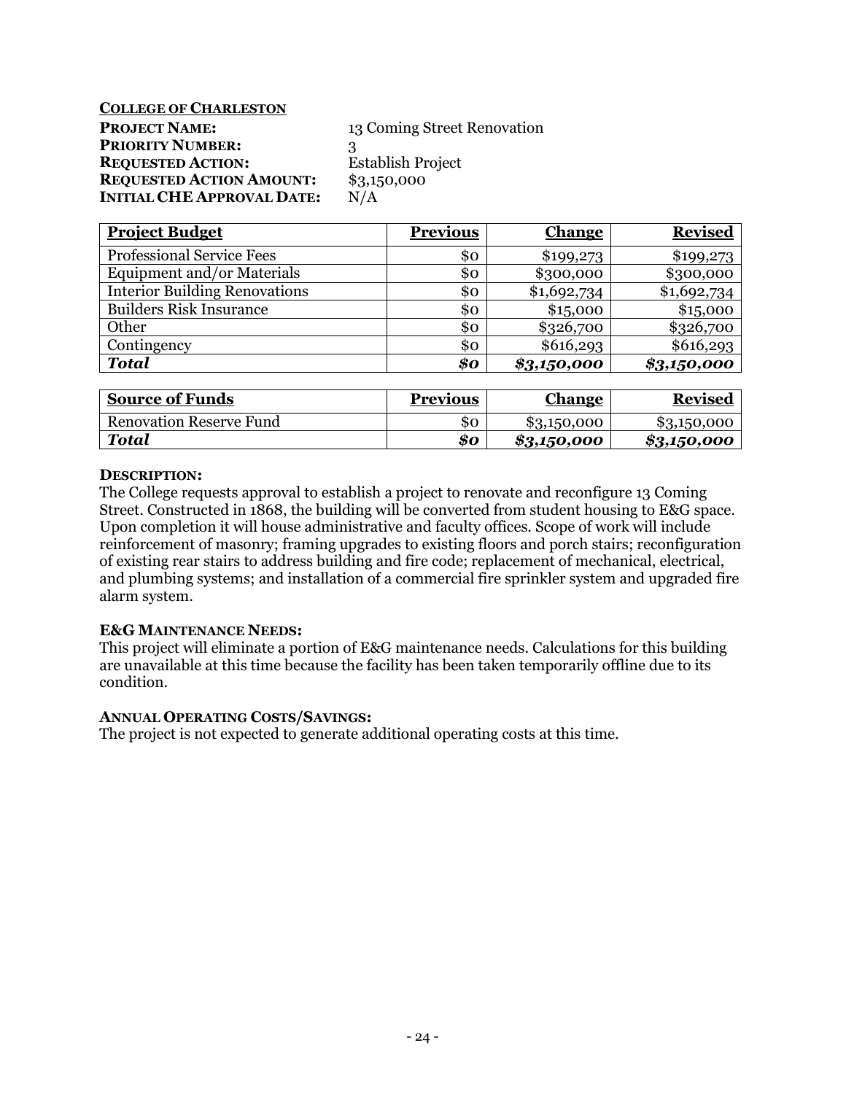**COLLEGE OF CHARLESTON** 

**PROJECT NAME:** 13 Coming Street Renovation **PRIORITY NUMBER:** 3 **REQUESTED ACTION:** Establish Project **REQUESTED ACTION AMOUNT:** \$3,150,000 **INITIAL CHE APPROVAL DATE:** N/A

| <b>Project Budget</b>                | <b>Previous</b> | <b>Change</b> | <b>Revised</b> |
|--------------------------------------|-----------------|---------------|----------------|
| <b>Professional Service Fees</b>     | \$0             | \$199,273     | \$199,273      |
| Equipment and/or Materials           | \$0             | \$300,000     | \$300,000      |
| <b>Interior Building Renovations</b> | \$0             | \$1,692,734   | \$1,692,734    |
| <b>Builders Risk Insurance</b>       | \$0             | \$15,000      | \$15,000       |
| Other                                | \$0             | \$326,700     | \$326,700      |
| Contingency                          | \$0             | \$616,293     | \$616,293      |
| <b>Total</b>                         | \$o             | \$3,150,000   | \$3,150,000    |
|                                      |                 |               |                |

| <b>Source of Funds</b>         | <b>Previous</b> | <b>Change</b> | <b>Revised</b> |
|--------------------------------|-----------------|---------------|----------------|
| <b>Renovation Reserve Fund</b> | 80              | \$3,150,000   | \$3,150,000    |
| Total                          | 80              | \$3,150,000   | \$3,150,000    |

# **DESCRIPTION:**

The College requests approval to establish a project to renovate and reconfigure 13 Coming Street. Constructed in 1868, the building will be converted from student housing to E&G space. Upon completion it will house administrative and faculty offices. Scope of work will include reinforcement of masonry; framing upgrades to existing floors and porch stairs; reconfiguration of existing rear stairs to address building and fire code; replacement of mechanical, electrical, and plumbing systems; and installation of a commercial fire sprinkler system and upgraded fire alarm system.

# **E&G MAINTENANCE NEEDS:**

This project will eliminate a portion of E&G maintenance needs. Calculations for this building are unavailable at this time because the facility has been taken temporarily offline due to its condition.

# **ANNUAL OPERATING COSTS/SAVINGS:**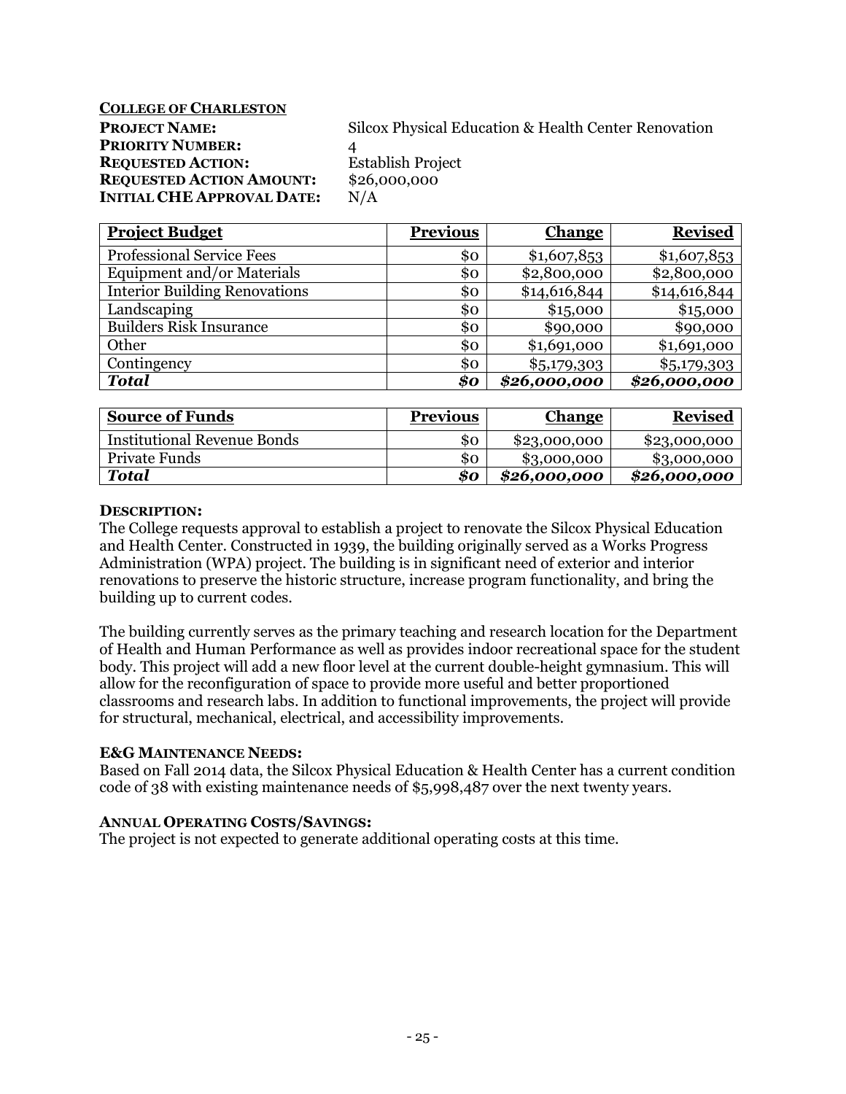**COLLEGE OF CHARLESTON** 

**PRIORITY NUMBER:** 4 **REQUESTED ACTION:** Establish Project **REQUESTED ACTION AMOUNT:** \$26,000,000 **INITIAL CHE APPROVAL DATE:** N/A

**PROJECT NAME:** Silcox Physical Education & Health Center Renovation

| <b>Project Budget</b>                | <b>Previous</b> | <b>Change</b> | <b>Revised</b> |
|--------------------------------------|-----------------|---------------|----------------|
| <b>Professional Service Fees</b>     | \$0             | \$1,607,853   | \$1,607,853    |
| Equipment and/or Materials           | \$0             | \$2,800,000   | \$2,800,000    |
| <b>Interior Building Renovations</b> | \$0             | \$14,616,844  | \$14,616,844   |
| Landscaping                          | \$0             | \$15,000      | \$15,000       |
| <b>Builders Risk Insurance</b>       | \$0             | \$90,000      | \$90,000       |
| Other                                | \$0             | \$1,691,000   | \$1,691,000    |
| Contingency                          | \$0             | \$5,179,303   | \$5,179,303    |
| <b>Total</b>                         | \$0             | \$26,000,000  | \$26,000,000   |

| <b>Source of Funds</b>             | <b>Previous</b> | <b>Change</b> | <b>Revised</b> |
|------------------------------------|-----------------|---------------|----------------|
| <b>Institutional Revenue Bonds</b> | 80              | \$23,000,000  | \$23,000,000   |
| Private Funds                      | \$0             | \$3,000,000   | \$3,000,000    |
| Total                              | \$0             | \$26,000,000  | \$26,000,000   |

# **DESCRIPTION:**

The College requests approval to establish a project to renovate the Silcox Physical Education and Health Center. Constructed in 1939, the building originally served as a Works Progress Administration (WPA) project. The building is in significant need of exterior and interior renovations to preserve the historic structure, increase program functionality, and bring the building up to current codes.

The building currently serves as the primary teaching and research location for the Department of Health and Human Performance as well as provides indoor recreational space for the student body. This project will add a new floor level at the current double-height gymnasium. This will allow for the reconfiguration of space to provide more useful and better proportioned classrooms and research labs. In addition to functional improvements, the project will provide for structural, mechanical, electrical, and accessibility improvements.

# **E&G MAINTENANCE NEEDS:**

Based on Fall 2014 data, the Silcox Physical Education & Health Center has a current condition code of 38 with existing maintenance needs of \$5,998,487 over the next twenty years.

# **ANNUAL OPERATING COSTS/SAVINGS:**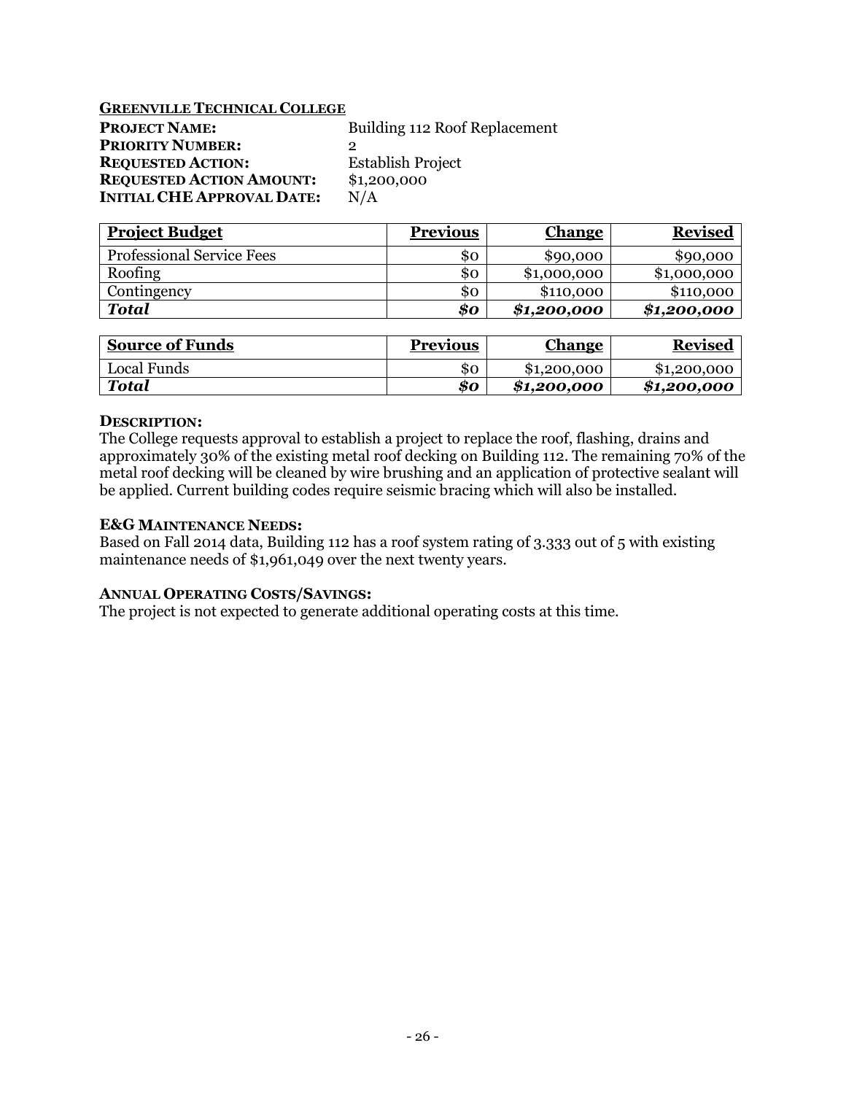## **GREENVILLE TECHNICAL COLLEGE**

| <b>PROJECT NAME:</b>              | Building 112 Roof Replacement |
|-----------------------------------|-------------------------------|
| <b>PRIORITY NUMBER:</b>           |                               |
| <b>REQUESTED ACTION:</b>          | <b>Establish Project</b>      |
| <b>REQUESTED ACTION AMOUNT:</b>   | \$1,200,000                   |
| <b>INITIAL CHE APPROVAL DATE:</b> | N/A                           |

| <b>Project Budget</b>            | <b>Previous</b> | <b>Change</b> | <b>Revised</b> |
|----------------------------------|-----------------|---------------|----------------|
| <b>Professional Service Fees</b> | SO.             | \$90,000      | \$90,000       |
| Roofing                          | 80              | \$1,000,000   | \$1,000,000    |
| Contingency                      | \$0             | \$110,000     | \$110,000      |
| <b>Total</b>                     | \$0             | \$1,200,000   | \$1,200,000    |

| <b>Source of Funds</b> | <b>Previous</b> | Change      | <b>Revised</b> |
|------------------------|-----------------|-------------|----------------|
| Local Funds            | 80              | \$1,200,000 | \$1,200,000    |
| <b>Total</b>           | \$0             | \$1.200.000 | \$1,200,000    |

### **DESCRIPTION:**

The College requests approval to establish a project to replace the roof, flashing, drains and approximately 30% of the existing metal roof decking on Building 112. The remaining 70% of the metal roof decking will be cleaned by wire brushing and an application of protective sealant will be applied. Current building codes require seismic bracing which will also be installed.

### **E&G MAINTENANCE NEEDS:**

Based on Fall 2014 data, Building 112 has a roof system rating of 3.333 out of 5 with existing maintenance needs of \$1,961,049 over the next twenty years.

# **ANNUAL OPERATING COSTS/SAVINGS:**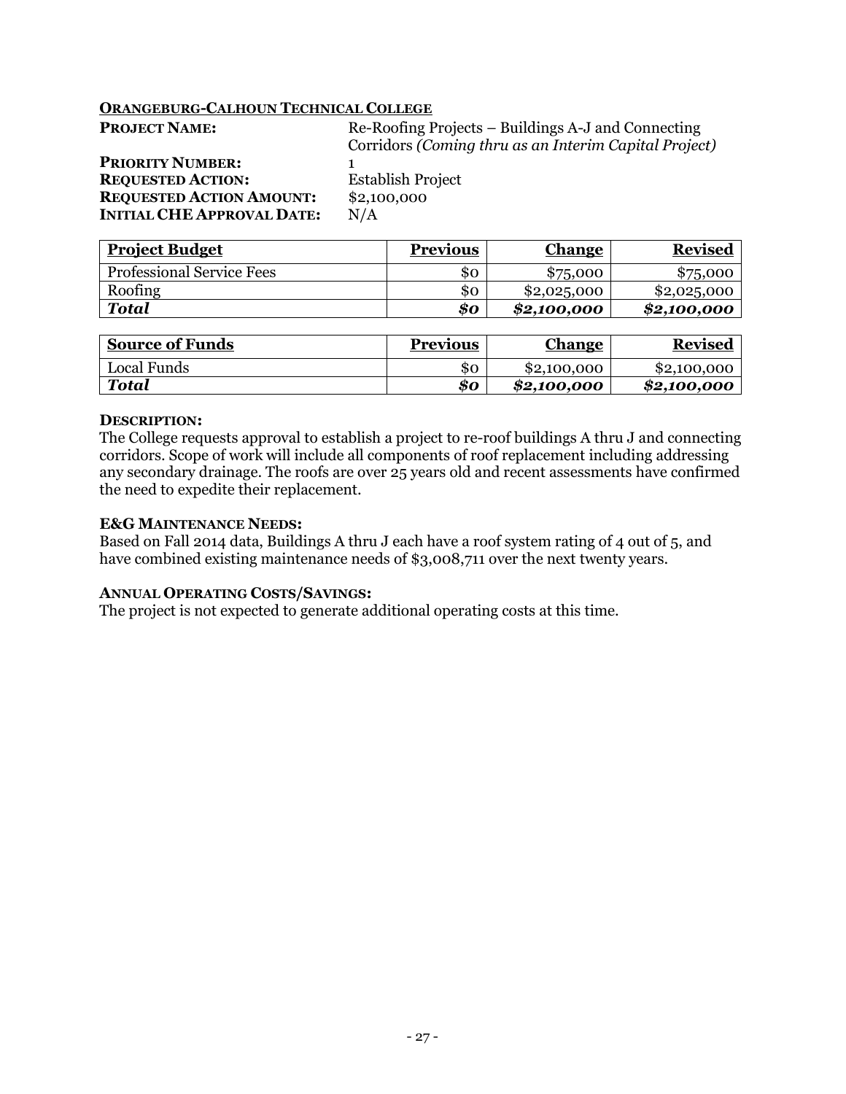# **ORANGEBURG-CALHOUN TECHNICAL COLLEGE**

| <b>PROJECT NAME:</b>              | Re-Roofing Projects – Buildings A-J and Connecting    |
|-----------------------------------|-------------------------------------------------------|
|                                   | Corridors (Coming thru as an Interim Capital Project) |
| <b>PRIORITY NUMBER:</b>           |                                                       |
| <b>REQUESTED ACTION:</b>          | <b>Establish Project</b>                              |
| <b>REQUESTED ACTION AMOUNT:</b>   | \$2,100,000                                           |
| <b>INITIAL CHE APPROVAL DATE:</b> | N/A                                                   |
|                                   |                                                       |

| <b>Project Budget</b>            | <b>Previous</b> | <b>Change</b> | <b>Revised</b> |
|----------------------------------|-----------------|---------------|----------------|
| <b>Professional Service Fees</b> | \$0             | \$75,000      | \$75,000       |
| Roofing                          | \$0             | \$2,025,000   | \$2,025,000    |
| Total                            | \$0             | \$2,100,000   | \$2,100,000    |

| <b>Source of Funds</b> | <b>Previous</b> | <u>Change</u> | <b>Revised</b> |
|------------------------|-----------------|---------------|----------------|
| Local Funds            | \$0             | \$2,100,000   | \$2,100,000    |
| <b>Total</b>           | \$0             | \$2,100,000   | \$2,100,000    |

#### **DESCRIPTION:**

The College requests approval to establish a project to re-roof buildings A thru J and connecting corridors. Scope of work will include all components of roof replacement including addressing any secondary drainage. The roofs are over 25 years old and recent assessments have confirmed the need to expedite their replacement.

# **E&G MAINTENANCE NEEDS:**

Based on Fall 2014 data, Buildings A thru J each have a roof system rating of 4 out of 5, and have combined existing maintenance needs of \$3,008,711 over the next twenty years.

# **ANNUAL OPERATING COSTS/SAVINGS:**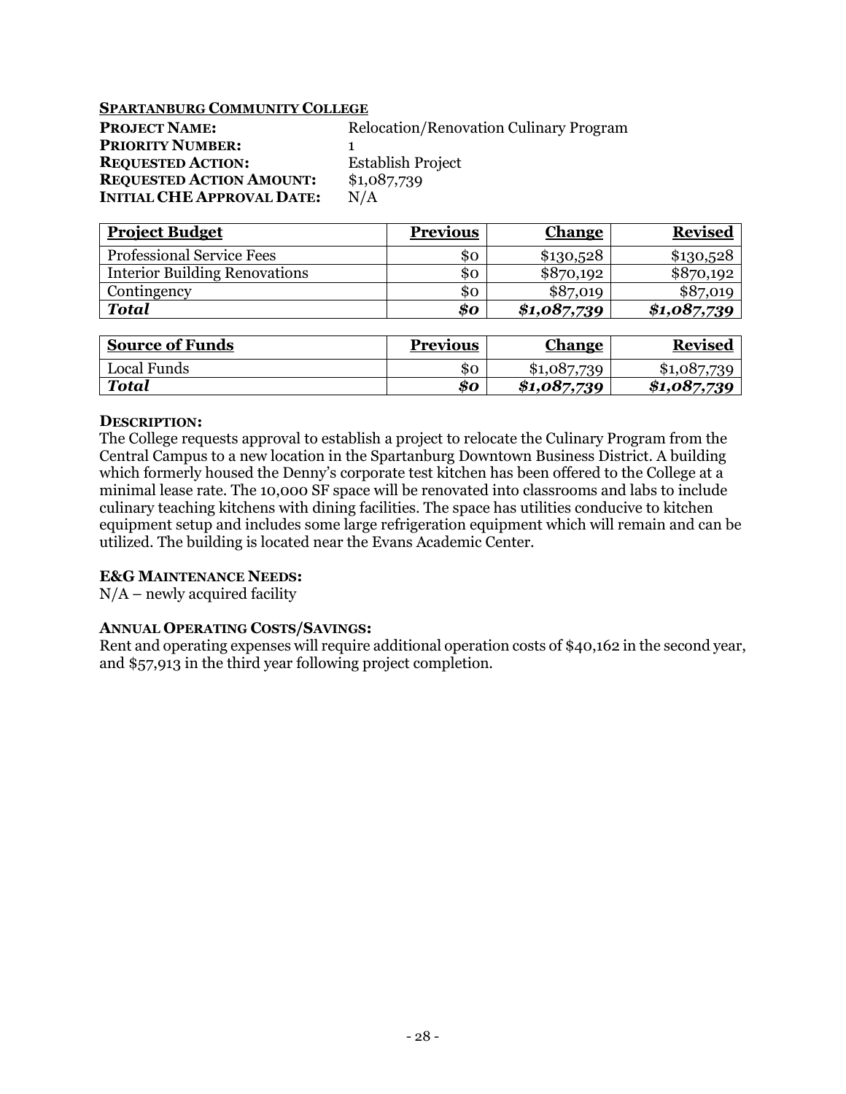# **SPARTANBURG COMMUNITY COLLEGE**

| <b>PROJECT NAME:</b>              | <b>Relocation/Renovation Culinary Program</b> |
|-----------------------------------|-----------------------------------------------|
| <b>PRIORITY NUMBER:</b>           |                                               |
| <b>REQUESTED ACTION:</b>          | <b>Establish Project</b>                      |
| <b>REQUESTED ACTION AMOUNT:</b>   | \$1,087,739                                   |
| <b>INITIAL CHE APPROVAL DATE:</b> | N/A                                           |

| <b>Project Budget</b>                | <b>Previous</b> | <b>Change</b> | <b>Revised</b> |
|--------------------------------------|-----------------|---------------|----------------|
| <b>Professional Service Fees</b>     | 80              | \$130,528     | \$130,528      |
| <b>Interior Building Renovations</b> | \$0             | \$870,192     | \$870,192      |
| Contingency                          | \$0             | \$87,019      | \$87,019       |
| <b>Total</b>                         | \$0             | \$1,087,739   | \$1,087,739    |

| <b>Source of Funds</b> | <b>Previous</b> | Change      | <b>Revised</b> |
|------------------------|-----------------|-------------|----------------|
| Local Funds            | \$0             | \$1,087,739 | \$1,087,739    |
| <b>Total</b>           | 80              | \$1,087,739 | \$1,087,739    |

# **DESCRIPTION:**

The College requests approval to establish a project to relocate the Culinary Program from the Central Campus to a new location in the Spartanburg Downtown Business District. A building which formerly housed the Denny's corporate test kitchen has been offered to the College at a minimal lease rate. The 10,000 SF space will be renovated into classrooms and labs to include culinary teaching kitchens with dining facilities. The space has utilities conducive to kitchen equipment setup and includes some large refrigeration equipment which will remain and can be utilized. The building is located near the Evans Academic Center.

# **E&G MAINTENANCE NEEDS:**

 $N/A$  – newly acquired facility

# **ANNUAL OPERATING COSTS/SAVINGS:**

Rent and operating expenses will require additional operation costs of \$40,162 in the second year, and \$57,913 in the third year following project completion.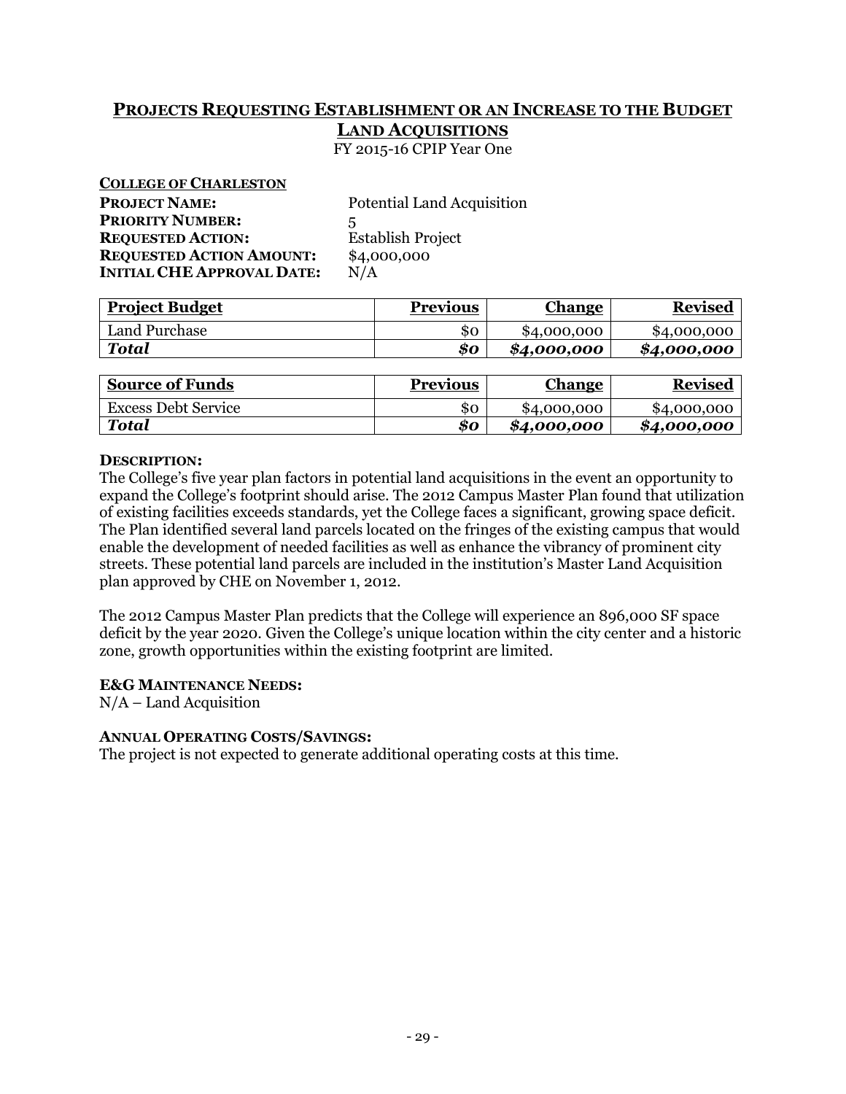# **PROJECTS REQUESTING ESTABLISHMENT OR AN INCREASE TO THE BUDGET LAND ACQUISITIONS**

FY 2015-16 CPIP Year One

| <b>COLLEGE OF CHARLESTON</b>      |                                   |
|-----------------------------------|-----------------------------------|
| <b>PROJECT NAME:</b>              | <b>Potential Land Acquisition</b> |
| <b>PRIORITY NUMBER:</b>           | 5                                 |
| <b>REQUESTED ACTION:</b>          | <b>Establish Project</b>          |
| <b>REQUESTED ACTION AMOUNT:</b>   | \$4,000,000                       |
| <b>INITIAL CHE APPROVAL DATE:</b> | N/A                               |

| <b>Project Budget</b> | <b>Previous</b> | <u>Change</u> | <b>Revised</b> |
|-----------------------|-----------------|---------------|----------------|
| Land Purchase         | \$0             | \$4,000,000   | \$4,000,000    |
| <b>Total</b>          | \$0             | \$4,000,000   | \$4,000,000    |

| <b>Source of Funds</b>     | <b>Previous</b> | <b>Change</b> | <b>Revised</b> |
|----------------------------|-----------------|---------------|----------------|
| <b>Excess Debt Service</b> | \$0             | \$4,000,000   | \$4,000,000    |
| Total                      | 80              | \$4,000,000   | \$4,000,000    |

# **DESCRIPTION:**

The College's five year plan factors in potential land acquisitions in the event an opportunity to expand the College's footprint should arise. The 2012 Campus Master Plan found that utilization of existing facilities exceeds standards, yet the College faces a significant, growing space deficit. The Plan identified several land parcels located on the fringes of the existing campus that would enable the development of needed facilities as well as enhance the vibrancy of prominent city streets. These potential land parcels are included in the institution's Master Land Acquisition plan approved by CHE on November 1, 2012.

The 2012 Campus Master Plan predicts that the College will experience an 896,000 SF space deficit by the year 2020. Given the College's unique location within the city center and a historic zone, growth opportunities within the existing footprint are limited.

# **E&G MAINTENANCE NEEDS:**

N/A – Land Acquisition

# **ANNUAL OPERATING COSTS/SAVINGS:**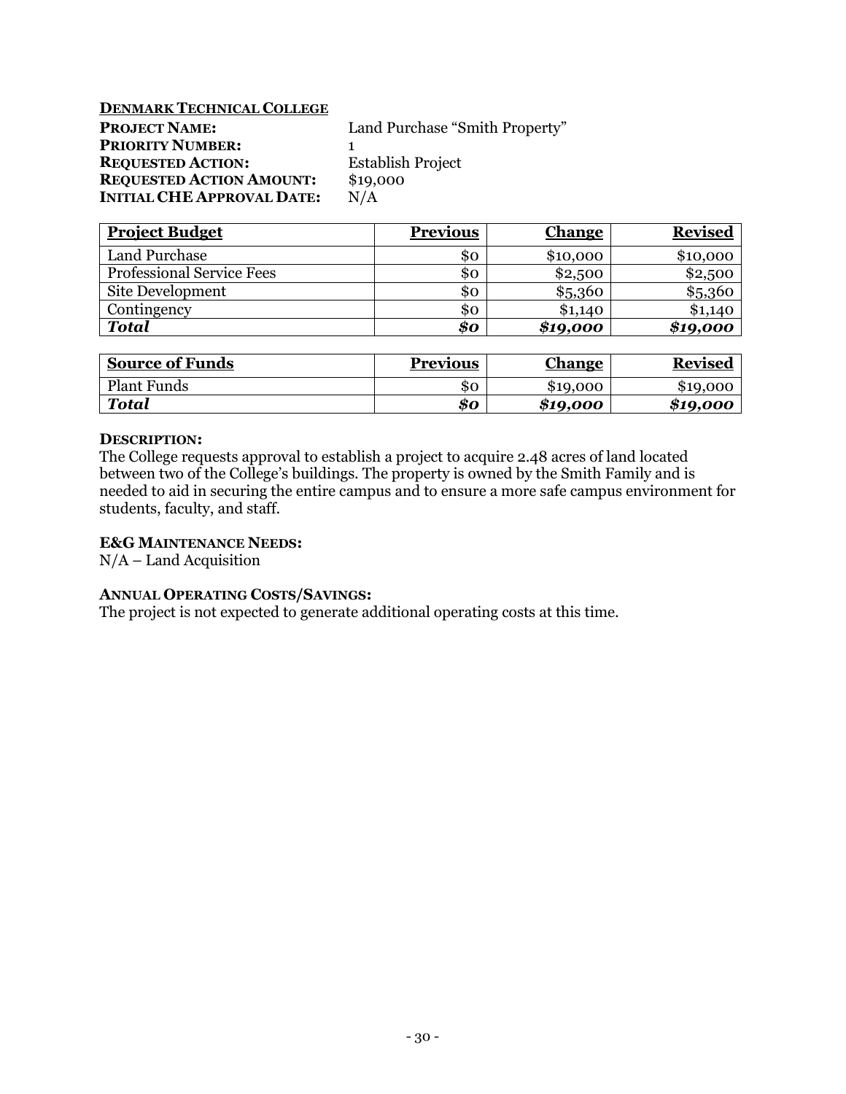# **DENMARK TECHNICAL COLLEGE**

| <b>PROJECT NAME:</b>              | Land Purchase "Smith Property" |  |  |
|-----------------------------------|--------------------------------|--|--|
| <b>PRIORITY NUMBER:</b>           |                                |  |  |
| <b>REQUESTED ACTION:</b>          | <b>Establish Project</b>       |  |  |
| <b>REQUESTED ACTION AMOUNT:</b>   | \$19,000                       |  |  |
| <b>INITIAL CHE APPROVAL DATE:</b> | N/A                            |  |  |

| <b>Project Budget</b>            | <b>Previous</b> | <b>Change</b> | <b>Revised</b> |
|----------------------------------|-----------------|---------------|----------------|
| Land Purchase                    | \$ο             | \$10,000      | \$10,000       |
| <b>Professional Service Fees</b> | 80              | \$2,500       | \$2,500        |
| Site Development                 | \$0             | \$5,360       | \$5,360        |
| Contingency                      | \$0             | \$1,140       | \$1,140        |
| <b>Total</b>                     | \$0             | \$19,000      | \$19,000       |

| <b>Source of Funds</b> | <b>Previous</b> | <b>Change</b> | <b>Revised</b> |
|------------------------|-----------------|---------------|----------------|
| <b>Plant Funds</b>     | 80              | \$19,000      | \$19,000       |
| Total                  | 80              | \$19,000      | \$19,000       |

### **DESCRIPTION:**

The College requests approval to establish a project to acquire 2.48 acres of land located between two of the College's buildings. The property is owned by the Smith Family and is needed to aid in securing the entire campus and to ensure a more safe campus environment for students, faculty, and staff.

# **E&G MAINTENANCE NEEDS:**

N/A – Land Acquisition

# **ANNUAL OPERATING COSTS/SAVINGS:**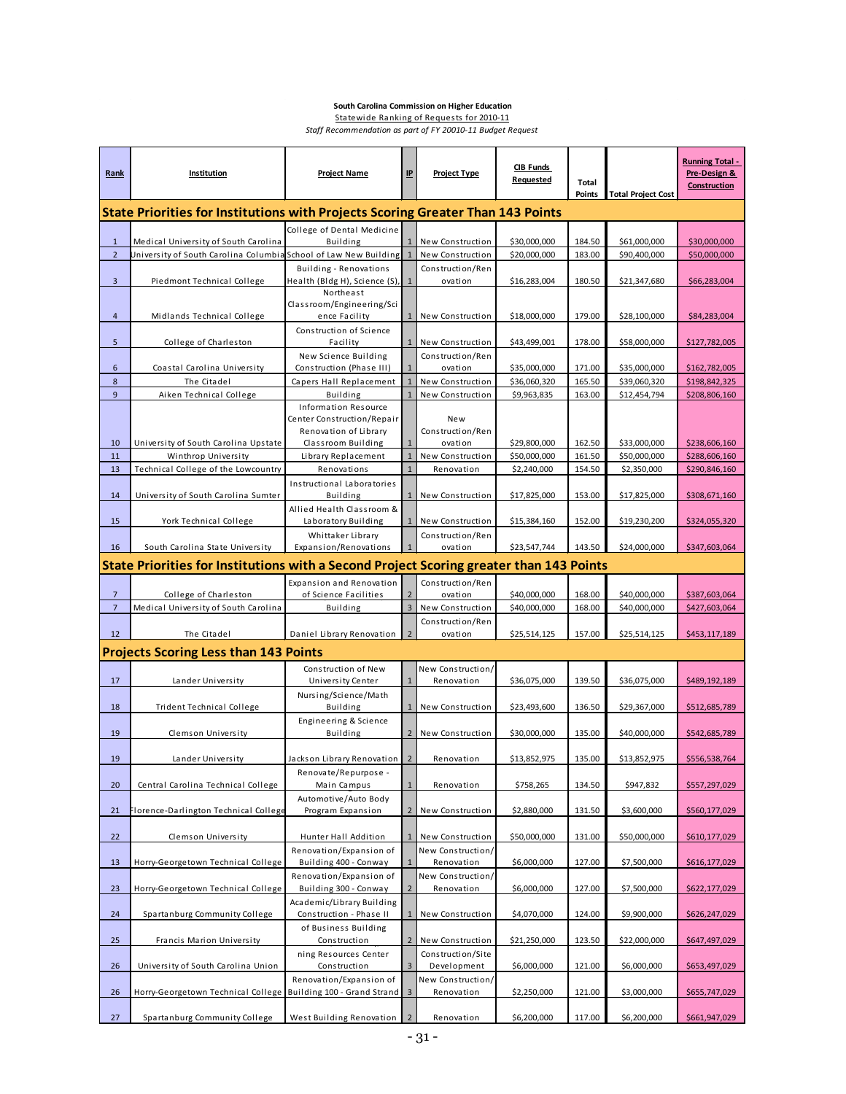#### **South Carolina Commission on Higher Education**

Statewide Ranking of Requests for 2010-11 *Staff Recommendation as part of FY 20010-11 Budget Request*

| Rank                             | Institution                                                                             | <b>Project Name</b>                              | <u>IP</u>                        | <b>Project Type</b>              | <b>CIB Funds</b><br>Requested | Total<br><b>Points</b> | <b>Total Project Cost</b>    | <b>Running Total -</b><br>Pre-Design &<br>Construction |  |  |
|----------------------------------|-----------------------------------------------------------------------------------------|--------------------------------------------------|----------------------------------|----------------------------------|-------------------------------|------------------------|------------------------------|--------------------------------------------------------|--|--|
|                                  | State Priorities for Institutions with Projects Scoring Greater Than 143 Points         |                                                  |                                  |                                  |                               |                        |                              |                                                        |  |  |
| $\mathbf{1}$                     | Medical University of South Carolina                                                    | College of Dental Medicine                       |                                  | New Construction                 | \$30,000,000                  | 184.50                 | \$61,000,000                 | \$30,000,000                                           |  |  |
| $\overline{2}$                   | Jniversity of South Carolina Columbia School of Law New Building                        | Building                                         | $\mathbf{1}$                     | New Construction                 | \$20,000,000                  | 183.00                 | \$90,400,000                 | \$50,000,000                                           |  |  |
|                                  |                                                                                         | Building - Renovations                           |                                  | Construction/Ren                 |                               |                        |                              |                                                        |  |  |
| 3                                | Piedmont Technical College                                                              | Health (Bldg H), Science (S),                    | $\mathbf{1}$                     | ovation                          | \$16,283,004                  | 180.50                 | \$21,347,680                 | \$66,283,004                                           |  |  |
|                                  |                                                                                         | Northeast<br>Classroom/Engineering/Sci           |                                  |                                  |                               |                        |                              |                                                        |  |  |
| $\overline{a}$                   | Midlands Technical College                                                              | ence Facility                                    |                                  | New Construction                 | \$18,000,000                  | 179.00                 | \$28,100,000                 | \$84,283,004                                           |  |  |
| 5                                | College of Charleston                                                                   | Construction of Science<br>Facility              |                                  | New Construction                 | \$43,499,001                  | 178.00                 | \$58,000,000                 | \$127,782,005                                          |  |  |
|                                  |                                                                                         | New Science Building                             |                                  | Construction/Ren                 |                               |                        |                              |                                                        |  |  |
| 6                                | Coastal Carolina University                                                             | Construction (Phase III)                         |                                  | ovation                          | \$35,000,000                  | 171.00                 | \$35,000,000                 | \$162,782,005                                          |  |  |
| 8                                | The Citadel                                                                             | Capers Hall Replacement                          | $\mathbf{1}$                     | New Construction                 | \$36,060,320                  | 165.50                 | \$39,060,320                 | \$198,842,325                                          |  |  |
| $\overline{9}$                   | Aiken Technical College                                                                 | <b>Building</b><br><b>Information Resource</b>   | $\mathbf{1}$                     | New Construction                 | \$9,963,835                   | 163.00                 | \$12,454,794                 | \$208,806,160                                          |  |  |
|                                  |                                                                                         | Center Construction/Repair                       |                                  | New                              |                               |                        |                              |                                                        |  |  |
|                                  |                                                                                         | Renovation of Library                            |                                  | Construction/Ren                 |                               |                        |                              |                                                        |  |  |
| 10<br>11                         | University of South Carolina Upstate<br>Winthrop University                             | Classroom Building<br>Library Replacement        | $\overline{1}$                   | ovation<br>New Construction      | \$29,800,000<br>\$50,000,000  | 162.50<br>161.50       | \$33,000,000<br>\$50,000,000 | \$238,606,160<br>\$288,606,160                         |  |  |
| 13                               | Technical College of the Lowcountry                                                     | Renovations                                      | $\overline{1}$                   | Renovation                       | \$2,240,000                   | 154.50                 | \$2,350,000                  | \$290,846,160                                          |  |  |
|                                  |                                                                                         | Instructional Laboratories                       |                                  |                                  |                               |                        |                              |                                                        |  |  |
| 14                               | University of South Carolina Sumter                                                     | <b>Building</b>                                  | $\mathbf{1}$                     | New Construction                 | \$17,825,000                  | 153.00                 | \$17,825,000                 | \$308,671,160                                          |  |  |
| 15                               | York Technical College                                                                  | Allied Health Classroom &<br>Laboratory Building | $\mathbf{1}$                     | New Construction                 | \$15,384,160                  | 152.00                 | \$19,230,200                 | \$324,055,320                                          |  |  |
|                                  |                                                                                         | Whittaker Library                                |                                  | Construction/Ren                 |                               |                        |                              |                                                        |  |  |
| 16                               | South Carolina State University                                                         | Expansion/Renovations                            | $\mathbf{1}$                     | ovation                          | \$23,547,744                  | 143.50                 | \$24,000,000                 | \$347,603,064                                          |  |  |
|                                  | State Priorities for Institutions with a Second Project Scoring greater than 143 Points |                                                  |                                  |                                  |                               |                        |                              |                                                        |  |  |
|                                  |                                                                                         | Expansion and Renovation                         |                                  | Construction/Ren                 |                               |                        |                              |                                                        |  |  |
| $\overline{7}$<br>$\overline{7}$ | College of Charleston<br>Medical University of South Carolina                           | of Science Facilities<br><b>Building</b>         | $\overline{2}$<br>$\overline{3}$ | ovation<br>New Construction      | \$40,000,000<br>\$40,000,000  | 168.00<br>168.00       | \$40,000,000<br>\$40,000,000 | \$387,603,064<br>\$427,603,064                         |  |  |
|                                  |                                                                                         |                                                  |                                  | Construction/Ren                 |                               |                        |                              |                                                        |  |  |
| 12                               | The Citadel                                                                             | Daniel Library Renovation                        |                                  | ovation                          | \$25,514,125                  | 157.00                 | \$25,514,125                 | \$453,117,189                                          |  |  |
|                                  | <b>Projects Scoring Less than 143 Points</b>                                            |                                                  |                                  |                                  |                               |                        |                              |                                                        |  |  |
|                                  |                                                                                         | Construction of New                              |                                  | New Construction/                |                               |                        |                              |                                                        |  |  |
| 17                               | Lander University                                                                       | University Center                                | $\mathbf{1}$                     | Renovation                       | \$36,075,000                  | 139.50                 | \$36,075,000                 | \$489,192,189                                          |  |  |
| 18                               | Trident Technical College                                                               | Nursing/Science/Math<br><b>Building</b>          |                                  | New Construction                 | \$23,493,600                  | 136.50                 | \$29,367,000                 | \$512,685,789                                          |  |  |
|                                  |                                                                                         | Engineering & Science                            |                                  |                                  |                               |                        |                              |                                                        |  |  |
| 19                               | Clemson University                                                                      | Building                                         | $2^{\circ}$                      | New Construction                 | \$30,000,000                  | 135.00                 | \$40,000,000                 | \$542,685,789                                          |  |  |
| 19                               | Lander University                                                                       | Jackson Library Renovation                       | $\overline{2}$                   | Renovation                       | \$13,852,975                  | 135.00                 | \$13,852,975                 | \$556,538,764                                          |  |  |
|                                  |                                                                                         | Renovate/Repurpose -                             |                                  |                                  |                               |                        |                              |                                                        |  |  |
| 20                               | Central Carolina Technical College                                                      | Main Campus                                      | $\mathbf{1}$                     | Renovation                       | \$758,265                     | 134.50                 | \$947,832                    | \$557,297,029                                          |  |  |
| 21                               | Florence-Darlington Technical College                                                   | Automotive/Auto Body<br>Program Expansion        | $\overline{2}$                   | New Construction                 | \$2,880,000                   | 131.50                 | \$3,600,000                  | \$560,177,029                                          |  |  |
|                                  |                                                                                         |                                                  |                                  |                                  |                               |                        |                              |                                                        |  |  |
| 22                               | Clemson University                                                                      | Hunter Hall Addition                             |                                  | New Construction                 | \$50,000,000                  | 131.00                 | \$50,000,000                 | \$610,177,029                                          |  |  |
|                                  |                                                                                         | Renovation/Expansion of                          | $\mathbf{1}$                     | New Construction/<br>Renovation  | \$6,000,000                   |                        | \$7,500,000                  | \$616,177,029                                          |  |  |
| 13                               | Horry-Georgetown Technical College                                                      | Building 400 - Conway<br>Renovation/Expansion of |                                  | New Construction/                |                               | 127.00                 |                              |                                                        |  |  |
| 23                               | Horry-Georgetown Technical College                                                      | Building 300 - Conway                            | $\overline{2}$                   | Renovation                       | \$6,000,000                   | 127.00                 | \$7,500,000                  | \$622,177,029                                          |  |  |
|                                  |                                                                                         | Academic/Library Building                        |                                  |                                  |                               |                        |                              |                                                        |  |  |
| 24                               | Spartanburg Community College                                                           | Construction - Phase II<br>of Business Building  |                                  | New Construction                 | \$4,070,000                   | 124.00                 | \$9,900,000                  | \$626,247,029                                          |  |  |
| 25                               | Francis Marion University                                                               | Construction                                     | $\overline{2}$                   | New Construction                 | \$21,250,000                  | 123.50                 | \$22,000,000                 | \$647,497,029                                          |  |  |
|                                  |                                                                                         | ning Resources Center                            |                                  | Construction/Site                |                               |                        |                              |                                                        |  |  |
| 26                               | University of South Carolina Union                                                      | Construction<br>Renovation/Expansion of          | $\overline{3}$                   | Development<br>New Construction/ | \$6,000,000                   | 121.00                 | \$6,000,000                  | \$653,497,029                                          |  |  |
| 26                               | Horry-Georgetown Technical College Building 100 - Grand Strand                          |                                                  | 3                                | Renovation                       | \$2,250,000                   | 121.00                 | \$3,000,000                  | \$655,747,029                                          |  |  |
| 27                               | Spartanburg Community College                                                           | West Building Renovation                         | $\overline{2}$                   | Renovation                       | \$6,200,000                   | 117.00                 | \$6,200,000                  | \$661,947,029                                          |  |  |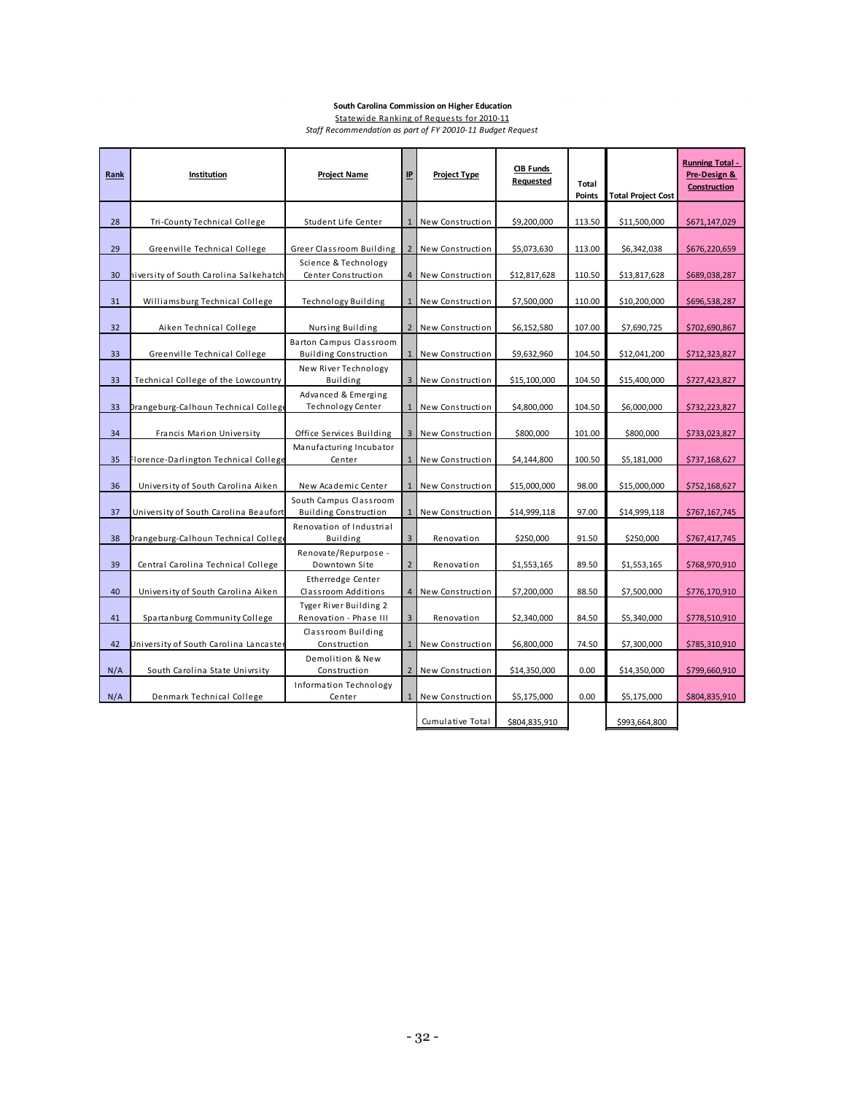#### **South Carolina Commission on Higher Education**

Statewide Ranking of Requests for 2010-11 *Staff Recommendation as part of FY 20010-11 Budget Request*

| Rank | Institution                            | <b>Project Name</b>                                    | $\mathbf{I}$   | <b>Project Type</b> | <b>CIB Funds</b><br>Requested | Total<br><b>Points</b> | <b>Total Project Cost</b> | <b>Running Total -</b><br>Pre-Design &<br>Construction |
|------|----------------------------------------|--------------------------------------------------------|----------------|---------------------|-------------------------------|------------------------|---------------------------|--------------------------------------------------------|
|      |                                        |                                                        |                |                     |                               |                        |                           |                                                        |
| 28   | Tri-County Technical College           | Student Life Center                                    |                | New Construction    | \$9,200,000                   | 113.50                 | \$11,500,000              | \$671,147,029                                          |
| 29   | Greenville Technical College           | Greer Classroom Building                               | $\overline{2}$ | New Construction    | \$5,073,630                   | 113.00                 | \$6,342,038               | \$676,220,659                                          |
|      |                                        | Science & Technology                                   |                |                     |                               |                        |                           |                                                        |
| 30   | hiversity of South Carolina Salkehatch | Center Construction                                    | $\overline{4}$ | New Construction    | \$12,817,628                  | 110.50                 | \$13,817,628              | \$689,038,287                                          |
| 31   | Williamsburg Technical College         | Technology Building                                    |                | New Construction    | \$7,500,000                   | 110.00                 | \$10,200,000              | \$696,538,287                                          |
| 32   | Aiken Technical College                | Nursing Building                                       |                | 2 New Construction  | \$6,152,580                   | 107.00                 | \$7,690,725               | \$702,690,867                                          |
|      |                                        | Barton Campus Classroom                                |                |                     |                               |                        |                           |                                                        |
| 33   | Greenville Technical College           | <b>Building Construction</b><br>New River Technology   |                | New Construction    | \$9,632,960                   | 104.50                 | \$12,041,200              | \$712,323,827                                          |
| 33   | Technical College of the Lowcountry    | Building                                               | 3              | New Construction    | \$15,100,000                  | 104.50                 | \$15,400,000              | \$727,423,827                                          |
|      |                                        | Advanced & Emerging                                    |                |                     |                               |                        |                           |                                                        |
| 33   | Drangeburg-Calhoun Technical College   | Technology Center                                      | $\mathbf{1}$   | New Construction    | \$4,800,000                   | 104.50                 | \$6,000,000               | \$732,223,827                                          |
| 34   | Francis Marion University              | Office Services Building                               |                | New Construction    | \$800,000                     | 101.00                 | \$800,000                 | \$733,023,827                                          |
| 35   | Florence-Darlington Technical College  | Manufacturing Incubator<br>Center                      | $\mathbf{1}$   | New Construction    | \$4,144,800                   | 100.50                 | \$5,181,000               | \$737,168,627                                          |
| 36   | University of South Carolina Aiken     | New Academic Center                                    |                | New Construction    | \$15,000,000                  | 98.00                  | \$15,000,000              | \$752,168,627                                          |
| 37   | University of South Carolina Beaufort  | South Campus Classroom<br><b>Building Construction</b> | $\mathbf{1}$   | New Construction    | \$14,999,118                  | 97.00                  | \$14,999,118              | \$767,167,745                                          |
| 38   | Drangeburg-Calhoun Technical College   | Renovation of Industrial<br>Building                   | $\overline{3}$ | Renovation          | \$250,000                     | 91.50                  | \$250,000                 | \$767,417,745                                          |
|      |                                        | Renovate/Repurpose -                                   |                |                     |                               |                        |                           |                                                        |
| 39   | Central Carolina Technical College     | Downtown Site                                          | $\overline{2}$ | Renovation          | \$1,553,165                   | 89.50                  | \$1,553,165               | \$768,970,910                                          |
| 40   | University of South Carolina Aiken     | Etherredge Center<br>Classroom Additions               | 4              | New Construction    | \$7,200,000                   | 88.50                  | \$7,500,000               | \$776,170,910                                          |
|      |                                        | Tyger River Building 2                                 |                |                     |                               |                        |                           |                                                        |
| 41   | Spartanburg Community College          | Renovation - Phase III                                 | $\overline{3}$ | Renovation          | \$2,340,000                   | 84.50                  | \$5,340,000               | \$778,510,910                                          |
| 42   | University of South Carolina Lancaste  | Classroom Building<br>Construction                     |                | 1 New Construction  | \$6,800,000                   | 74.50                  | \$7,300,000               | \$785,310,910                                          |
|      |                                        | Demolition & New                                       |                |                     |                               |                        |                           |                                                        |
| N/A  | South Carolina State Univrsity         | Construction                                           |                | 2 New Construction  | \$14,350,000                  | 0.00                   | \$14,350,000              | \$799,660,910                                          |
| N/A  | Denmark Technical College              | Information Technology<br>Center                       | $\mathbf{1}$   | New Construction    | \$5,175,000                   | 0.00                   | \$5,175,000               | \$804,835,910                                          |
|      |                                        |                                                        |                |                     |                               |                        |                           |                                                        |
|      |                                        |                                                        |                | Cumulative Total    | \$804,835,910                 |                        | \$993,664,800             |                                                        |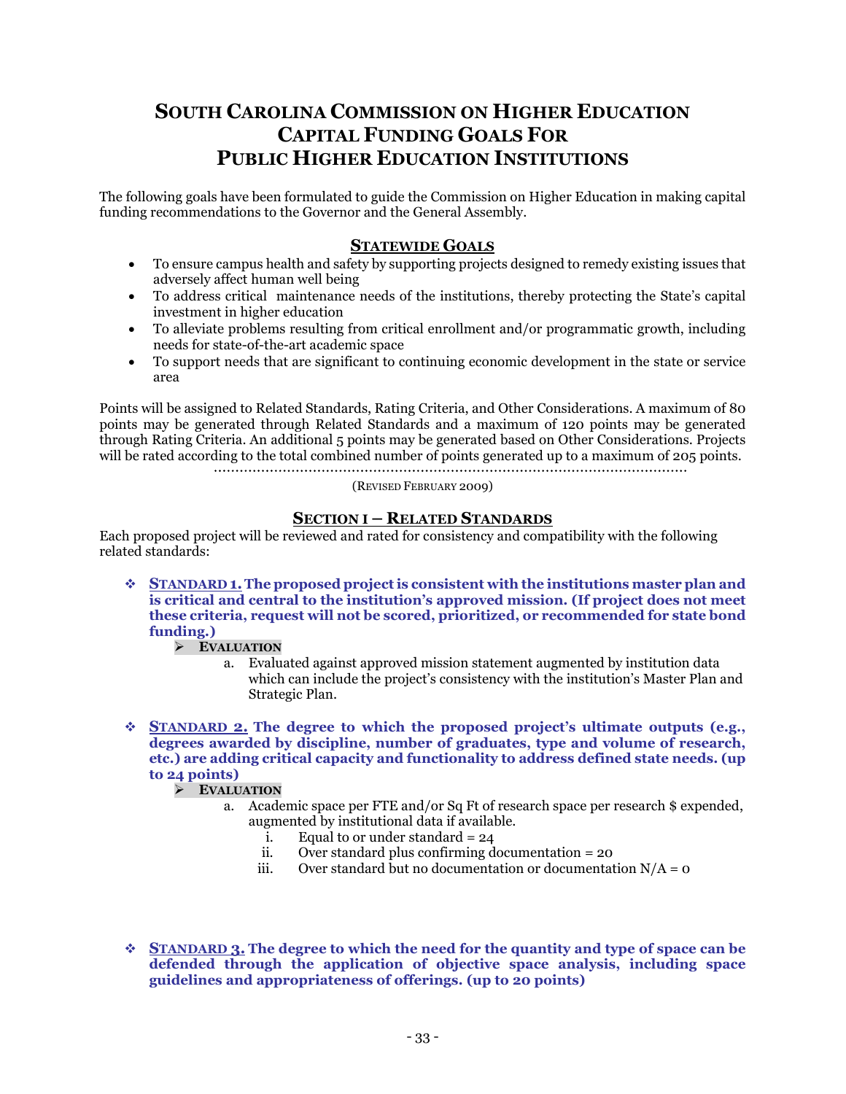# **SOUTH CAROLINA COMMISSION ON HIGHER EDUCATION CAPITAL FUNDING GOALS FOR PUBLIC HIGHER EDUCATION INSTITUTIONS**

The following goals have been formulated to guide the Commission on Higher Education in making capital funding recommendations to the Governor and the General Assembly.

# **STATEWIDE GOALS**

- To ensure campus health and safety by supporting projects designed to remedy existing issues that adversely affect human well being
- To address critical maintenance needs of the institutions, thereby protecting the State's capital investment in higher education
- To alleviate problems resulting from critical enrollment and/or programmatic growth, including needs for state-of-the-art academic space
- To support needs that are significant to continuing economic development in the state or service area

Points will be assigned to Related Standards, Rating Criteria, and Other Considerations. A maximum of 80 points may be generated through Related Standards and a maximum of 120 points may be generated through Rating Criteria. An additional 5 points may be generated based on Other Considerations. Projects will be rated according to the total combined number of points generated up to a maximum of 205 points.

(REVISED FEBRUARY 2009)

# **SECTION I – RELATED STANDARDS**

Each proposed project will be reviewed and rated for consistency and compatibility with the following related standards:

 **STANDARD 1.The proposed project is consistent with the institutions master plan and is critical and central to the institution's approved mission. (If project does not meet these criteria, request will not be scored, prioritized, or recommended for state bond funding.)**

# **EVALUATION**

- a. Evaluated against approved mission statement augmented by institution data which can include the project's consistency with the institution's Master Plan and Strategic Plan.
- **STANDARD 2. The degree to which the proposed project's ultimate outputs (e.g., degrees awarded by discipline, number of graduates, type and volume of research, etc.) are adding critical capacity and functionality to address defined state needs. (up to 24 points)**

# **EVALUATION**

- a. Academic space per FTE and/or Sq Ft of research space per research \$ expended, augmented by institutional data if available.
	- i. Equal to or under standard =  $24$
	- ii. Over standard plus confirming documentation = 20<br>iii. Over standard but no documentation or documentat
	- Over standard but no documentation or documentation  $N/A = 0$
- **STANDARD 3. The degree to which the need for the quantity and type of space can be defended through the application of objective space analysis, including space guidelines and appropriateness of offerings. (up to 20 points)**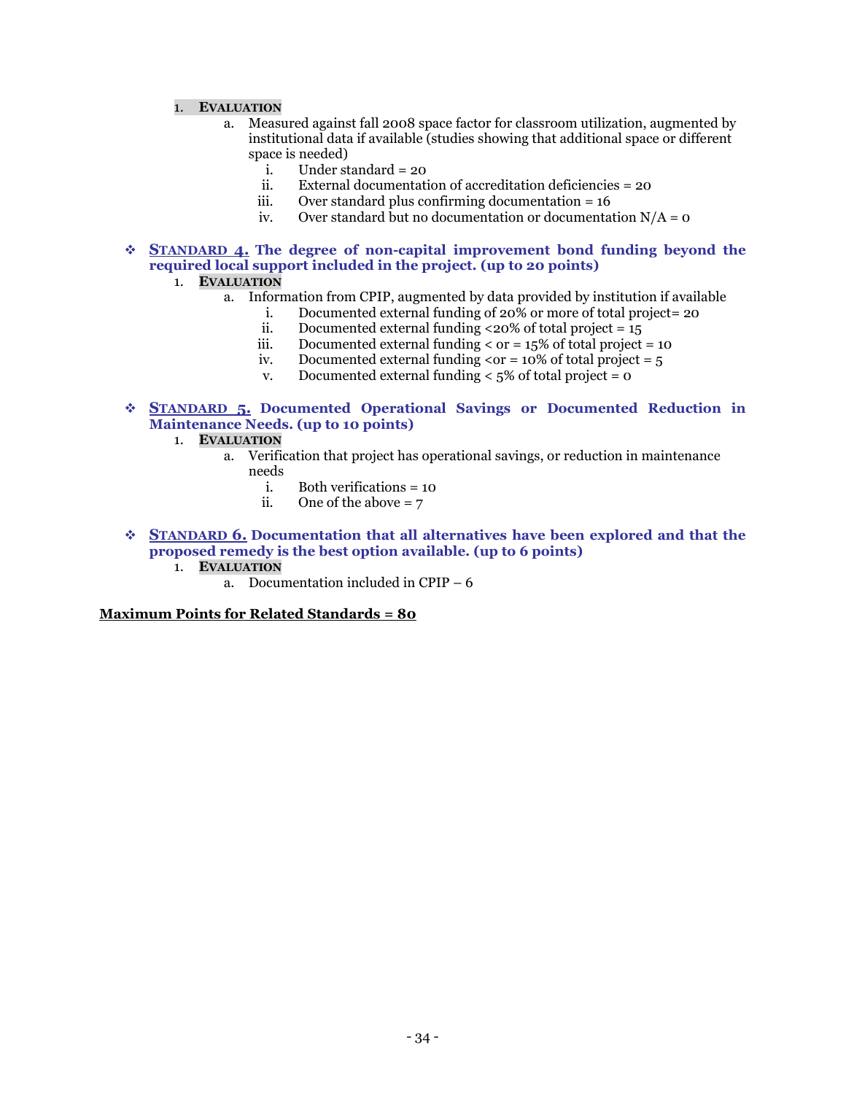#### 1. **EVALUATION**

- a. Measured against fall 2008 space factor for classroom utilization, augmented by institutional data if available (studies showing that additional space or different space is needed)<br>i. Under st
	- Under standard = 20
	- ii. External documentation of accreditation deficiencies = 20
	- iii. Over standard plus confirming documentation  $= 16$ <br>iv. Over standard but no documentation or documentation
	- Over standard but no documentation or documentation  $N/A = 0$

 **STANDARD 4. The degree of non-capital improvement bond funding beyond the required local support included in the project. (up to 20 points)**

- 1. **EVALUATION**
	- a. Information from CPIP, augmented by data provided by institution if available
		- i. Documented external funding of  $20\%$  or more of total project= 20
		- ii. Documented external funding <20% of total project =  $15$
		- iii. Documented external funding  $\langle$  or = 15% of total project = 10 iv. Documented external funding  $\langle$  or = 10% of total project = 5
		- Documented external funding  $\langle$  or = 10% of total project = 5
		- v. Documented external funding  $\lt 5\%$  of total project = 0
- **STANDARD 5. Documented Operational Savings or Documented Reduction in Maintenance Needs. (up to 10 points)**
	- 1. **EVALUATION**
		- a. Verification that project has operational savings, or reduction in maintenance needs
			- i. Both verifications = 10<br>ii. One of the above =  $7$
			- One of the above  $= 7$
- **STANDARD 6. Documentation that all alternatives have been explored and that the proposed remedy is the best option available. (up to 6 points)**
	- 1. **EVALUATION**
		- a. Documentation included in CPIP 6

#### **Maximum Points for Related Standards = 80**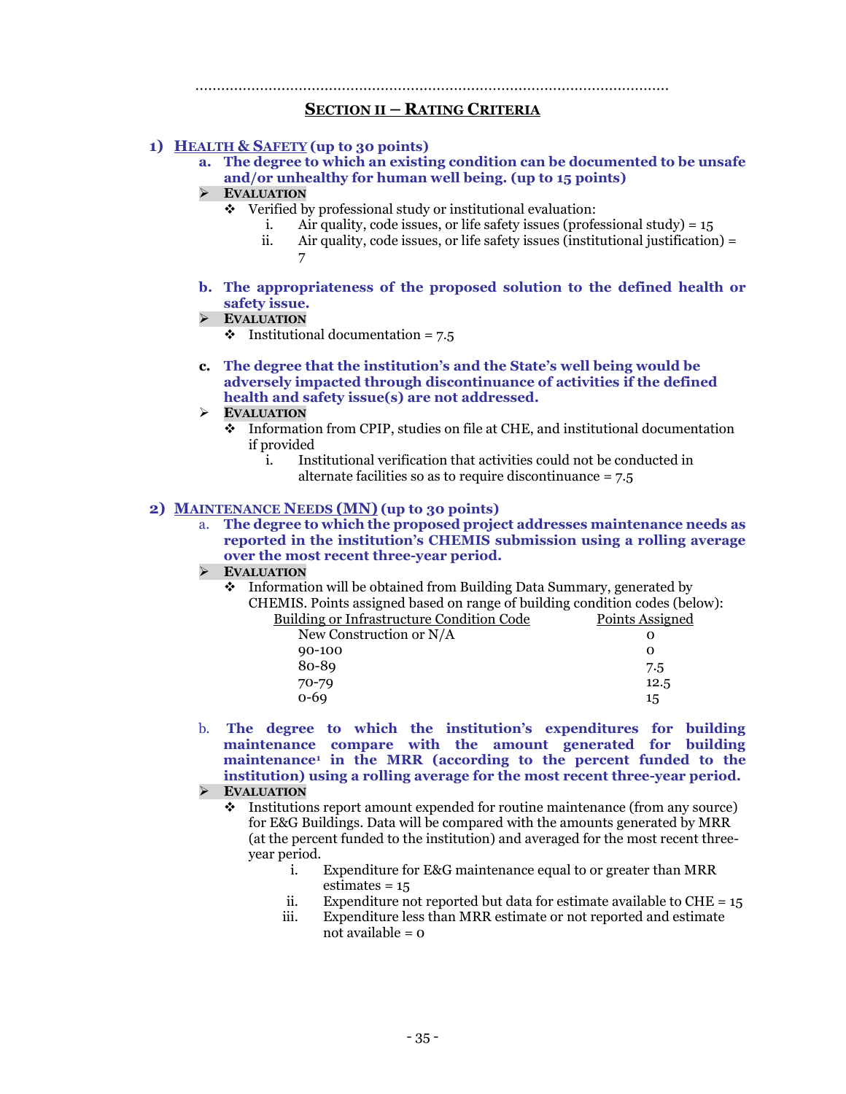#### 

#### **SECTION II – RATING CRITERIA**

#### **1) HEALTH & SAFETY (up to 30 points)**

**a. The degree to which an existing condition can be documented to be unsafe and/or unhealthy for human well being. (up to 15 points)**

#### **EVALUATION**

- $\div$  Verified by professional study or institutional evaluation:
	- i. Air quality, code issues, or life safety issues (professional study) = 15
	- ii. Air quality, code issues, or life safety issues (institutional justification) = 7
- **b. The appropriateness of the proposed solution to the defined health or safety issue.**

#### **EVALUATION**

- $\cdot \cdot$  Institutional documentation = 7.5
- **c. The degree that the institution's and the State's well being would be adversely impacted through discontinuance of activities if the defined health and safety issue(s) are not addressed.**
- **EVALUATION**
	- Information from CPIP, studies on file at CHE, and institutional documentation if provided
		- i. Institutional verification that activities could not be conducted in alternate facilities so as to require discontinuance = 7.5

## **2) MAINTENANCE NEEDS (MN) (up to 30 points)**

a. **The degree to which the proposed project addresses maintenance needs as reported in the institution's CHEMIS submission using a rolling average over the most recent three-year period.**

### **EVALUATION**

• Information will be obtained from Building Data Summary, generated by CHEMIS. Points assigned based on range of building condition codes (below): Building or Infrastructure Condition Code

| POINTS ASSIGNE |
|----------------|
|                |
| Ω              |
| 7.5            |
| 12.5           |
| 15             |
|                |

b. **The degree to which the institution's expenditures for building maintenance compare with the amount generated for building maintenance1 in the MRR (according to the percent funded to the institution) using a rolling average for the most recent three-year period.**

# **EVALUATION**

- Institutions report amount expended for routine maintenance (from any source) for E&G Buildings. Data will be compared with the amounts generated by MRR (at the percent funded to the institution) and averaged for the most recent threeyear period.
	- i. Expenditure for E&G maintenance equal to or greater than MRR estimates = 15
	- ii. Expenditure not reported but data for estimate available to  $CHE = 15$
	- iii. Expenditure less than MRR estimate or not reported and estimate not available = 0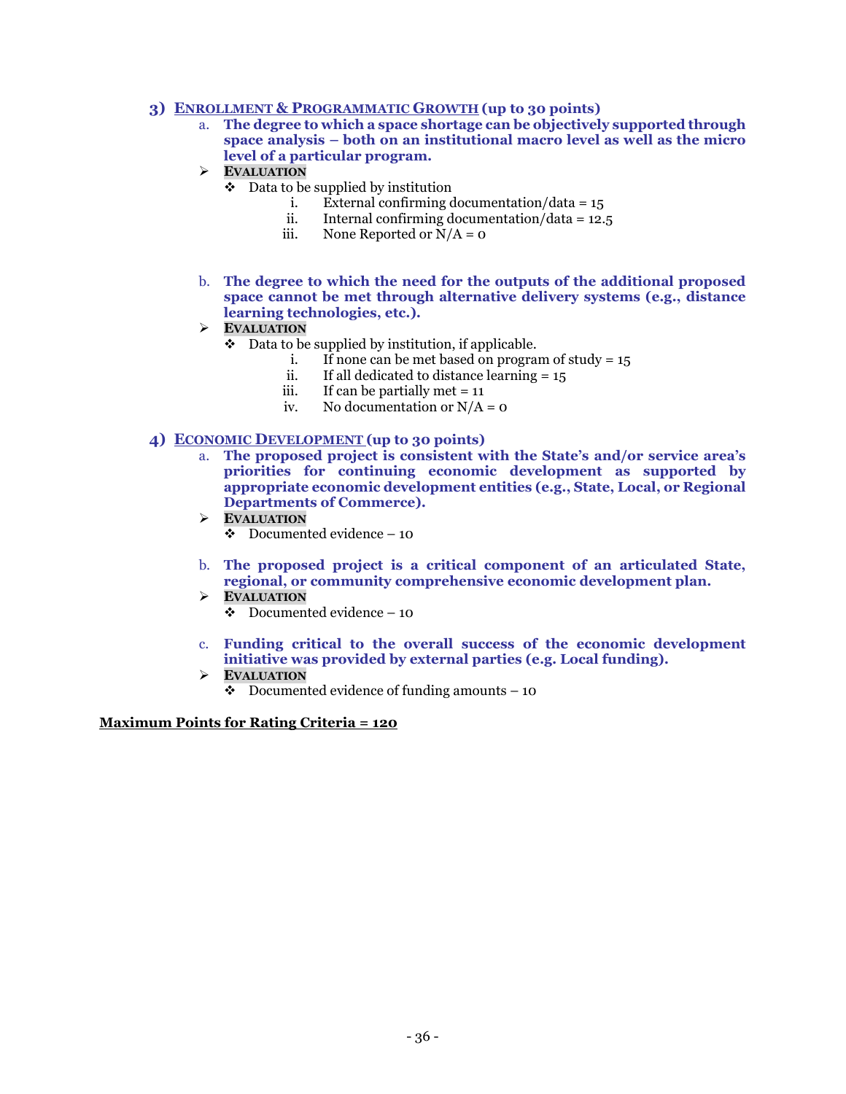# **3) ENROLLMENT & PROGRAMMATIC GROWTH (up to 30 points)**

- a. **The degree to which a space shortage can be objectively supported through space analysis – both on an institutional macro level as well as the micro level of a particular program.**
- **EVALUATION**
	- $\bullet$  Data to be supplied by institution
		- i. External confirming documentation/data =  $15$
		- ii. Internal confirming documentation/data =  $12.5$
		- iii. None Reported or  $N/A = 0$
- b. **The degree to which the need for the outputs of the additional proposed space cannot be met through alternative delivery systems (e.g., distance learning technologies, etc.).**
- **EVALUATION**
	- $\bullet$  Data to be supplied by institution, if applicable.
		- i. If none can be met based on program of study =  $15$
		- ii. If all dedicated to distance learning =  $15$ <br>iii. If can be partially met =  $11$
		- iii. If can be partially met = 11<br>iv. No documentation or  $N/A$
		- No documentation or  $N/A = 0$

# **4) ECONOMIC DEVELOPMENT (up to 30 points)**

- a. **The proposed project is consistent with the State's and/or service area's priorities for continuing economic development as supported by appropriate economic development entities (e.g., State, Local, or Regional Departments of Commerce).**
- **EVALUATION**
	- $\bullet$  Documented evidence 10
- b. **The proposed project is a critical component of an articulated State, regional, or community comprehensive economic development plan.**
- **EVALUATION**
	- $\div$  Documented evidence 10
- c. **Funding critical to the overall success of the economic development initiative was provided by external parties (e.g. Local funding).**
- **EVALUATION**
	- $\bullet$  Documented evidence of funding amounts 10

# **Maximum Points for Rating Criteria = 120**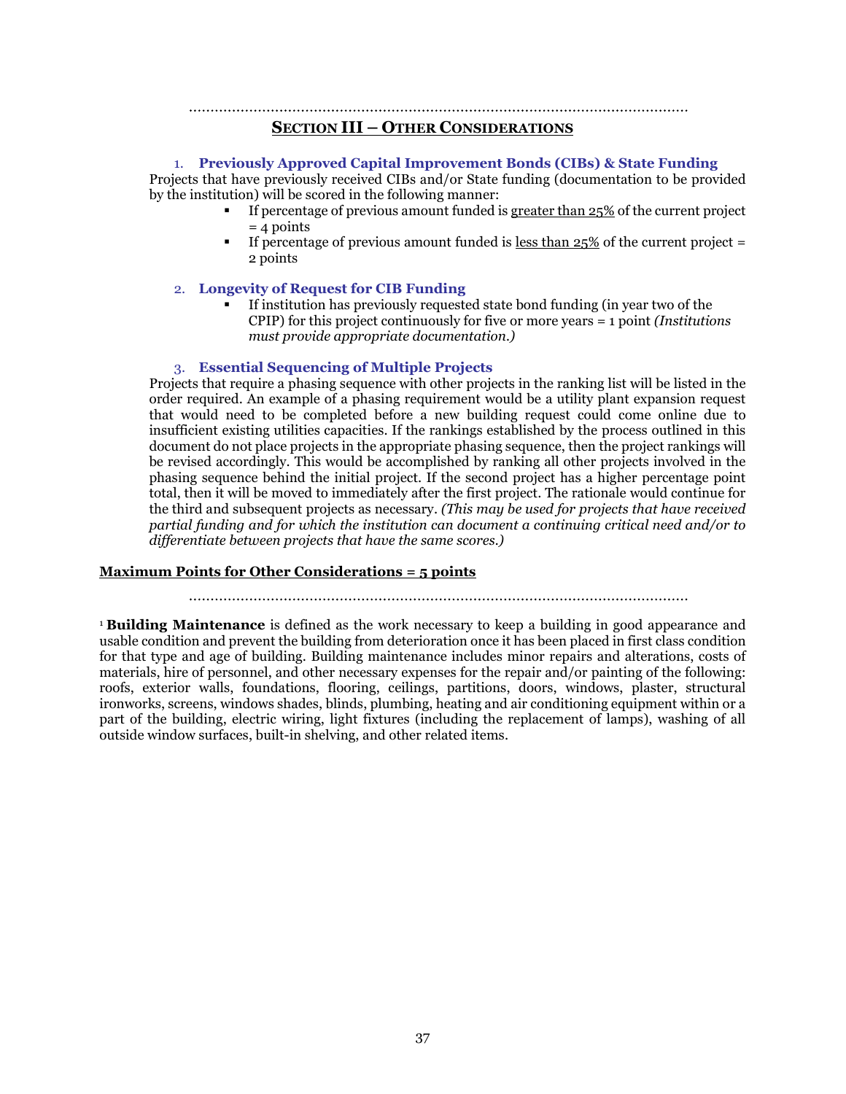# 

# **SECTION III – OTHER CONSIDERATIONS**

#### 1. **Previously Approved Capital Improvement Bonds (CIBs) & State Funding**

Projects that have previously received CIBs and/or State funding (documentation to be provided by the institution) will be scored in the following manner:

- If percentage of previous amount funded is greater than 25% of the current project  $= 4$  points
- If percentage of previous amount funded is less than  $25\%$  of the current project = 2 points

#### 2. **Longevity of Request for CIB Funding**

 If institution has previously requested state bond funding (in year two of the CPIP) for this project continuously for five or more years = 1 point *(Institutions must provide appropriate documentation.)*

#### 3. **Essential Sequencing of Multiple Projects**

Projects that require a phasing sequence with other projects in the ranking list will be listed in the order required. An example of a phasing requirement would be a utility plant expansion request that would need to be completed before a new building request could come online due to insufficient existing utilities capacities. If the rankings established by the process outlined in this document do not place projects in the appropriate phasing sequence, then the project rankings will be revised accordingly. This would be accomplished by ranking all other projects involved in the phasing sequence behind the initial project. If the second project has a higher percentage point total, then it will be moved to immediately after the first project. The rationale would continue for the third and subsequent projects as necessary. *(This may be used for projects that have received partial funding and for which the institution can document a continuing critical need and/or to differentiate between projects that have the same scores.)*

#### **Maximum Points for Other Considerations = 5 points**

<sup>1</sup>**Building Maintenance** is defined as the work necessary to keep a building in good appearance and usable condition and prevent the building from deterioration once it has been placed in first class condition for that type and age of building. Building maintenance includes minor repairs and alterations, costs of materials, hire of personnel, and other necessary expenses for the repair and/or painting of the following: roofs, exterior walls, foundations, flooring, ceilings, partitions, doors, windows, plaster, structural ironworks, screens, windows shades, blinds, plumbing, heating and air conditioning equipment within or a part of the building, electric wiring, light fixtures (including the replacement of lamps), washing of all outside window surfaces, built-in shelving, and other related items.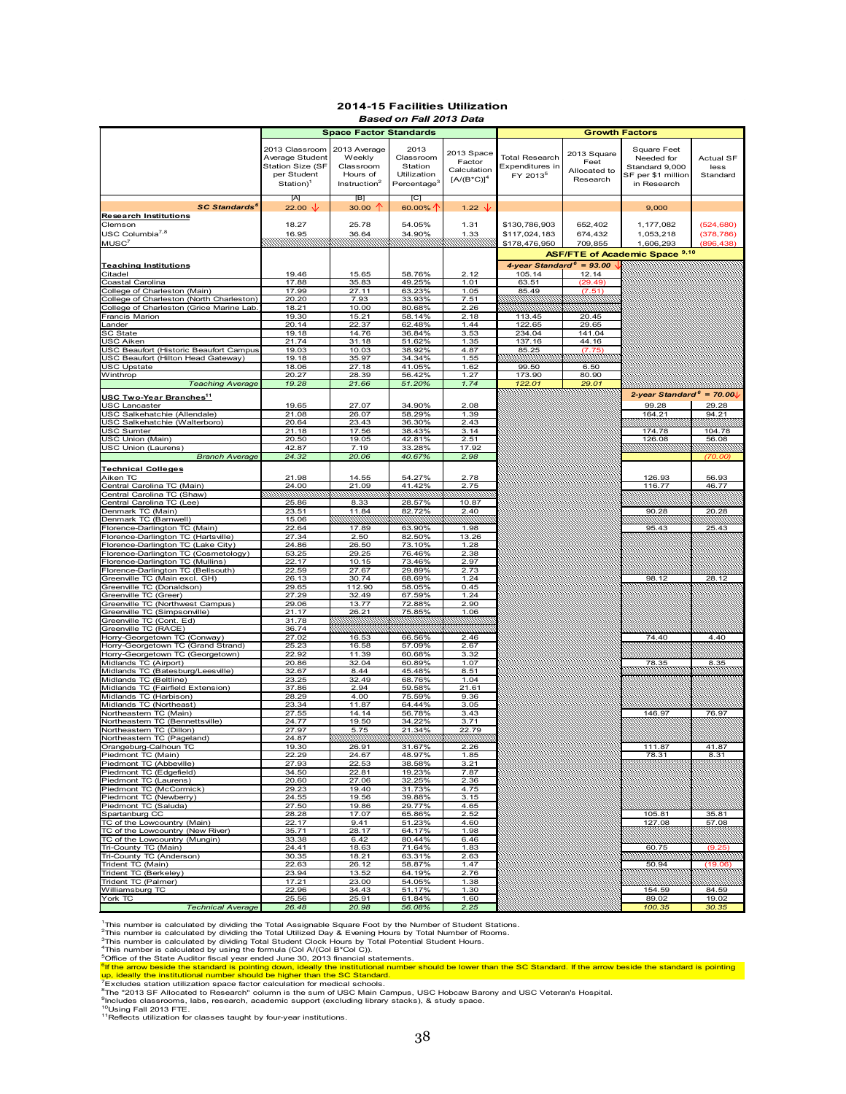#### **2014-15 Facilities Utilization** *Based on Fall 2013 Data*

|                                           |                       | <b>Space Factor Standards</b> |                         |                   | <b>Growth Factors</b>       |              |                                       |              |
|-------------------------------------------|-----------------------|-------------------------------|-------------------------|-------------------|-----------------------------|--------------|---------------------------------------|--------------|
|                                           |                       |                               |                         |                   |                             |              |                                       |              |
|                                           |                       |                               | 2013                    |                   |                             |              |                                       |              |
|                                           | 2013 Classroom        | 2013 Average                  |                         | 2013 Space        |                             | 2013 Square  | Square Feet                           |              |
|                                           | Average Student       | Weekly                        | Classroom               | Factor            | <b>Total Research</b>       | Feet         | Needed for                            | Actual SF    |
|                                           | Station Size (SF      | Classroom                     | Station                 | Calculation       | Expenditures in             | Allocated to | Standard 9,000                        | less         |
|                                           | per Student           | Hours of                      | Utilization             |                   | FY 2013 <sup>5</sup>        |              | SF per \$1 million                    | Standard     |
|                                           | Station) <sup>1</sup> | Instruction <sup>2</sup>      | Percentage <sup>3</sup> | $[A/(B*C)]4$      |                             | Research     | in Research                           |              |
|                                           |                       |                               |                         |                   |                             |              |                                       |              |
|                                           | $[{\mathsf A}]$       | [B]                           | [C]                     |                   |                             |              |                                       |              |
| <b>SC Standards<sup>6</sup></b>           | 22.00 $\sqrt{ }$      | 30.00 $\uparrow$              | 60.00% $\uparrow$       | 1.22 $\sqrt{ }$   |                             |              | 9,000                                 |              |
|                                           |                       |                               |                         |                   |                             |              |                                       |              |
| <b>Research Institutions</b>              |                       |                               |                         |                   |                             |              |                                       |              |
| Clemson                                   | 18.27                 | 25.78                         | 54.05%                  | 1.31              | \$130,786,903               | 652,402      | 1,177,082                             | (524, 680)   |
| USC Columbia <sup>7,8</sup>               | 16.95                 | 36.64                         | 34.90%                  | 1.33              | \$117,024,183               | 674,432      | 1,053,218                             | (378, 786)   |
| MUSC <sup>7</sup>                         |                       |                               |                         |                   | \$178,476,950               | 709,855      | 1,606,293                             | (896, 438)   |
|                                           |                       |                               |                         |                   |                             |              |                                       |              |
|                                           |                       |                               |                         |                   |                             |              | <b>ASF/FTE of Academic Space 9,10</b> |              |
| <b>Teaching Institutions</b>              |                       |                               |                         |                   | 4-year Standard $6 = 93.00$ |              |                                       |              |
| Citadel                                   | 19.46                 | 15.65                         | 58.76%                  | 2.12              | 105.14                      | 12.14        |                                       |              |
| Coastal Carolina                          |                       |                               |                         |                   |                             | (29.49)      |                                       |              |
|                                           | 17.88                 | 35.83                         | 49.25%                  | 1.01              | 63.51                       |              |                                       |              |
| College of Charleston (Main)              | 17.99                 | 27.11                         | 63.23%                  | 1.05              | 85.49                       | (7.51)       |                                       |              |
| College of Charleston (North Charleston)  | 20.20                 | 7.93                          | 33.93%                  | 7.51              |                             |              |                                       |              |
| College of Charleston (Grice Marine Lab.  | 18.21                 | 10.00                         | 80.68%                  | 2.26              |                             |              |                                       |              |
| Francis Marion                            | 19.30                 | 15.21                         | 58.14%                  | 2.18              | 113.45                      | 20.45        |                                       |              |
| Lander                                    | 20.14                 | 22.37                         | 62.48%                  | 1.44              | 122.65                      | 29.65        |                                       |              |
| SC State                                  | 19.18                 | 14.76                         | 36.84%                  | 3.53              | 234.04                      | 141.04       |                                       |              |
| USC Aiken                                 | 21.74                 | 31.18                         | 51.62%                  | 1.35              | 137.16                      | 44.16        |                                       |              |
|                                           |                       | 10.03                         |                         |                   |                             |              |                                       |              |
| USC Beaufort (Historic Beaufort Campus    | 19.03                 |                               | 38.92%                  | 4.87              | 85.25                       | (7.75)       |                                       |              |
| USC Beaufort (Hilton Head Gateway)        | 19.18                 | 35.97                         | 34.34%                  | 1.55              |                             |              |                                       |              |
| USC Upstate                               | 18.06                 | 27.18                         | 41.05%                  | 1.62              | 99.50                       | 6.50         |                                       |              |
| Winthrop                                  | 20.27                 | 28.39                         | 56.42%                  | 1.27              | 173.90                      | 80.90        |                                       |              |
| <b>Teaching Average</b>                   | 19.28                 | 21.66                         | 51.20%                  | 1.74              | 122.01                      | 29.01        |                                       |              |
|                                           |                       |                               |                         |                   |                             |              |                                       |              |
| <b>USC Two-Year Branches<sup>11</sup></b> |                       |                               |                         |                   |                             |              | 2-year Standard $6 = 70.00$           |              |
| USC Lancaster                             | 19.65                 | 27.07                         | 34.90%                  | 2.08              |                             |              | 99.28                                 | 29.28        |
| USC Salkehatchie (Allendale)              | 21.08                 | 26.07                         | 58.29%                  | 1.39              |                             |              | 164.21                                | 94.21        |
| USC Salkehatchie (Walterboro)             | 20.64                 | 23.43                         | 36.30%                  | 2.43              |                             |              |                                       |              |
|                                           |                       |                               |                         |                   |                             |              |                                       |              |
| USC Sumter                                | 21.18                 | 17.56                         | 38.43%                  | $3.\overline{14}$ |                             |              | 174.78                                | 104.78       |
| USC Union (Main)                          | 20.50                 | 19.05                         | 42.81%                  | 2.51              |                             |              | 126.08                                | 56.08        |
| <b>USC Union (Laurens)</b>                | 42.87                 | 7.19                          | 33.28%                  | 17.92             |                             |              |                                       |              |
| <b>Branch Average</b>                     | 24.32                 | 20.06                         | 40.67%                  | 2.98              |                             |              |                                       | (70.00       |
|                                           |                       |                               |                         |                   |                             |              |                                       |              |
| <b>Technical Colleges</b>                 |                       |                               |                         |                   |                             |              |                                       |              |
| Aiken TC                                  | 21.98                 | 14.55                         | 54.27%                  | 2.78              |                             |              | 126.93                                | 56.93        |
| Central Carolina TC (Main)                | 24.00                 | 21.09                         | 41.42%                  | 2.75              |                             |              | 116.77                                | 46.77        |
| Central Carolina TC (Shaw)                |                       |                               |                         |                   |                             |              |                                       |              |
| Central Carolina TC (Lee)                 | 25.86                 | 8.33                          | 28.57%                  | 10.87             |                             |              |                                       |              |
| Denmark TC (Main)                         | 23.51                 | 11.84                         | 82.72%                  | 2.40              |                             |              | 90.28                                 | 20.28        |
|                                           |                       |                               |                         |                   |                             |              |                                       |              |
| Denmark TC (Barnwell)                     | 15.06                 |                               |                         |                   |                             |              |                                       |              |
| Florence-Darlington TC (Main)             | 22.64                 | 17.89                         | 63.90%                  | 1.98              |                             |              | 95.43                                 | 25.43        |
| Florence-Darlington TC (Hartsville)       | 27.34                 | 2.50                          | 82.50%                  | 13.26             |                             |              |                                       |              |
| Florence-Darlington TC (Lake City)        | 24.86                 | 26.50                         | 73.10%                  | 1.28              |                             |              |                                       |              |
| Florence-Darlington TC (Cosmetology)      | 53.25                 | 29.25                         | 76.46%                  | 2.38              |                             |              |                                       |              |
| Florence-Darlington TC (Mullins)          | 22.17                 | 10.15                         | 73.46%                  | 2.97              |                             |              |                                       |              |
| Florence-Darlington TC (Bellsouth)        | 22.59                 | 27.67                         | 29.89%                  | 2.73              |                             |              |                                       |              |
| Greenville TC (Main excl. GH)             | 26.13                 | 30.74                         | 68.69%                  | 1.24              |                             |              | 98.12                                 |              |
|                                           |                       |                               |                         |                   |                             |              |                                       | 28.12        |
| Greenville TC (Donaldson)                 | 29.65                 | 112.90                        | 58.05%                  | 0.45              |                             |              |                                       |              |
| Greenville TC (Greer)                     | 27.29                 | 32.49                         | 67.59%                  | 1.24              |                             |              |                                       |              |
| Greenville TC (Northwest Campus)          | 29.06                 | 13.77                         | 72.88%                  | 2.90              |                             |              |                                       |              |
| Greenville TC (Simpsonville)              | 21.17                 | 26.21                         | 75.85%                  | 1.06              |                             |              |                                       |              |
| Greenville TC (Cont. Ed)                  | 31.78                 |                               |                         |                   |                             |              |                                       |              |
| Greenville TC (RACE)                      | 36.74                 |                               |                         |                   |                             |              |                                       |              |
| Horry-Georgetown TC (Conway)              | 27.02                 | 16.53                         | 66.56%                  | 2.46              |                             |              | 74.40                                 | 4.40         |
| Horry-Georgetown TC (Grand Strand)        | 25.23                 | 16.58                         | 57.09%                  | 2.67              |                             |              |                                       |              |
|                                           |                       |                               | 60.68%                  |                   |                             |              |                                       |              |
| Horry-Georgetown TC (Georgetown)          | 22.92                 | 11.39                         |                         | 3.32              |                             |              |                                       |              |
| Midlands TC (Airport)                     | 20.86                 | 32.04                         | 60.89%                  | 1.07              |                             |              | 78.35                                 | 8.35         |
| Midlands TC (Batesburg/Leesville)         | 32.67                 | 8.44                          | 45.48%                  | 8.51              |                             |              |                                       |              |
| Midlands TC (Beltline)                    | 23.25                 | 32.49                         | 68.76%                  | 1.04              |                             |              |                                       |              |
| Midlands TC (Fairfield Extension)         | 37.86                 | 2.94                          | 59.58%                  | 21.61             |                             |              |                                       |              |
| Midlands TC (Harbison)                    | 28.29                 | 4.00                          | 75.59%                  | 9.36              |                             |              |                                       |              |
| Midlands TC (Northeast)                   | 23.34                 | 11.87                         | 64.44%                  | 3.05              |                             |              |                                       |              |
| Northeastern TC (Main)                    | 27.55                 | 14.14                         | 56.78%                  | 3.43              |                             |              | 146.97                                | 76.97        |
| Northeastern TC (Bennettsville)           | 24.77                 | 19.50                         | 34.22%                  | 3.71              |                             |              |                                       |              |
|                                           |                       |                               |                         |                   |                             |              |                                       |              |
| Northeastern TC (Dillon)                  | 27.97                 | 5.75                          | 21.34%                  | 22.79             |                             |              |                                       |              |
| Northeastern TC (Pageland)                | 24.87                 |                               |                         |                   |                             |              |                                       |              |
| Orangeburg-Calhoun TC                     | 19.30                 | 26.91                         | 31.67%                  | 2.26              |                             |              | 111.87                                | 41.87        |
| Piedmont TC (Main)                        | 22.29                 | 24.67                         | 48.97%                  | 1.85              |                             |              | 78.31                                 | 8.31         |
| Piedmont TC (Abbeville)                   | 27.93                 | 22.53                         | 38.58%                  | 3.21              |                             |              |                                       |              |
| Piedmont TC (Edgefield)                   | 34.50                 | 22.81                         | 19.23%                  | 7.87              |                             |              |                                       |              |
| Piedmont TC (Laurens)                     | 20.60                 | 27.06                         | 32.25%                  | 2.36              |                             |              |                                       |              |
| Piedmont TC (McCormick)                   | 29.23                 | 19.40                         | 31.73%                  | 4.75              |                             |              |                                       |              |
| Piedmont TC (Newberry)                    | 24.55                 | 19.56                         | 39.88%                  | 3.15              |                             |              |                                       |              |
|                                           |                       |                               |                         |                   |                             |              |                                       |              |
| Piedmont TC (Saluda)                      | 27.50                 | 19.86                         | 29.77%                  | 4.65              |                             |              |                                       |              |
| Spartanburg CC                            | 28.28                 | 17.07                         | 65.86%                  | 2.52              |                             |              | 105.81                                | <u>35.81</u> |
| TC of the Lowcountry (Main)               | 22.17                 | 9.41                          | 51.23%                  | 4.60              |                             |              | 127.08                                | 57.08        |
| TC of the Lowcountry (New River)          | 35.71                 | 28.17                         | 64.17%                  | 1.98              |                             |              |                                       |              |
| TC of the Lowcountry (Mungin)             | 33.38                 | 6.42                          | 80.44%                  | 6.46              |                             |              |                                       |              |
| Tri-County TC (Main)                      | 24.41                 | 18.63                         | 71.64%                  | 1.83              |                             |              | 60.75                                 | (9.25)       |
| Tri-County TC (Anderson)                  | 30.35                 | 18.21                         | 63.31%                  | 2.63              |                             |              |                                       |              |
| Trident TC (Main)                         | 22.63                 | 26.12                         | 58.87%                  | 1.47              |                             |              | 50.94                                 | (19.06)      |
|                                           |                       |                               |                         |                   |                             |              |                                       |              |
| Trident TC (Berkeley)                     | 23.94                 | 13.52                         | 64.19%                  | 2.76              |                             |              |                                       |              |
| Trident TC (Palmer)                       | 17.21                 | 23.00                         | 54.05%                  | 1.38              |                             |              |                                       |              |
| Williamsburg TC                           | 22.96                 | 34.43                         | 51.17%                  | 1.30              |                             |              | 154.59                                | 84.59        |
| York TC                                   | 25.56                 | 25.91                         | 61.84%                  | 1.60              |                             |              | 89.02                                 | 19.02        |
| <b>Technical Average</b>                  | 26.48                 | 20.98                         | 56.08%                  | 2.25              |                             |              | 100.35                                | 30.35        |

<sup>1</sup>This number is calculated by dividing the Total Assignable Square Foot by the Number of Student Stations.<br><sup>3</sup>This number is calculated by dividing Total Utilized Day & Evening Hours by Total Number of Rooms.<br><sup>3</sup>This num

5 Office of the State Auditor fiscal year ended June 30, 2013 financial statements.

<sup>6</sup>if the arrow beside the standard is pointing down, ideally the institutional number should be lower than the SC Standard. If the arrow beside the standard is pointing<br>up, ideally the institutional number should be highe

<sup>7</sup>Excludes station utilization space factor calculation for medical schools.<br><sup>8</sup>The "2013 SF Allocated to Research" column is the sum of USC Main Campus, USC Hobcaw Barony and USC Veteran's Hospital.<br><sup>9</sup>Includes classroo

<sup>10</sup>Using Fall 2013 FTE.<br><sup>11</sup>Reflects utilization for classes taught by four-year institutions.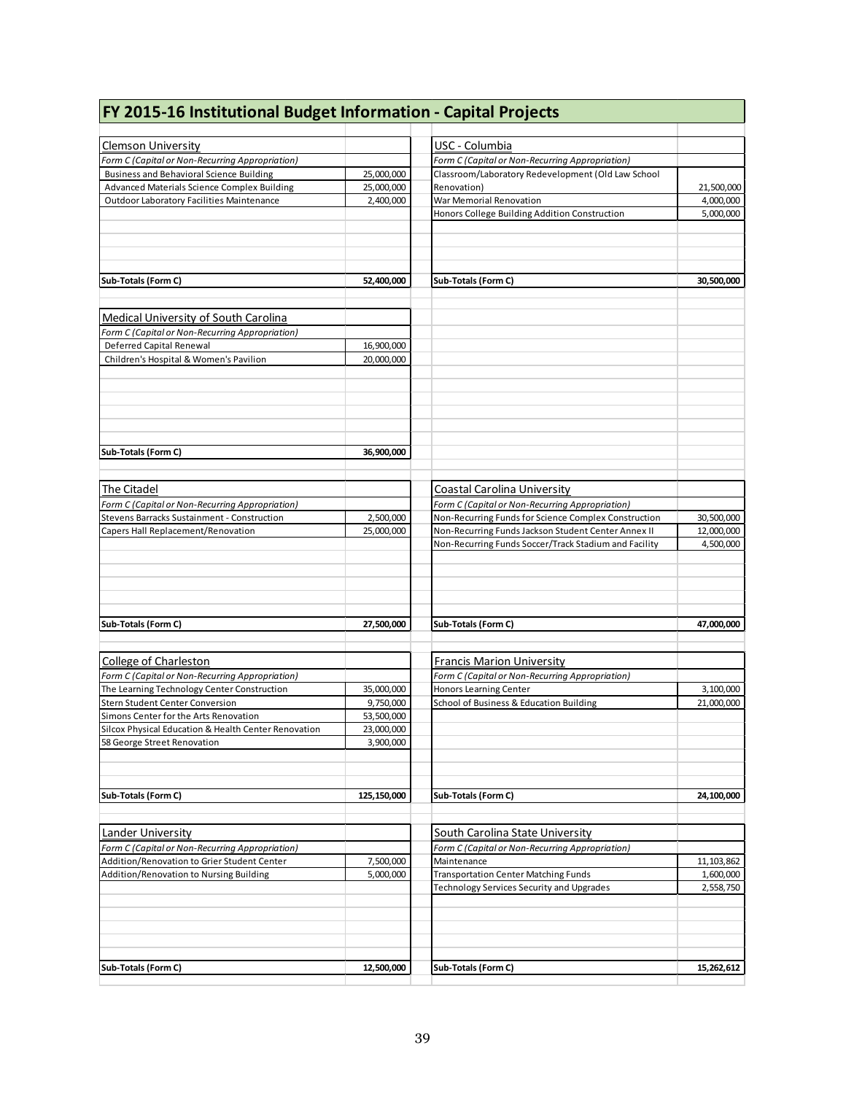| FY 2015-16 Institutional Budget Information - Capital Projects                                     |                          |                                                                                                       |            |
|----------------------------------------------------------------------------------------------------|--------------------------|-------------------------------------------------------------------------------------------------------|------------|
|                                                                                                    |                          |                                                                                                       |            |
| <b>Clemson University</b>                                                                          |                          | USC - Columbia                                                                                        |            |
| Form C (Capital or Non-Recurring Appropriation)<br><b>Business and Behavioral Science Building</b> |                          | Form C (Capital or Non-Recurring Appropriation)<br>Classroom/Laboratory Redevelopment (Old Law School |            |
| Advanced Materials Science Complex Building                                                        | 25,000,000<br>25,000,000 | Renovation)                                                                                           | 21,500,000 |
| <b>Outdoor Laboratory Facilities Maintenance</b>                                                   | 2,400,000                | War Memorial Renovation                                                                               | 4,000,000  |
|                                                                                                    |                          | Honors College Building Addition Construction                                                         | 5,000,000  |
|                                                                                                    |                          |                                                                                                       |            |
| Sub-Totals (Form C)                                                                                | 52,400,000               | Sub-Totals (Form C)                                                                                   | 30,500,000 |
|                                                                                                    |                          |                                                                                                       |            |
| Medical University of South Carolina                                                               |                          |                                                                                                       |            |
| Form C (Capital or Non-Recurring Appropriation)                                                    |                          |                                                                                                       |            |
| <b>Deferred Capital Renewal</b>                                                                    | 16,900,000               |                                                                                                       |            |
| Children's Hospital & Women's Pavilion                                                             | 20,000,000               |                                                                                                       |            |
| Sub-Totals (Form C)                                                                                | 36,900,000               |                                                                                                       |            |
| The Citadel                                                                                        |                          | Coastal Carolina University                                                                           |            |
| Form C (Capital or Non-Recurring Appropriation)                                                    |                          | Form C (Capital or Non-Recurring Appropriation)                                                       |            |
| Stevens Barracks Sustainment - Construction                                                        | 2,500,000                | Non-Recurring Funds for Science Complex Construction                                                  | 30,500,000 |
| Capers Hall Replacement/Renovation                                                                 | 25,000,000               | Non-Recurring Funds Jackson Student Center Annex II                                                   | 12,000,000 |
|                                                                                                    |                          | Non-Recurring Funds Soccer/Track Stadium and Facility                                                 | 4,500,000  |
| Sub-Totals (Form C)                                                                                | 27,500,000               | Sub-Totals (Form C)                                                                                   | 47,000,000 |
| <b>College of Charleston</b>                                                                       |                          | <b>Francis Marion University</b>                                                                      |            |
| Form C (Capital or Non-Recurring Appropriation)                                                    |                          | Form C (Capital or Non-Recurring Appropriation)                                                       |            |
| The Learning Technology Center Construction                                                        | 35,000,000               | <b>Honors Learning Center</b>                                                                         | 3,100,000  |
| Stern Student Center Conversion                                                                    | 9,750,000                | School of Business & Education Building                                                               | 21,000,000 |
| Simons Center for the Arts Renovation                                                              | 53.500.000               |                                                                                                       |            |
| Silcox Physical Education & Health Center Renovation                                               | 23,000,000               |                                                                                                       |            |
| 58 George Street Renovation                                                                        | 3,900,000                |                                                                                                       |            |
| Sub-Totals (Form C)                                                                                | 125,150,000              | Sub-Totals (Form C)                                                                                   | 24,100,000 |
| Lander University                                                                                  |                          | <b>South Carolina State University</b>                                                                |            |
| Form C (Capital or Non-Recurring Appropriation)                                                    |                          | Form C (Capital or Non-Recurring Appropriation)                                                       |            |
| Addition/Renovation to Grier Student Center                                                        | 7,500,000                | Maintenance                                                                                           | 11,103,862 |
| Addition/Renovation to Nursing Building                                                            | 5,000,000                | <b>Transportation Center Matching Funds</b>                                                           | 1,600,000  |
|                                                                                                    |                          | Technology Services Security and Upgrades                                                             | 2,558,750  |
| Sub-Totals (Form C)                                                                                | 12,500,000               | Sub-Totals (Form C)                                                                                   | 15,262,612 |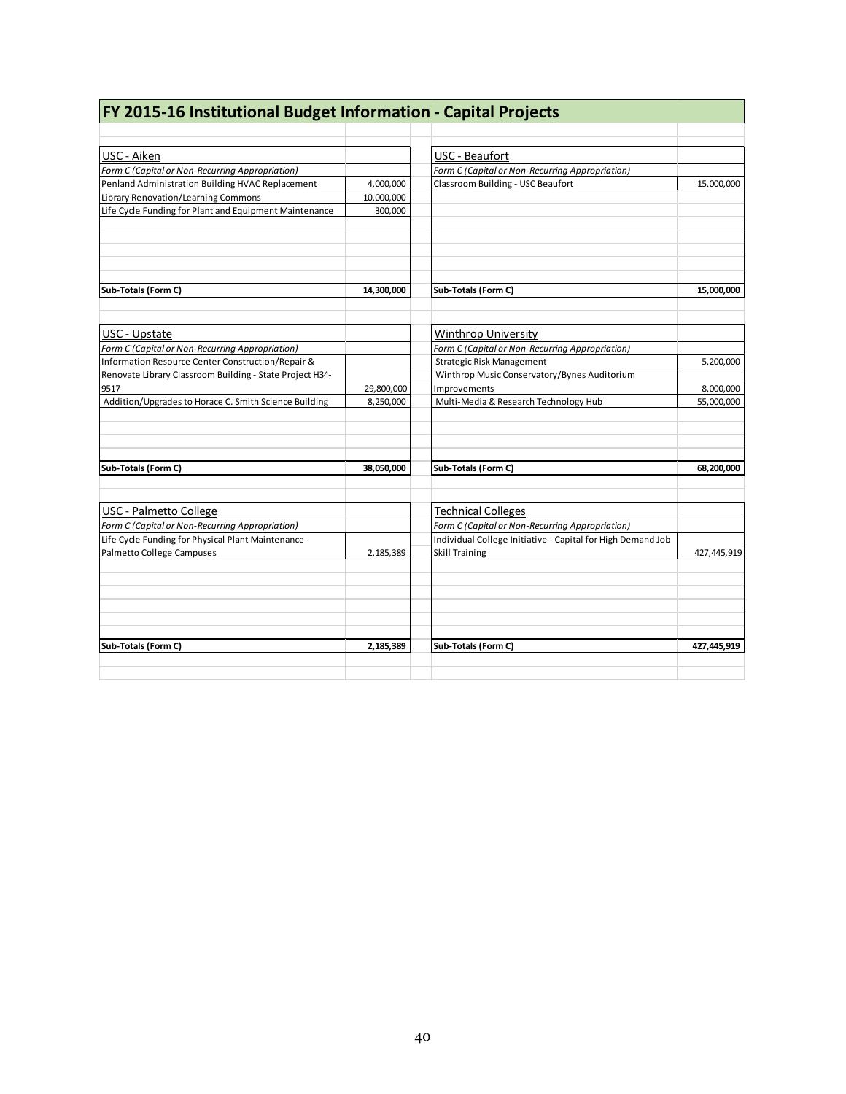| FY 2015-16 Institutional Budget Information - Capital Projects |            |                                                             |             |
|----------------------------------------------------------------|------------|-------------------------------------------------------------|-------------|
|                                                                |            |                                                             |             |
| USC - Aiken                                                    |            | USC - Beaufort                                              |             |
| Form C (Capital or Non-Recurring Appropriation)                |            | Form C (Capital or Non-Recurring Appropriation)             |             |
| Penland Administration Building HVAC Replacement               | 4.000.000  | Classroom Building - USC Beaufort                           | 15,000,000  |
| Library Renovation/Learning Commons                            | 10,000,000 |                                                             |             |
| Life Cycle Funding for Plant and Equipment Maintenance         | 300,000    |                                                             |             |
|                                                                |            |                                                             |             |
| Sub-Totals (Form C)                                            | 14,300,000 | Sub-Totals (Form C)                                         | 15,000,000  |
| USC - Upstate                                                  |            | Winthrop University                                         |             |
| Form C (Capital or Non-Recurring Appropriation)                |            | Form C (Capital or Non-Recurring Appropriation)             |             |
| Information Resource Center Construction/Repair &              |            | Strategic Risk Management                                   | 5,200,000   |
| Renovate Library Classroom Building - State Project H34-       |            | Winthrop Music Conservatory/Bynes Auditorium                |             |
| 9517                                                           | 29,800,000 | Improvements                                                | 8,000,000   |
| Addition/Upgrades to Horace C. Smith Science Building          | 8,250,000  | Multi-Media & Research Technology Hub                       | 55,000,000  |
|                                                                |            |                                                             |             |
| Sub-Totals (Form C)                                            | 38,050,000 | Sub-Totals (Form C)                                         | 68,200,000  |
| <b>USC</b> - Palmetto College                                  |            | <b>Technical Colleges</b>                                   |             |
| Form C (Capital or Non-Recurring Appropriation)                |            | Form C (Capital or Non-Recurring Appropriation)             |             |
| Life Cycle Funding for Physical Plant Maintenance -            |            | Individual College Initiative - Capital for High Demand Job |             |
| Palmetto College Campuses                                      | 2,185,389  | <b>Skill Training</b>                                       | 427,445,919 |
|                                                                |            |                                                             |             |
|                                                                |            |                                                             |             |
|                                                                |            |                                                             |             |
| Sub-Totals (Form C)                                            | 2,185,389  | Sub-Totals (Form C)                                         | 427,445,919 |
|                                                                |            |                                                             |             |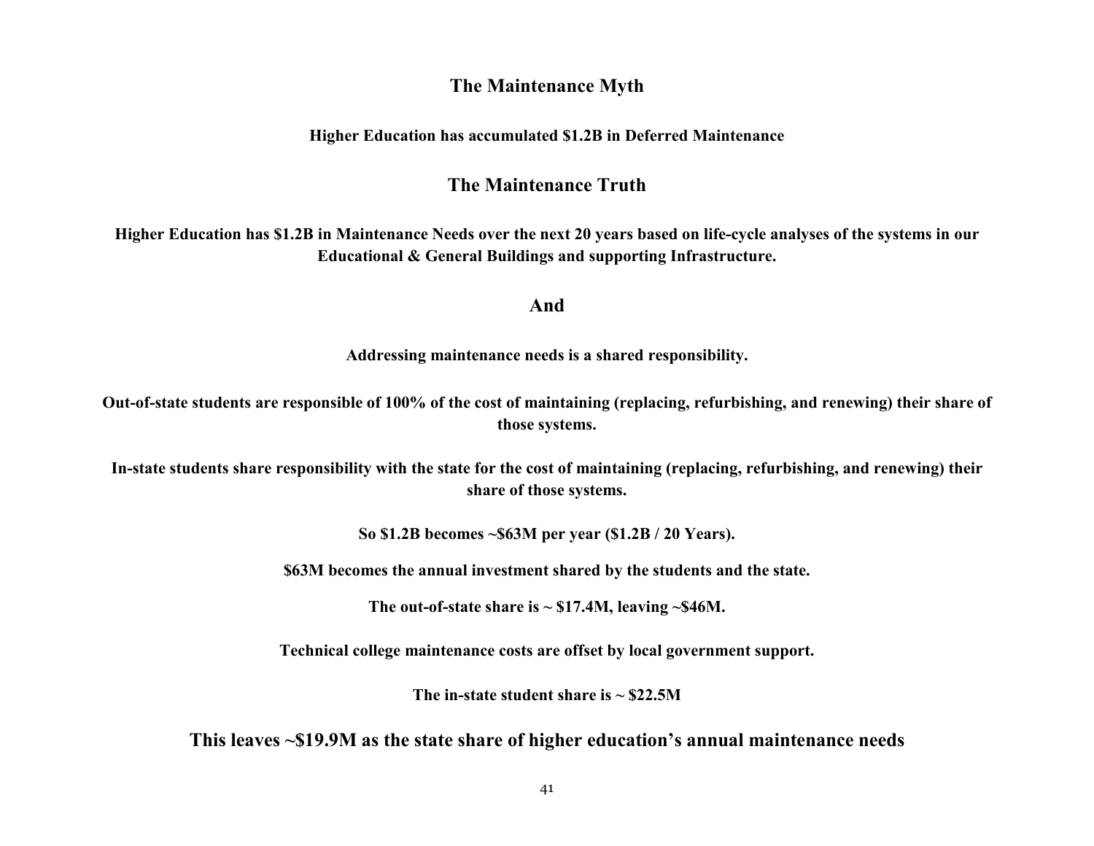# **The Maintenance Myth**

# **Higher Education has accumulated \$1.2B in Deferred Maintenance**

# **The Maintenance Truth**

**Higher Education has \$1.2B in Maintenance Needs over the next 20 years based on life-cycle analyses of the systems in our Educational & General Buildings and supporting Infrastructure.**

# **And**

**Addressing maintenance needs is a shared responsibility.**

**Out-of-state students are responsible of 100% of the cost of maintaining (replacing, refurbishing, and renewing) their share of those systems.**

**In-state students share responsibility with the state for the cost of maintaining (replacing, refurbishing, and renewing) their share of those systems.**

**So \$1.2B becomes ~\$63M per year (\$1.2B / 20 Years).**

**\$63M becomes the annual investment shared by the students and the state.**

The out-of-state share is  $\sim$  \$17.4M, leaving  $\sim$  \$46M.

**Technical college maintenance costs are offset by local government support.**

**The in-state student share is ~ \$22.5M**

**This leaves ~\$19.9M as the state share of higher education's annual maintenance needs**